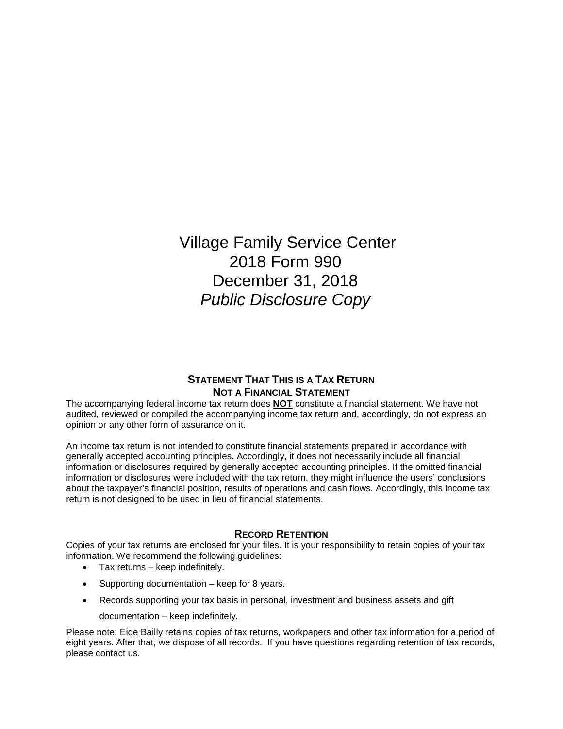Village Family Service Center 2018 Form 990 December 31, 2018 *Public Disclosure Copy*

## **STATEMENT THAT THIS IS A TAX RETURN NOT A FINANCIAL STATEMENT**

The accompanying federal income tax return does **NOT** constitute a financial statement. We have not audited, reviewed or compiled the accompanying income tax return and, accordingly, do not express an opinion or any other form of assurance on it.

An income tax return is not intended to constitute financial statements prepared in accordance with generally accepted accounting principles. Accordingly, it does not necessarily include all financial information or disclosures required by generally accepted accounting principles. If the omitted financial information or disclosures were included with the tax return, they might influence the users' conclusions about the taxpayer's financial position, results of operations and cash flows. Accordingly, this income tax return is not designed to be used in lieu of financial statements.

### **RECORD RETENTION**

Copies of your tax returns are enclosed for your files. It is your responsibility to retain copies of your tax information. We recommend the following guidelines:

- Tax returns keep indefinitely.
- Supporting documentation keep for 8 years.
- Records supporting your tax basis in personal, investment and business assets and gift
	- documentation keep indefinitely.

Please note: Eide Bailly retains copies of tax returns, workpapers and other tax information for a period of eight years. After that, we dispose of all records. If you have questions regarding retention of tax records, please contact us.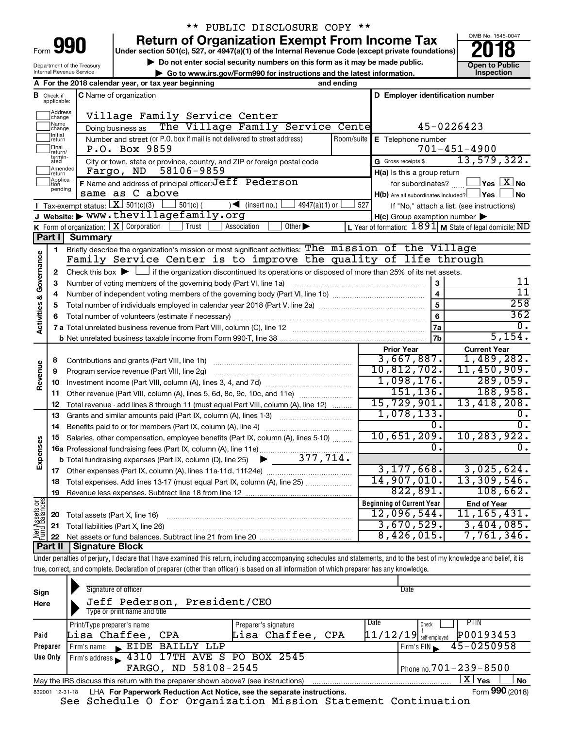| -orm<br>ı |  |
|-----------|--|

## \*\* PUBLIC DISCLOSURE COPY \*\*

**Under section 501(c), 527, or 4947(a)(1) of the Internal Revenue Code (except private foundations) Return of Organization Exempt From Income Tax**<br>r section 501(c), 527, or 4947(a)(1) of the Internal Revenue Code (except private foundations)<br>**2018** 

OMB No. 1545-0047

| Department of the Treasury      |  |
|---------------------------------|--|
| <b>Internal Revenue Service</b> |  |

**b** Do not enter social security numbers on this form as it may be made public.<br> **Go to www.irs.gov/Form990 for instructions and the latest information. This impection | Go to www.irs.gov/Form990 for instructions and the latest information. Inspection A For the 2018 calendar year, or tax year beginning and ending**

|                                    | <b>B</b> Check if applicable: | <b>C</b> Name of organization                                                                                                                          |                         | D Employer identification number                    |                                                                            |
|------------------------------------|-------------------------------|--------------------------------------------------------------------------------------------------------------------------------------------------------|-------------------------|-----------------------------------------------------|----------------------------------------------------------------------------|
|                                    | Address<br>change             | Village Family Service Center                                                                                                                          |                         |                                                     |                                                                            |
|                                    | Name<br>change                | The Village Family Service Cente<br>Doing business as                                                                                                  |                         |                                                     | 45-0226423                                                                 |
|                                    | Initial<br> return            | Number and street (or P.O. box if mail is not delivered to street address)                                                                             | E Telephone number      |                                                     |                                                                            |
|                                    | Final<br> return/             | P.O. Box 9859                                                                                                                                          | Room/suite              |                                                     | $701 - 451 - 4900$                                                         |
|                                    | termin-<br>ated               | City or town, state or province, country, and ZIP or foreign postal code                                                                               |                         | G Gross receipts \$                                 | 13,579,322.                                                                |
|                                    | Amended<br>return             | 58106-9859<br>Fargo, ND                                                                                                                                |                         | $H(a)$ is this a group return                       |                                                                            |
|                                    | Applica-<br>Ition             | F Name and address of principal officer: Jeff Pederson                                                                                                 |                         | for subordinates?                                   | $\mathsf{\rfloor\mathsf{Yes}} \ \mathsf{\rfloor X} \ \mathsf{\mathsf{No}}$ |
|                                    | pending                       | same as C above                                                                                                                                        |                         | $H(b)$ Are all subordinates included? $\Box$ Yes    | ∣No                                                                        |
|                                    |                               | Tax-exempt status: $X \overline{3}$ 501(c)(3)<br>$501(c)$ (<br>$4947(a)(1)$ or<br>$\sqrt{\frac{1}{1}}$ (insert no.)                                    | 527                     |                                                     | If "No," attach a list. (see instructions)                                 |
|                                    |                               | J Website: > www.thevillagefamily.org                                                                                                                  |                         | $H(c)$ Group exemption number $\blacktriangleright$ |                                                                            |
|                                    |                               | K Form of organization: $X$ Corporation<br>Trust<br>Association<br>Other $\blacktriangleright$                                                         |                         |                                                     | <b>L</b> Year of formation: $1891$ <b>M</b> State of legal domicile: ND    |
|                                    | Part II                       | <b>Summary</b>                                                                                                                                         |                         |                                                     |                                                                            |
|                                    | 1                             | Briefly describe the organization's mission or most significant activities: The mission of the Village                                                 |                         |                                                     |                                                                            |
| <b>Activities &amp; Governance</b> |                               | Family Service Center is to improve the quality of life through                                                                                        |                         |                                                     |                                                                            |
|                                    | 2                             | Check this box $\blacktriangleright$ $\Box$ if the organization discontinued its operations or disposed of more than 25% of its net assets.            |                         |                                                     |                                                                            |
|                                    | 3                             | Number of voting members of the governing body (Part VI, line 1a)                                                                                      |                         | 3                                                   | 11                                                                         |
|                                    | 4                             |                                                                                                                                                        | $\overline{\mathbf{4}}$ | $\overline{11}$                                     |                                                                            |
|                                    | 5                             |                                                                                                                                                        |                         | $\overline{5}$                                      | 258                                                                        |
|                                    |                               |                                                                                                                                                        |                         | 6                                                   | 362                                                                        |
|                                    |                               |                                                                                                                                                        |                         | 7a                                                  | Ο.                                                                         |
|                                    |                               |                                                                                                                                                        |                         | 7b                                                  | 5,154.                                                                     |
|                                    |                               |                                                                                                                                                        |                         | <b>Prior Year</b><br>3,667,887.                     | <b>Current Year</b><br>1,489,282.                                          |
|                                    | 8                             | Contributions and grants (Part VIII, line 1h)                                                                                                          |                         | 10,812,702.                                         | 11,450,909.                                                                |
| Revenue                            | 9                             | Program service revenue (Part VIII, line 2g)                                                                                                           |                         | 1,098,176.                                          | 289,059.                                                                   |
|                                    | 10                            |                                                                                                                                                        |                         | 151, 136.                                           | 188,958.                                                                   |
|                                    | 11                            | Other revenue (Part VIII, column (A), lines 5, 6d, 8c, 9c, 10c, and 11e)                                                                               |                         | 15,729,901.                                         | 13,418,208.                                                                |
|                                    | 12<br>13                      | Total revenue - add lines 8 through 11 (must equal Part VIII, column (A), line 12)<br>Grants and similar amounts paid (Part IX, column (A), lines 1-3) |                         | 1,078,133.                                          | 0.                                                                         |
|                                    | 14                            | Benefits paid to or for members (Part IX, column (A), line 4)                                                                                          |                         | 0.                                                  | Ο.                                                                         |
|                                    | 15                            | Salaries, other compensation, employee benefits (Part IX, column (A), lines 5-10)                                                                      |                         | 10,651,209.                                         | 10,283,922.                                                                |
| Expenses                           |                               | 16a Professional fundraising fees (Part IX, column (A), line 11e)                                                                                      |                         |                                                     |                                                                            |
|                                    |                               | 377,714.<br><b>b</b> Total fundraising expenses (Part IX, column (D), line 25)<br>▶                                                                    |                         |                                                     |                                                                            |
|                                    |                               |                                                                                                                                                        |                         | 3, 177, 668.                                        | 3,025,624.                                                                 |
|                                    | 18                            | Total expenses. Add lines 13-17 (must equal Part IX, column (A), line 25)                                                                              |                         | 14,907,010.                                         | 13,309,546.                                                                |
|                                    | 19                            |                                                                                                                                                        |                         | 822,891.                                            | 108,662.                                                                   |
|                                    |                               |                                                                                                                                                        |                         | <b>Beginning of Current Year</b>                    | <b>End of Year</b>                                                         |
| Net Assets or<br>Fund Balances     | 20                            | Total assets (Part X, line 16)                                                                                                                         |                         | 12,096,544.                                         | 11, 165, 431.                                                              |
|                                    |                               | 21 Total liabilities (Part X, line 26)                                                                                                                 |                         | 3,670,529.                                          | 3,404,085.                                                                 |
|                                    |                               |                                                                                                                                                        |                         | 8,426,015.                                          | 7,761,346.                                                                 |
|                                    |                               | Dart II   Cianaturo Blook                                                                                                                              |                         |                                                     |                                                                            |

**Part II Signature Block**

Under penalties of perjury, I declare that I have examined this return, including accompanying schedules and statements, and to the best of my knowledge and belief, it is true, correct, and complete. Declaration of preparer (other than officer) is based on all information of which preparer has any knowledge.

| Sign<br>Here    | Signature of officer<br>Jeff Pederson, President/CEO<br>Type or print name and title |                                           | Date                                                            |
|-----------------|--------------------------------------------------------------------------------------|-------------------------------------------|-----------------------------------------------------------------|
| Paid            | Print/Type preparer's name<br>Lisa Chaffee, CPA                                      | Preparer's signature<br>Lisa Chaffee, CPA | PTIN.<br>Date<br>Check<br>P00193453<br>$11/12/19$ self-employed |
| Preparer        | EIDE BAILLY LLP<br>Firm's name<br>$\overline{\phantom{a}}$                           |                                           | $45 - 0250958$<br>Firm's EIN                                    |
| Use Only        | Firm's address 1310 17TH AVE S PO BOX 2545                                           |                                           |                                                                 |
|                 | FARGO, ND 58108-2545                                                                 |                                           | Phone no. $701 - 239 - 8500$                                    |
|                 | May the IRS discuss this return with the preparer shown above? (see instructions)    |                                           | X.<br>Yes<br>No                                                 |
| 832001 12-31-18 | LHA For Paperwork Reduction Act Notice, see the separate instructions.               |                                           | Form 990 (2018)                                                 |

See Schedule O for Organization Mission Statement Continuation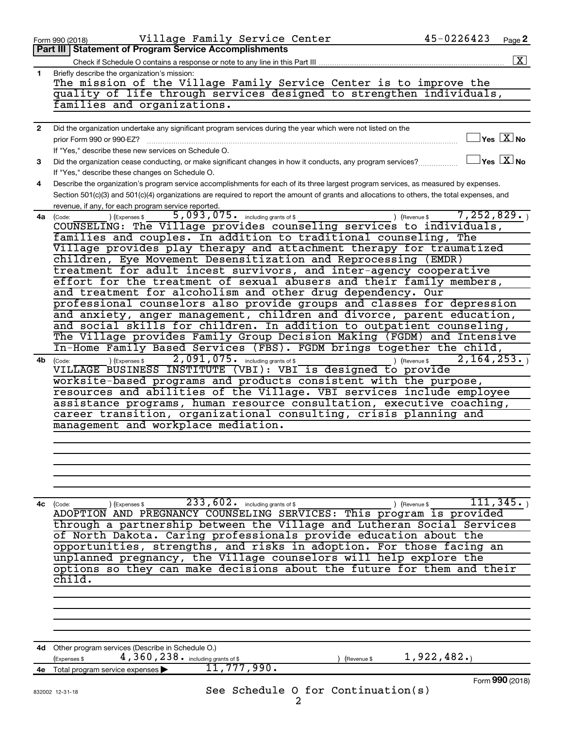|              | Village Family Service Center<br>Form 990 (2018)                                                                                             | 45-0226423                              | Page 2                                     |
|--------------|----------------------------------------------------------------------------------------------------------------------------------------------|-----------------------------------------|--------------------------------------------|
|              | Part III   Statement of Program Service Accomplishments                                                                                      |                                         |                                            |
|              | Check if Schedule O contains a response or note to any line in this Part III                                                                 |                                         | $\boxed{\mathbf{X}}$                       |
| 1.           | Briefly describe the organization's mission:                                                                                                 |                                         |                                            |
|              | The mission of the Village Family Service Center is to improve the                                                                           |                                         |                                            |
|              | quality of life through services designed to strengthen individuals,                                                                         |                                         |                                            |
|              | families and organizations.                                                                                                                  |                                         |                                            |
|              |                                                                                                                                              |                                         |                                            |
| $\mathbf{2}$ | Did the organization undertake any significant program services during the year which were not listed on the                                 |                                         |                                            |
|              | prior Form 990 or 990-EZ?                                                                                                                    |                                         | $\overline{\ }$ Yes $\overline{\ \ \ }$ No |
|              | If "Yes," describe these new services on Schedule O.                                                                                         |                                         |                                            |
| 3            | Did the organization cease conducting, or make significant changes in how it conducts, any program services?                                 |                                         | $\exists$ Yes $\boxed{\text{X}}$ No        |
|              |                                                                                                                                              |                                         |                                            |
|              | If "Yes," describe these changes on Schedule O.                                                                                              |                                         |                                            |
| 4            | Describe the organization's program service accomplishments for each of its three largest program services, as measured by expenses.         |                                         |                                            |
|              | Section 501(c)(3) and 501(c)(4) organizations are required to report the amount of grants and allocations to others, the total expenses, and |                                         |                                            |
|              | revenue, if any, for each program service reported.                                                                                          |                                         |                                            |
| 4a           | 5,093,075. including grants of \$<br>) (Expenses \$<br>(Code:                                                                                | 7, 252, 829.<br>) (Revenue \$           |                                            |
|              | COUNSELING: The Village provides counseling services to individuals,                                                                         |                                         |                                            |
|              | families and couples. In addition to traditional counseling, The                                                                             |                                         |                                            |
|              | Village provides play therapy and attachment therapy for traumatized                                                                         |                                         |                                            |
|              | children, Eye Movement Desensitization and Reprocessing (EMDR)                                                                               |                                         |                                            |
|              | treatment for adult incest survivors, and inter-agency cooperative                                                                           |                                         |                                            |
|              | effort for the treatment of sexual abusers and their family members,                                                                         |                                         |                                            |
|              | and treatment for alcoholism and other drug dependency. Our                                                                                  |                                         |                                            |
|              | professional counselors also provide groups and classes for depression                                                                       |                                         |                                            |
|              | and anxiety, anger management, children and divorce, parent education,                                                                       |                                         |                                            |
|              | and social skills for children. In addition to outpatient counseling,                                                                        |                                         |                                            |
|              | The Village provides Family Group Decision Making (FGDM) and Intensive                                                                       |                                         |                                            |
|              | In-Home Family Based Services (FBS). FGDM brings together the child,                                                                         |                                         |                                            |
| 4b           | 2,091,075. including grants of \$<br>) (Expenses \$<br>) (Revenue \$<br>(Code:                                                               | 2, 164, 253.                            |                                            |
|              | VILLAGE BUSINESS INSTITUTE (VBI): VBI is designed to provide                                                                                 |                                         |                                            |
|              | worksite-based programs and products consistent with the purpose,                                                                            |                                         |                                            |
|              | resources and abilities of the Village. VBI services include employee                                                                        |                                         |                                            |
|              | assistance programs, human resource consultation, executive coaching,                                                                        |                                         |                                            |
|              | career transition, organizational consulting, crisis planning and                                                                            |                                         |                                            |
|              | management and workplace mediation.                                                                                                          |                                         |                                            |
|              |                                                                                                                                              |                                         |                                            |
|              |                                                                                                                                              |                                         |                                            |
|              |                                                                                                                                              |                                         |                                            |
|              |                                                                                                                                              |                                         |                                            |
|              |                                                                                                                                              |                                         |                                            |
|              |                                                                                                                                              |                                         |                                            |
|              |                                                                                                                                              |                                         |                                            |
| 4с           | $\overline{233,602}$ . including grants of \$<br>(Code:<br>(Expenses \$                                                                      | $\overline{111}$ ,345.<br>) (Revenue \$ |                                            |
|              | ADOPTION AND PREGNANCY COUNSELING SERVICES: This program is provided                                                                         |                                         |                                            |
|              | through a partnership between the Village and Lutheran Social Services                                                                       |                                         |                                            |
|              | of North Dakota. Caring professionals provide education about the                                                                            |                                         |                                            |
|              | opportunities, strengths, and risks in adoption. For those facing an                                                                         |                                         |                                            |
|              | unplanned pregnancy, the Village counselors will help explore the                                                                            |                                         |                                            |
|              | options so they can make decisions about the future for them and their                                                                       |                                         |                                            |
|              | child.                                                                                                                                       |                                         |                                            |
|              |                                                                                                                                              |                                         |                                            |
|              |                                                                                                                                              |                                         |                                            |
|              |                                                                                                                                              |                                         |                                            |
|              |                                                                                                                                              |                                         |                                            |
|              |                                                                                                                                              |                                         |                                            |
|              | 4d Other program services (Describe in Schedule O.)                                                                                          |                                         |                                            |
|              | 4, 360, 238. including grants of \$<br>(Expenses \$<br>Revenue \$                                                                            | 1,922,482.                              |                                            |
| 4е           | ,777,990.<br>11<br>Total program service expenses                                                                                            |                                         |                                            |
|              |                                                                                                                                              |                                         | Form 990 (2018)                            |
|              | See Schedule O for Continuation(s)<br>832002 12-31-18                                                                                        |                                         |                                            |
|              | 2                                                                                                                                            |                                         |                                            |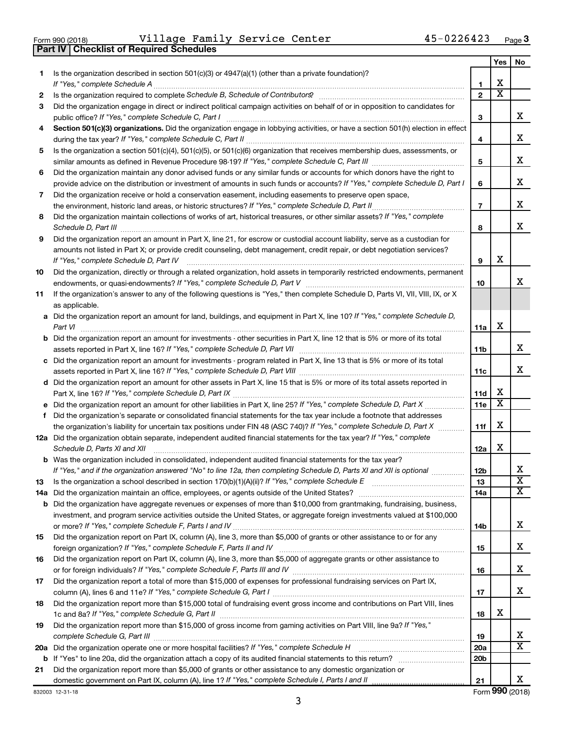|  | Form 990 (2018) |
|--|-----------------|
|  |                 |

**Part IV Checklist of Required Schedules**

Form 990 (2018) Page Village Family Service Center 45-0226423

|     |                                                                                                                                                                        |                        | Yes                     | No                           |
|-----|------------------------------------------------------------------------------------------------------------------------------------------------------------------------|------------------------|-------------------------|------------------------------|
| 1.  | Is the organization described in section $501(c)(3)$ or $4947(a)(1)$ (other than a private foundation)?                                                                |                        |                         |                              |
|     | If "Yes," complete Schedule A                                                                                                                                          | 1                      | х                       |                              |
| 2   | Is the organization required to complete Schedule B, Schedule of Contributors? [1111] [12] the organization required to complete Schedule B, Schedule of Contributors? | $\overline{2}$         | $\overline{\textbf{x}}$ |                              |
| 3   | Did the organization engage in direct or indirect political campaign activities on behalf of or in opposition to candidates for                                        |                        |                         |                              |
|     | public office? If "Yes," complete Schedule C, Part I                                                                                                                   | 3                      |                         | х                            |
| 4   | Section 501(c)(3) organizations. Did the organization engage in lobbying activities, or have a section 501(h) election in effect                                       | 4                      |                         | х                            |
| 5   | Is the organization a section 501(c)(4), 501(c)(5), or 501(c)(6) organization that receives membership dues, assessments, or                                           |                        |                         |                              |
|     |                                                                                                                                                                        | 5                      |                         | х                            |
| 6   | Did the organization maintain any donor advised funds or any similar funds or accounts for which donors have the right to                                              |                        |                         |                              |
|     | provide advice on the distribution or investment of amounts in such funds or accounts? If "Yes," complete Schedule D, Part I                                           | 6                      |                         | х                            |
| 7   | Did the organization receive or hold a conservation easement, including easements to preserve open space,                                                              |                        |                         |                              |
|     | .                                                                                                                                                                      | $\overline{7}$         |                         | х                            |
| 8   | Did the organization maintain collections of works of art, historical treasures, or other similar assets? If "Yes," complete<br>Schedule D, Part III                   | 8                      |                         | х                            |
| 9   | Did the organization report an amount in Part X, line 21, for escrow or custodial account liability, serve as a custodian for                                          |                        |                         |                              |
|     | amounts not listed in Part X; or provide credit counseling, debt management, credit repair, or debt negotiation services?                                              |                        |                         |                              |
|     | If "Yes," complete Schedule D, Part IV                                                                                                                                 | 9                      | х                       |                              |
| 10  | Did the organization, directly or through a related organization, hold assets in temporarily restricted endowments, permanent                                          |                        |                         | x.                           |
|     | If the organization's answer to any of the following questions is "Yes," then complete Schedule D, Parts VI, VII, VIII, IX, or X                                       | 10                     |                         |                              |
| 11  | as applicable.                                                                                                                                                         |                        |                         |                              |
|     | a Did the organization report an amount for land, buildings, and equipment in Part X, line 10? If "Yes," complete Schedule D,                                          |                        |                         |                              |
|     | Part VI                                                                                                                                                                | 11a                    | х                       |                              |
|     | <b>b</b> Did the organization report an amount for investments - other securities in Part X, line 12 that is 5% or more of its total                                   |                        |                         |                              |
|     |                                                                                                                                                                        | 11 <sub>b</sub>        |                         | х                            |
|     | c Did the organization report an amount for investments - program related in Part X, line 13 that is 5% or more of its total                                           |                        |                         |                              |
|     |                                                                                                                                                                        | 11c                    |                         | х                            |
|     | d Did the organization report an amount for other assets in Part X, line 15 that is 5% or more of its total assets reported in                                         |                        |                         |                              |
|     |                                                                                                                                                                        | 11d                    | x                       |                              |
|     |                                                                                                                                                                        | 11e                    | X                       |                              |
| f   | Did the organization's separate or consolidated financial statements for the tax year include a footnote that addresses                                                |                        |                         |                              |
|     | the organization's liability for uncertain tax positions under FIN 48 (ASC 740)? If "Yes," complete Schedule D, Part X                                                 | 11f                    | х                       |                              |
|     | 12a Did the organization obtain separate, independent audited financial statements for the tax year? If "Yes," complete                                                |                        |                         |                              |
|     | Schedule D, Parts XI and XII                                                                                                                                           | 12a                    | х                       |                              |
|     | <b>b</b> Was the organization included in consolidated, independent audited financial statements for the tax year?                                                     |                        |                         |                              |
|     | If "Yes," and if the organization answered "No" to line 12a, then completing Schedule D, Parts XI and XII is optional www.                                             | 12 <sub>b</sub>        |                         | х<br>$\overline{\textbf{x}}$ |
| 13  |                                                                                                                                                                        | 13<br>14a              |                         | x                            |
| 14a | <b>b</b> Did the organization have aggregate revenues or expenses of more than \$10,000 from grantmaking, fundraising, business,                                       |                        |                         |                              |
|     | investment, and program service activities outside the United States, or aggregate foreign investments valued at \$100,000                                             |                        |                         |                              |
|     |                                                                                                                                                                        | 14b                    |                         | x                            |
| 15  | Did the organization report on Part IX, column (A), line 3, more than \$5,000 of grants or other assistance to or for any                                              |                        |                         |                              |
|     |                                                                                                                                                                        | 15                     |                         | x                            |
| 16  | Did the organization report on Part IX, column (A), line 3, more than \$5,000 of aggregate grants or other assistance to                                               |                        |                         |                              |
|     |                                                                                                                                                                        | 16                     |                         | x                            |
| 17  | Did the organization report a total of more than \$15,000 of expenses for professional fundraising services on Part IX,                                                |                        |                         |                              |
|     |                                                                                                                                                                        | 17                     |                         | х                            |
| 18  | Did the organization report more than \$15,000 total of fundraising event gross income and contributions on Part VIII, lines                                           |                        |                         |                              |
|     |                                                                                                                                                                        | 18                     | х                       |                              |
| 19  | Did the organization report more than \$15,000 of gross income from gaming activities on Part VIII, line 9a? If "Yes,"                                                 |                        |                         |                              |
|     | 20a Did the organization operate one or more hospital facilities? If "Yes," complete Schedule H                                                                        | 19                     |                         | x<br>$\overline{\mathbf{x}}$ |
|     |                                                                                                                                                                        | 20a<br>20 <sub>b</sub> |                         |                              |
| 21  | Did the organization report more than \$5,000 of grants or other assistance to any domestic organization or                                                            |                        |                         |                              |
|     |                                                                                                                                                                        | 21                     |                         | x                            |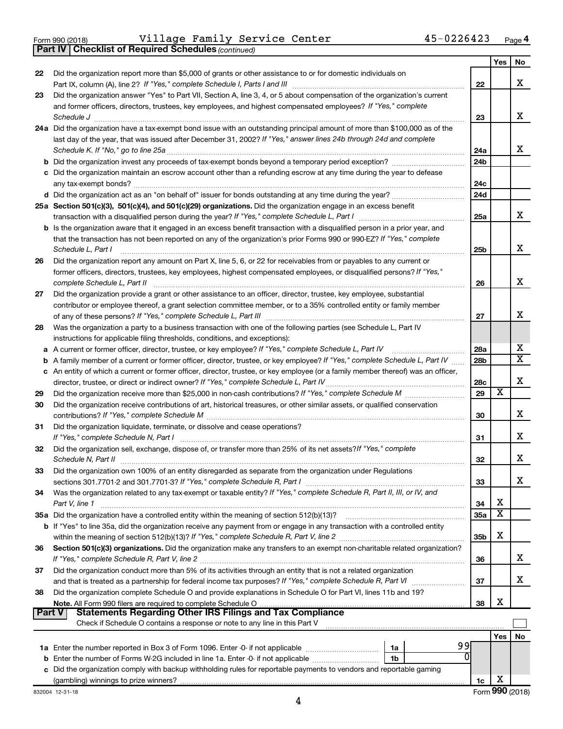|  | Form 990 (2018) |
|--|-----------------|
|  |                 |

**Part IV Checklist of Required Schedules**

Form 990 (2018) Page Village Family Service Center 45-0226423

*(continued)*

|        |                                                                                                                                                                                                                                |                 | Yes | No                      |
|--------|--------------------------------------------------------------------------------------------------------------------------------------------------------------------------------------------------------------------------------|-----------------|-----|-------------------------|
| 22     | Did the organization report more than \$5,000 of grants or other assistance to or for domestic individuals on                                                                                                                  |                 |     |                         |
|        |                                                                                                                                                                                                                                | 22              |     | x                       |
| 23     | Did the organization answer "Yes" to Part VII, Section A, line 3, 4, or 5 about compensation of the organization's current                                                                                                     |                 |     |                         |
|        | and former officers, directors, trustees, key employees, and highest compensated employees? If "Yes," complete                                                                                                                 |                 |     |                         |
|        | Schedule J                                                                                                                                                                                                                     | 23              |     | x                       |
|        | 24a Did the organization have a tax-exempt bond issue with an outstanding principal amount of more than \$100,000 as of the                                                                                                    |                 |     |                         |
|        | last day of the year, that was issued after December 31, 2002? If "Yes," answer lines 24b through 24d and complete                                                                                                             |                 |     |                         |
|        | Schedule K. If "No," go to line 25a                                                                                                                                                                                            | 24a             |     | x                       |
|        |                                                                                                                                                                                                                                | 24 <sub>b</sub> |     |                         |
|        | c Did the organization maintain an escrow account other than a refunding escrow at any time during the year to defease                                                                                                         |                 |     |                         |
|        | any tax-exempt bonds?                                                                                                                                                                                                          | 24c             |     |                         |
|        |                                                                                                                                                                                                                                | 24d             |     |                         |
|        | 25a Section 501(c)(3), 501(c)(4), and 501(c)(29) organizations. Did the organization engage in an excess benefit                                                                                                               |                 |     | x                       |
|        |                                                                                                                                                                                                                                | 25a             |     |                         |
|        | b Is the organization aware that it engaged in an excess benefit transaction with a disqualified person in a prior year, and                                                                                                   |                 |     |                         |
|        | that the transaction has not been reported on any of the organization's prior Forms 990 or 990-EZ? If "Yes," complete                                                                                                          |                 |     | х                       |
|        | Schedule L, Part I<br>Did the organization report any amount on Part X, line 5, 6, or 22 for receivables from or payables to any current or                                                                                    | 25b             |     |                         |
| 26     | former officers, directors, trustees, key employees, highest compensated employees, or disqualified persons? If "Yes,"                                                                                                         |                 |     |                         |
|        | complete Schedule L, Part II                                                                                                                                                                                                   | 26              |     | x                       |
| 27     | Did the organization provide a grant or other assistance to an officer, director, trustee, key employee, substantial                                                                                                           |                 |     |                         |
|        | contributor or employee thereof, a grant selection committee member, or to a 35% controlled entity or family member                                                                                                            |                 |     |                         |
|        |                                                                                                                                                                                                                                | 27              |     | x                       |
| 28     | Was the organization a party to a business transaction with one of the following parties (see Schedule L, Part IV                                                                                                              |                 |     |                         |
|        | instructions for applicable filing thresholds, conditions, and exceptions):                                                                                                                                                    |                 |     |                         |
| a      | A current or former officer, director, trustee, or key employee? If "Yes," complete Schedule L, Part IV                                                                                                                        | 28a             |     | х                       |
| b      | A family member of a current or former officer, director, trustee, or key employee? If "Yes," complete Schedule L, Part IV                                                                                                     | 28 <sub>b</sub> |     | $\overline{\textbf{X}}$ |
|        | c An entity of which a current or former officer, director, trustee, or key employee (or a family member thereof) was an officer,                                                                                              |                 |     |                         |
|        | director, trustee, or direct or indirect owner? If "Yes," complete Schedule L, Part IV                                                                                                                                         | 28c             |     | х                       |
| 29     |                                                                                                                                                                                                                                | 29              | X   |                         |
| 30     | Did the organization receive contributions of art, historical treasures, or other similar assets, or qualified conservation                                                                                                    |                 |     |                         |
|        |                                                                                                                                                                                                                                | 30              |     | х                       |
| 31     | Did the organization liquidate, terminate, or dissolve and cease operations?                                                                                                                                                   |                 |     |                         |
|        | If "Yes," complete Schedule N, Part I                                                                                                                                                                                          | 31              |     | х                       |
| 32     | Did the organization sell, exchange, dispose of, or transfer more than 25% of its net assets? If "Yes," complete                                                                                                               |                 |     |                         |
|        | Schedule N, Part II                                                                                                                                                                                                            | 32              |     | х                       |
| 33     | Did the organization own 100% of an entity disregarded as separate from the organization under Regulations                                                                                                                     |                 |     |                         |
|        |                                                                                                                                                                                                                                | 33              |     | х                       |
| 34     | Was the organization related to any tax-exempt or taxable entity? If "Yes," complete Schedule R, Part II, III, or IV, and                                                                                                      |                 |     |                         |
|        | Part V, line 1                                                                                                                                                                                                                 | 34              | X   |                         |
|        |                                                                                                                                                                                                                                | 35a             | X   |                         |
|        | b If "Yes" to line 35a, did the organization receive any payment from or engage in any transaction with a controlled entity                                                                                                    |                 |     |                         |
|        |                                                                                                                                                                                                                                | 35b             | х   |                         |
| 36     | Section 501(c)(3) organizations. Did the organization make any transfers to an exempt non-charitable related organization?                                                                                                     |                 |     | х                       |
|        |                                                                                                                                                                                                                                | 36              |     |                         |
| 37     | Did the organization conduct more than 5% of its activities through an entity that is not a related organization                                                                                                               | 37              |     | x.                      |
| 38     | and that is treated as a partnership for federal income tax purposes? If "Yes," complete Schedule R, Part VI<br>Did the organization complete Schedule O and provide explanations in Schedule O for Part VI, lines 11b and 19? |                 |     |                         |
|        |                                                                                                                                                                                                                                | 38              | X   |                         |
| Part V | <b>Statements Regarding Other IRS Filings and Tax Compliance</b>                                                                                                                                                               |                 |     |                         |
|        | Check if Schedule O contains a response or note to any line in this Part V                                                                                                                                                     |                 |     |                         |
|        |                                                                                                                                                                                                                                |                 | Yes | No                      |
|        | 99<br>1a                                                                                                                                                                                                                       |                 |     |                         |
|        | O<br>b Enter the number of Forms W-2G included in line 1a. Enter -0- if not applicable<br>1b                                                                                                                                   |                 |     |                         |
|        | c Did the organization comply with backup withholding rules for reportable payments to vendors and reportable gaming                                                                                                           |                 |     |                         |
|        |                                                                                                                                                                                                                                | 1c              | х   |                         |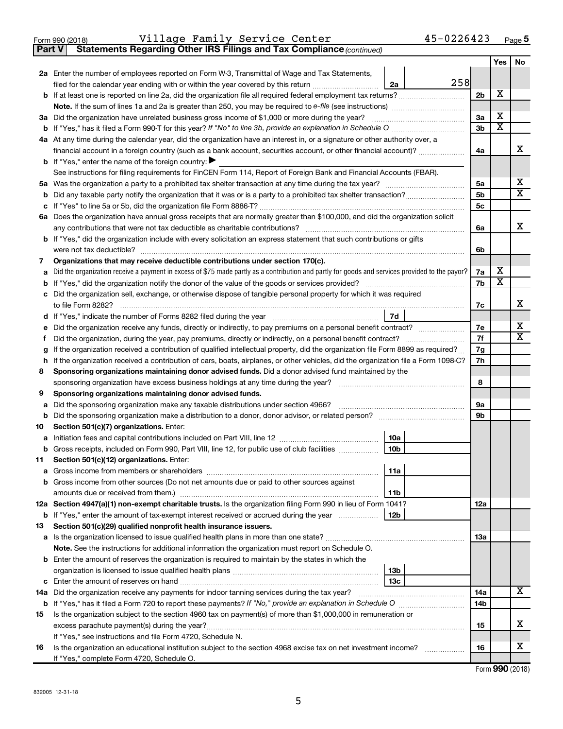|  | Form 990 (2018) |
|--|-----------------|
|  |                 |

**Part V Statements Regarding Other IRS Filings and Tax Compliance**

*(continued)*

| 2a Enter the number of employees reported on Form W-3, Transmittal of Wage and Tax Statements,<br>258<br>filed for the calendar year ending with or within the year covered by this return <i></i><br>2a<br>х<br>2b<br>X<br>3a Did the organization have unrelated business gross income of \$1,000 or more during the year?<br>3a<br>$\overline{\textbf{x}}$<br>3 <sub>b</sub><br>4a At any time during the calendar year, did the organization have an interest in, or a signature or other authority over, a<br>x<br>financial account in a foreign country (such as a bank account, securities account, or other financial account)?<br>4a<br><b>b</b> If "Yes," enter the name of the foreign country: $\blacktriangleright$<br>See instructions for filing requirements for FinCEN Form 114, Report of Foreign Bank and Financial Accounts (FBAR).<br>х<br>5a<br>$\overline{\mathtt{x}}$<br>5b<br>5c<br>6a Does the organization have annual gross receipts that are normally greater than \$100,000, and did the organization solicit<br>x<br>6a<br><b>b</b> If "Yes," did the organization include with every solicitation an express statement that such contributions or gifts<br>were not tax deductible?<br>6b<br>Organizations that may receive deductible contributions under section 170(c).<br>7<br>х<br>Did the organization receive a payment in excess of \$75 made partly as a contribution and partly for goods and services provided to the payor?<br>7a<br>a<br>$\overline{\textbf{x}}$<br>7b<br>c Did the organization sell, exchange, or otherwise dispose of tangible personal property for which it was required<br>х<br>7c<br>7d<br>d If "Yes," indicate the number of Forms 8282 filed during the year [11, 11, 11, 11, 11, 11]<br>x<br>Did the organization receive any funds, directly or indirectly, to pay premiums on a personal benefit contract?<br>7e<br>е<br>$\overline{\mathtt{x}}$<br>7f<br>Did the organization, during the year, pay premiums, directly or indirectly, on a personal benefit contract?<br>Ť.<br>If the organization received a contribution of qualified intellectual property, did the organization file Form 8899 as required?<br>7g<br>g<br>h If the organization received a contribution of cars, boats, airplanes, or other vehicles, did the organization file a Form 1098-C?<br>7h<br>Sponsoring organizations maintaining donor advised funds. Did a donor advised fund maintained by the<br>8<br>8<br>sponsoring organization have excess business holdings at any time during the year?<br>Sponsoring organizations maintaining donor advised funds.<br>9<br>Did the sponsoring organization make any taxable distributions under section 4966?<br>9а<br>а<br>9b<br>b<br>Section 501(c)(7) organizations. Enter:<br>10<br>10a<br>10 <sub>b</sub><br>b Gross receipts, included on Form 990, Part VIII, line 12, for public use of club facilities<br>Section 501(c)(12) organizations. Enter:<br>11<br>11a<br>Gross income from members or shareholders<br><b>b</b> Gross income from other sources (Do not net amounts due or paid to other sources against<br>11 <sub>b</sub><br>12a Section 4947(a)(1) non-exempt charitable trusts. Is the organization filing Form 990 in lieu of Form 1041?<br>12a<br>12 <sub>b</sub><br><b>b</b> If "Yes," enter the amount of tax-exempt interest received or accrued during the year<br>Section 501(c)(29) qualified nonprofit health insurance issuers.<br>13<br>13a<br>Note. See the instructions for additional information the organization must report on Schedule O.<br><b>b</b> Enter the amount of reserves the organization is required to maintain by the states in which the<br>13 <sub>b</sub><br>13 <sub>c</sub><br>$\overline{\text{X}}$<br>14a Did the organization receive any payments for indoor tanning services during the tax year?<br>14a<br>14 <sub>b</sub><br>Is the organization subject to the section 4960 tax on payment(s) of more than \$1,000,000 in remuneration or<br>15<br>х<br>15<br>If "Yes," see instructions and file Form 4720, Schedule N.<br>х<br>Is the organization an educational institution subject to the section 4968 excise tax on net investment income?<br>16<br>16 |                                           | Yes | No |
|-------------------------------------------------------------------------------------------------------------------------------------------------------------------------------------------------------------------------------------------------------------------------------------------------------------------------------------------------------------------------------------------------------------------------------------------------------------------------------------------------------------------------------------------------------------------------------------------------------------------------------------------------------------------------------------------------------------------------------------------------------------------------------------------------------------------------------------------------------------------------------------------------------------------------------------------------------------------------------------------------------------------------------------------------------------------------------------------------------------------------------------------------------------------------------------------------------------------------------------------------------------------------------------------------------------------------------------------------------------------------------------------------------------------------------------------------------------------------------------------------------------------------------------------------------------------------------------------------------------------------------------------------------------------------------------------------------------------------------------------------------------------------------------------------------------------------------------------------------------------------------------------------------------------------------------------------------------------------------------------------------------------------------------------------------------------------------------------------------------------------------------------------------------------------------------------------------------------------------------------------------------------------------------------------------------------------------------------------------------------------------------------------------------------------------------------------------------------------------------------------------------------------------------------------------------------------------------------------------------------------------------------------------------------------------------------------------------------------------------------------------------------------------------------------------------------------------------------------------------------------------------------------------------------------------------------------------------------------------------------------------------------------------------------------------------------------------------------------------------------------------------------------------------------------------------------------------------------------------------------------------------------------------------------------------------------------------------------------------------------------------------------------------------------------------------------------------------------------------------------------------------------------------------------------------------------------------------------------------------------------------------------------------------------------------------------------------------------------------------------------------------------------------------------------------------------------------------------------------------------------------------------------------------------------------------------------------------------------------------------------------------------------------------------------------------------------------------------------------------------------------------------------------------------------------------------------------------------------------------|-------------------------------------------|-----|----|
|                                                                                                                                                                                                                                                                                                                                                                                                                                                                                                                                                                                                                                                                                                                                                                                                                                                                                                                                                                                                                                                                                                                                                                                                                                                                                                                                                                                                                                                                                                                                                                                                                                                                                                                                                                                                                                                                                                                                                                                                                                                                                                                                                                                                                                                                                                                                                                                                                                                                                                                                                                                                                                                                                                                                                                                                                                                                                                                                                                                                                                                                                                                                                                                                                                                                                                                                                                                                                                                                                                                                                                                                                                                                                                                                                                                                                                                                                                                                                                                                                                                                                                                                                                                                                                     |                                           |     |    |
|                                                                                                                                                                                                                                                                                                                                                                                                                                                                                                                                                                                                                                                                                                                                                                                                                                                                                                                                                                                                                                                                                                                                                                                                                                                                                                                                                                                                                                                                                                                                                                                                                                                                                                                                                                                                                                                                                                                                                                                                                                                                                                                                                                                                                                                                                                                                                                                                                                                                                                                                                                                                                                                                                                                                                                                                                                                                                                                                                                                                                                                                                                                                                                                                                                                                                                                                                                                                                                                                                                                                                                                                                                                                                                                                                                                                                                                                                                                                                                                                                                                                                                                                                                                                                                     |                                           |     |    |
|                                                                                                                                                                                                                                                                                                                                                                                                                                                                                                                                                                                                                                                                                                                                                                                                                                                                                                                                                                                                                                                                                                                                                                                                                                                                                                                                                                                                                                                                                                                                                                                                                                                                                                                                                                                                                                                                                                                                                                                                                                                                                                                                                                                                                                                                                                                                                                                                                                                                                                                                                                                                                                                                                                                                                                                                                                                                                                                                                                                                                                                                                                                                                                                                                                                                                                                                                                                                                                                                                                                                                                                                                                                                                                                                                                                                                                                                                                                                                                                                                                                                                                                                                                                                                                     |                                           |     |    |
|                                                                                                                                                                                                                                                                                                                                                                                                                                                                                                                                                                                                                                                                                                                                                                                                                                                                                                                                                                                                                                                                                                                                                                                                                                                                                                                                                                                                                                                                                                                                                                                                                                                                                                                                                                                                                                                                                                                                                                                                                                                                                                                                                                                                                                                                                                                                                                                                                                                                                                                                                                                                                                                                                                                                                                                                                                                                                                                                                                                                                                                                                                                                                                                                                                                                                                                                                                                                                                                                                                                                                                                                                                                                                                                                                                                                                                                                                                                                                                                                                                                                                                                                                                                                                                     |                                           |     |    |
|                                                                                                                                                                                                                                                                                                                                                                                                                                                                                                                                                                                                                                                                                                                                                                                                                                                                                                                                                                                                                                                                                                                                                                                                                                                                                                                                                                                                                                                                                                                                                                                                                                                                                                                                                                                                                                                                                                                                                                                                                                                                                                                                                                                                                                                                                                                                                                                                                                                                                                                                                                                                                                                                                                                                                                                                                                                                                                                                                                                                                                                                                                                                                                                                                                                                                                                                                                                                                                                                                                                                                                                                                                                                                                                                                                                                                                                                                                                                                                                                                                                                                                                                                                                                                                     |                                           |     |    |
|                                                                                                                                                                                                                                                                                                                                                                                                                                                                                                                                                                                                                                                                                                                                                                                                                                                                                                                                                                                                                                                                                                                                                                                                                                                                                                                                                                                                                                                                                                                                                                                                                                                                                                                                                                                                                                                                                                                                                                                                                                                                                                                                                                                                                                                                                                                                                                                                                                                                                                                                                                                                                                                                                                                                                                                                                                                                                                                                                                                                                                                                                                                                                                                                                                                                                                                                                                                                                                                                                                                                                                                                                                                                                                                                                                                                                                                                                                                                                                                                                                                                                                                                                                                                                                     |                                           |     |    |
|                                                                                                                                                                                                                                                                                                                                                                                                                                                                                                                                                                                                                                                                                                                                                                                                                                                                                                                                                                                                                                                                                                                                                                                                                                                                                                                                                                                                                                                                                                                                                                                                                                                                                                                                                                                                                                                                                                                                                                                                                                                                                                                                                                                                                                                                                                                                                                                                                                                                                                                                                                                                                                                                                                                                                                                                                                                                                                                                                                                                                                                                                                                                                                                                                                                                                                                                                                                                                                                                                                                                                                                                                                                                                                                                                                                                                                                                                                                                                                                                                                                                                                                                                                                                                                     |                                           |     |    |
|                                                                                                                                                                                                                                                                                                                                                                                                                                                                                                                                                                                                                                                                                                                                                                                                                                                                                                                                                                                                                                                                                                                                                                                                                                                                                                                                                                                                                                                                                                                                                                                                                                                                                                                                                                                                                                                                                                                                                                                                                                                                                                                                                                                                                                                                                                                                                                                                                                                                                                                                                                                                                                                                                                                                                                                                                                                                                                                                                                                                                                                                                                                                                                                                                                                                                                                                                                                                                                                                                                                                                                                                                                                                                                                                                                                                                                                                                                                                                                                                                                                                                                                                                                                                                                     |                                           |     |    |
|                                                                                                                                                                                                                                                                                                                                                                                                                                                                                                                                                                                                                                                                                                                                                                                                                                                                                                                                                                                                                                                                                                                                                                                                                                                                                                                                                                                                                                                                                                                                                                                                                                                                                                                                                                                                                                                                                                                                                                                                                                                                                                                                                                                                                                                                                                                                                                                                                                                                                                                                                                                                                                                                                                                                                                                                                                                                                                                                                                                                                                                                                                                                                                                                                                                                                                                                                                                                                                                                                                                                                                                                                                                                                                                                                                                                                                                                                                                                                                                                                                                                                                                                                                                                                                     |                                           |     |    |
|                                                                                                                                                                                                                                                                                                                                                                                                                                                                                                                                                                                                                                                                                                                                                                                                                                                                                                                                                                                                                                                                                                                                                                                                                                                                                                                                                                                                                                                                                                                                                                                                                                                                                                                                                                                                                                                                                                                                                                                                                                                                                                                                                                                                                                                                                                                                                                                                                                                                                                                                                                                                                                                                                                                                                                                                                                                                                                                                                                                                                                                                                                                                                                                                                                                                                                                                                                                                                                                                                                                                                                                                                                                                                                                                                                                                                                                                                                                                                                                                                                                                                                                                                                                                                                     |                                           |     |    |
|                                                                                                                                                                                                                                                                                                                                                                                                                                                                                                                                                                                                                                                                                                                                                                                                                                                                                                                                                                                                                                                                                                                                                                                                                                                                                                                                                                                                                                                                                                                                                                                                                                                                                                                                                                                                                                                                                                                                                                                                                                                                                                                                                                                                                                                                                                                                                                                                                                                                                                                                                                                                                                                                                                                                                                                                                                                                                                                                                                                                                                                                                                                                                                                                                                                                                                                                                                                                                                                                                                                                                                                                                                                                                                                                                                                                                                                                                                                                                                                                                                                                                                                                                                                                                                     |                                           |     |    |
|                                                                                                                                                                                                                                                                                                                                                                                                                                                                                                                                                                                                                                                                                                                                                                                                                                                                                                                                                                                                                                                                                                                                                                                                                                                                                                                                                                                                                                                                                                                                                                                                                                                                                                                                                                                                                                                                                                                                                                                                                                                                                                                                                                                                                                                                                                                                                                                                                                                                                                                                                                                                                                                                                                                                                                                                                                                                                                                                                                                                                                                                                                                                                                                                                                                                                                                                                                                                                                                                                                                                                                                                                                                                                                                                                                                                                                                                                                                                                                                                                                                                                                                                                                                                                                     |                                           |     |    |
|                                                                                                                                                                                                                                                                                                                                                                                                                                                                                                                                                                                                                                                                                                                                                                                                                                                                                                                                                                                                                                                                                                                                                                                                                                                                                                                                                                                                                                                                                                                                                                                                                                                                                                                                                                                                                                                                                                                                                                                                                                                                                                                                                                                                                                                                                                                                                                                                                                                                                                                                                                                                                                                                                                                                                                                                                                                                                                                                                                                                                                                                                                                                                                                                                                                                                                                                                                                                                                                                                                                                                                                                                                                                                                                                                                                                                                                                                                                                                                                                                                                                                                                                                                                                                                     |                                           |     |    |
|                                                                                                                                                                                                                                                                                                                                                                                                                                                                                                                                                                                                                                                                                                                                                                                                                                                                                                                                                                                                                                                                                                                                                                                                                                                                                                                                                                                                                                                                                                                                                                                                                                                                                                                                                                                                                                                                                                                                                                                                                                                                                                                                                                                                                                                                                                                                                                                                                                                                                                                                                                                                                                                                                                                                                                                                                                                                                                                                                                                                                                                                                                                                                                                                                                                                                                                                                                                                                                                                                                                                                                                                                                                                                                                                                                                                                                                                                                                                                                                                                                                                                                                                                                                                                                     |                                           |     |    |
|                                                                                                                                                                                                                                                                                                                                                                                                                                                                                                                                                                                                                                                                                                                                                                                                                                                                                                                                                                                                                                                                                                                                                                                                                                                                                                                                                                                                                                                                                                                                                                                                                                                                                                                                                                                                                                                                                                                                                                                                                                                                                                                                                                                                                                                                                                                                                                                                                                                                                                                                                                                                                                                                                                                                                                                                                                                                                                                                                                                                                                                                                                                                                                                                                                                                                                                                                                                                                                                                                                                                                                                                                                                                                                                                                                                                                                                                                                                                                                                                                                                                                                                                                                                                                                     |                                           |     |    |
|                                                                                                                                                                                                                                                                                                                                                                                                                                                                                                                                                                                                                                                                                                                                                                                                                                                                                                                                                                                                                                                                                                                                                                                                                                                                                                                                                                                                                                                                                                                                                                                                                                                                                                                                                                                                                                                                                                                                                                                                                                                                                                                                                                                                                                                                                                                                                                                                                                                                                                                                                                                                                                                                                                                                                                                                                                                                                                                                                                                                                                                                                                                                                                                                                                                                                                                                                                                                                                                                                                                                                                                                                                                                                                                                                                                                                                                                                                                                                                                                                                                                                                                                                                                                                                     |                                           |     |    |
|                                                                                                                                                                                                                                                                                                                                                                                                                                                                                                                                                                                                                                                                                                                                                                                                                                                                                                                                                                                                                                                                                                                                                                                                                                                                                                                                                                                                                                                                                                                                                                                                                                                                                                                                                                                                                                                                                                                                                                                                                                                                                                                                                                                                                                                                                                                                                                                                                                                                                                                                                                                                                                                                                                                                                                                                                                                                                                                                                                                                                                                                                                                                                                                                                                                                                                                                                                                                                                                                                                                                                                                                                                                                                                                                                                                                                                                                                                                                                                                                                                                                                                                                                                                                                                     |                                           |     |    |
|                                                                                                                                                                                                                                                                                                                                                                                                                                                                                                                                                                                                                                                                                                                                                                                                                                                                                                                                                                                                                                                                                                                                                                                                                                                                                                                                                                                                                                                                                                                                                                                                                                                                                                                                                                                                                                                                                                                                                                                                                                                                                                                                                                                                                                                                                                                                                                                                                                                                                                                                                                                                                                                                                                                                                                                                                                                                                                                                                                                                                                                                                                                                                                                                                                                                                                                                                                                                                                                                                                                                                                                                                                                                                                                                                                                                                                                                                                                                                                                                                                                                                                                                                                                                                                     |                                           |     |    |
|                                                                                                                                                                                                                                                                                                                                                                                                                                                                                                                                                                                                                                                                                                                                                                                                                                                                                                                                                                                                                                                                                                                                                                                                                                                                                                                                                                                                                                                                                                                                                                                                                                                                                                                                                                                                                                                                                                                                                                                                                                                                                                                                                                                                                                                                                                                                                                                                                                                                                                                                                                                                                                                                                                                                                                                                                                                                                                                                                                                                                                                                                                                                                                                                                                                                                                                                                                                                                                                                                                                                                                                                                                                                                                                                                                                                                                                                                                                                                                                                                                                                                                                                                                                                                                     |                                           |     |    |
|                                                                                                                                                                                                                                                                                                                                                                                                                                                                                                                                                                                                                                                                                                                                                                                                                                                                                                                                                                                                                                                                                                                                                                                                                                                                                                                                                                                                                                                                                                                                                                                                                                                                                                                                                                                                                                                                                                                                                                                                                                                                                                                                                                                                                                                                                                                                                                                                                                                                                                                                                                                                                                                                                                                                                                                                                                                                                                                                                                                                                                                                                                                                                                                                                                                                                                                                                                                                                                                                                                                                                                                                                                                                                                                                                                                                                                                                                                                                                                                                                                                                                                                                                                                                                                     |                                           |     |    |
|                                                                                                                                                                                                                                                                                                                                                                                                                                                                                                                                                                                                                                                                                                                                                                                                                                                                                                                                                                                                                                                                                                                                                                                                                                                                                                                                                                                                                                                                                                                                                                                                                                                                                                                                                                                                                                                                                                                                                                                                                                                                                                                                                                                                                                                                                                                                                                                                                                                                                                                                                                                                                                                                                                                                                                                                                                                                                                                                                                                                                                                                                                                                                                                                                                                                                                                                                                                                                                                                                                                                                                                                                                                                                                                                                                                                                                                                                                                                                                                                                                                                                                                                                                                                                                     |                                           |     |    |
|                                                                                                                                                                                                                                                                                                                                                                                                                                                                                                                                                                                                                                                                                                                                                                                                                                                                                                                                                                                                                                                                                                                                                                                                                                                                                                                                                                                                                                                                                                                                                                                                                                                                                                                                                                                                                                                                                                                                                                                                                                                                                                                                                                                                                                                                                                                                                                                                                                                                                                                                                                                                                                                                                                                                                                                                                                                                                                                                                                                                                                                                                                                                                                                                                                                                                                                                                                                                                                                                                                                                                                                                                                                                                                                                                                                                                                                                                                                                                                                                                                                                                                                                                                                                                                     |                                           |     |    |
|                                                                                                                                                                                                                                                                                                                                                                                                                                                                                                                                                                                                                                                                                                                                                                                                                                                                                                                                                                                                                                                                                                                                                                                                                                                                                                                                                                                                                                                                                                                                                                                                                                                                                                                                                                                                                                                                                                                                                                                                                                                                                                                                                                                                                                                                                                                                                                                                                                                                                                                                                                                                                                                                                                                                                                                                                                                                                                                                                                                                                                                                                                                                                                                                                                                                                                                                                                                                                                                                                                                                                                                                                                                                                                                                                                                                                                                                                                                                                                                                                                                                                                                                                                                                                                     |                                           |     |    |
|                                                                                                                                                                                                                                                                                                                                                                                                                                                                                                                                                                                                                                                                                                                                                                                                                                                                                                                                                                                                                                                                                                                                                                                                                                                                                                                                                                                                                                                                                                                                                                                                                                                                                                                                                                                                                                                                                                                                                                                                                                                                                                                                                                                                                                                                                                                                                                                                                                                                                                                                                                                                                                                                                                                                                                                                                                                                                                                                                                                                                                                                                                                                                                                                                                                                                                                                                                                                                                                                                                                                                                                                                                                                                                                                                                                                                                                                                                                                                                                                                                                                                                                                                                                                                                     |                                           |     |    |
|                                                                                                                                                                                                                                                                                                                                                                                                                                                                                                                                                                                                                                                                                                                                                                                                                                                                                                                                                                                                                                                                                                                                                                                                                                                                                                                                                                                                                                                                                                                                                                                                                                                                                                                                                                                                                                                                                                                                                                                                                                                                                                                                                                                                                                                                                                                                                                                                                                                                                                                                                                                                                                                                                                                                                                                                                                                                                                                                                                                                                                                                                                                                                                                                                                                                                                                                                                                                                                                                                                                                                                                                                                                                                                                                                                                                                                                                                                                                                                                                                                                                                                                                                                                                                                     |                                           |     |    |
|                                                                                                                                                                                                                                                                                                                                                                                                                                                                                                                                                                                                                                                                                                                                                                                                                                                                                                                                                                                                                                                                                                                                                                                                                                                                                                                                                                                                                                                                                                                                                                                                                                                                                                                                                                                                                                                                                                                                                                                                                                                                                                                                                                                                                                                                                                                                                                                                                                                                                                                                                                                                                                                                                                                                                                                                                                                                                                                                                                                                                                                                                                                                                                                                                                                                                                                                                                                                                                                                                                                                                                                                                                                                                                                                                                                                                                                                                                                                                                                                                                                                                                                                                                                                                                     |                                           |     |    |
|                                                                                                                                                                                                                                                                                                                                                                                                                                                                                                                                                                                                                                                                                                                                                                                                                                                                                                                                                                                                                                                                                                                                                                                                                                                                                                                                                                                                                                                                                                                                                                                                                                                                                                                                                                                                                                                                                                                                                                                                                                                                                                                                                                                                                                                                                                                                                                                                                                                                                                                                                                                                                                                                                                                                                                                                                                                                                                                                                                                                                                                                                                                                                                                                                                                                                                                                                                                                                                                                                                                                                                                                                                                                                                                                                                                                                                                                                                                                                                                                                                                                                                                                                                                                                                     |                                           |     |    |
|                                                                                                                                                                                                                                                                                                                                                                                                                                                                                                                                                                                                                                                                                                                                                                                                                                                                                                                                                                                                                                                                                                                                                                                                                                                                                                                                                                                                                                                                                                                                                                                                                                                                                                                                                                                                                                                                                                                                                                                                                                                                                                                                                                                                                                                                                                                                                                                                                                                                                                                                                                                                                                                                                                                                                                                                                                                                                                                                                                                                                                                                                                                                                                                                                                                                                                                                                                                                                                                                                                                                                                                                                                                                                                                                                                                                                                                                                                                                                                                                                                                                                                                                                                                                                                     |                                           |     |    |
|                                                                                                                                                                                                                                                                                                                                                                                                                                                                                                                                                                                                                                                                                                                                                                                                                                                                                                                                                                                                                                                                                                                                                                                                                                                                                                                                                                                                                                                                                                                                                                                                                                                                                                                                                                                                                                                                                                                                                                                                                                                                                                                                                                                                                                                                                                                                                                                                                                                                                                                                                                                                                                                                                                                                                                                                                                                                                                                                                                                                                                                                                                                                                                                                                                                                                                                                                                                                                                                                                                                                                                                                                                                                                                                                                                                                                                                                                                                                                                                                                                                                                                                                                                                                                                     |                                           |     |    |
|                                                                                                                                                                                                                                                                                                                                                                                                                                                                                                                                                                                                                                                                                                                                                                                                                                                                                                                                                                                                                                                                                                                                                                                                                                                                                                                                                                                                                                                                                                                                                                                                                                                                                                                                                                                                                                                                                                                                                                                                                                                                                                                                                                                                                                                                                                                                                                                                                                                                                                                                                                                                                                                                                                                                                                                                                                                                                                                                                                                                                                                                                                                                                                                                                                                                                                                                                                                                                                                                                                                                                                                                                                                                                                                                                                                                                                                                                                                                                                                                                                                                                                                                                                                                                                     |                                           |     |    |
|                                                                                                                                                                                                                                                                                                                                                                                                                                                                                                                                                                                                                                                                                                                                                                                                                                                                                                                                                                                                                                                                                                                                                                                                                                                                                                                                                                                                                                                                                                                                                                                                                                                                                                                                                                                                                                                                                                                                                                                                                                                                                                                                                                                                                                                                                                                                                                                                                                                                                                                                                                                                                                                                                                                                                                                                                                                                                                                                                                                                                                                                                                                                                                                                                                                                                                                                                                                                                                                                                                                                                                                                                                                                                                                                                                                                                                                                                                                                                                                                                                                                                                                                                                                                                                     |                                           |     |    |
|                                                                                                                                                                                                                                                                                                                                                                                                                                                                                                                                                                                                                                                                                                                                                                                                                                                                                                                                                                                                                                                                                                                                                                                                                                                                                                                                                                                                                                                                                                                                                                                                                                                                                                                                                                                                                                                                                                                                                                                                                                                                                                                                                                                                                                                                                                                                                                                                                                                                                                                                                                                                                                                                                                                                                                                                                                                                                                                                                                                                                                                                                                                                                                                                                                                                                                                                                                                                                                                                                                                                                                                                                                                                                                                                                                                                                                                                                                                                                                                                                                                                                                                                                                                                                                     |                                           |     |    |
|                                                                                                                                                                                                                                                                                                                                                                                                                                                                                                                                                                                                                                                                                                                                                                                                                                                                                                                                                                                                                                                                                                                                                                                                                                                                                                                                                                                                                                                                                                                                                                                                                                                                                                                                                                                                                                                                                                                                                                                                                                                                                                                                                                                                                                                                                                                                                                                                                                                                                                                                                                                                                                                                                                                                                                                                                                                                                                                                                                                                                                                                                                                                                                                                                                                                                                                                                                                                                                                                                                                                                                                                                                                                                                                                                                                                                                                                                                                                                                                                                                                                                                                                                                                                                                     |                                           |     |    |
|                                                                                                                                                                                                                                                                                                                                                                                                                                                                                                                                                                                                                                                                                                                                                                                                                                                                                                                                                                                                                                                                                                                                                                                                                                                                                                                                                                                                                                                                                                                                                                                                                                                                                                                                                                                                                                                                                                                                                                                                                                                                                                                                                                                                                                                                                                                                                                                                                                                                                                                                                                                                                                                                                                                                                                                                                                                                                                                                                                                                                                                                                                                                                                                                                                                                                                                                                                                                                                                                                                                                                                                                                                                                                                                                                                                                                                                                                                                                                                                                                                                                                                                                                                                                                                     |                                           |     |    |
|                                                                                                                                                                                                                                                                                                                                                                                                                                                                                                                                                                                                                                                                                                                                                                                                                                                                                                                                                                                                                                                                                                                                                                                                                                                                                                                                                                                                                                                                                                                                                                                                                                                                                                                                                                                                                                                                                                                                                                                                                                                                                                                                                                                                                                                                                                                                                                                                                                                                                                                                                                                                                                                                                                                                                                                                                                                                                                                                                                                                                                                                                                                                                                                                                                                                                                                                                                                                                                                                                                                                                                                                                                                                                                                                                                                                                                                                                                                                                                                                                                                                                                                                                                                                                                     |                                           |     |    |
|                                                                                                                                                                                                                                                                                                                                                                                                                                                                                                                                                                                                                                                                                                                                                                                                                                                                                                                                                                                                                                                                                                                                                                                                                                                                                                                                                                                                                                                                                                                                                                                                                                                                                                                                                                                                                                                                                                                                                                                                                                                                                                                                                                                                                                                                                                                                                                                                                                                                                                                                                                                                                                                                                                                                                                                                                                                                                                                                                                                                                                                                                                                                                                                                                                                                                                                                                                                                                                                                                                                                                                                                                                                                                                                                                                                                                                                                                                                                                                                                                                                                                                                                                                                                                                     |                                           |     |    |
|                                                                                                                                                                                                                                                                                                                                                                                                                                                                                                                                                                                                                                                                                                                                                                                                                                                                                                                                                                                                                                                                                                                                                                                                                                                                                                                                                                                                                                                                                                                                                                                                                                                                                                                                                                                                                                                                                                                                                                                                                                                                                                                                                                                                                                                                                                                                                                                                                                                                                                                                                                                                                                                                                                                                                                                                                                                                                                                                                                                                                                                                                                                                                                                                                                                                                                                                                                                                                                                                                                                                                                                                                                                                                                                                                                                                                                                                                                                                                                                                                                                                                                                                                                                                                                     |                                           |     |    |
|                                                                                                                                                                                                                                                                                                                                                                                                                                                                                                                                                                                                                                                                                                                                                                                                                                                                                                                                                                                                                                                                                                                                                                                                                                                                                                                                                                                                                                                                                                                                                                                                                                                                                                                                                                                                                                                                                                                                                                                                                                                                                                                                                                                                                                                                                                                                                                                                                                                                                                                                                                                                                                                                                                                                                                                                                                                                                                                                                                                                                                                                                                                                                                                                                                                                                                                                                                                                                                                                                                                                                                                                                                                                                                                                                                                                                                                                                                                                                                                                                                                                                                                                                                                                                                     |                                           |     |    |
|                                                                                                                                                                                                                                                                                                                                                                                                                                                                                                                                                                                                                                                                                                                                                                                                                                                                                                                                                                                                                                                                                                                                                                                                                                                                                                                                                                                                                                                                                                                                                                                                                                                                                                                                                                                                                                                                                                                                                                                                                                                                                                                                                                                                                                                                                                                                                                                                                                                                                                                                                                                                                                                                                                                                                                                                                                                                                                                                                                                                                                                                                                                                                                                                                                                                                                                                                                                                                                                                                                                                                                                                                                                                                                                                                                                                                                                                                                                                                                                                                                                                                                                                                                                                                                     |                                           |     |    |
|                                                                                                                                                                                                                                                                                                                                                                                                                                                                                                                                                                                                                                                                                                                                                                                                                                                                                                                                                                                                                                                                                                                                                                                                                                                                                                                                                                                                                                                                                                                                                                                                                                                                                                                                                                                                                                                                                                                                                                                                                                                                                                                                                                                                                                                                                                                                                                                                                                                                                                                                                                                                                                                                                                                                                                                                                                                                                                                                                                                                                                                                                                                                                                                                                                                                                                                                                                                                                                                                                                                                                                                                                                                                                                                                                                                                                                                                                                                                                                                                                                                                                                                                                                                                                                     |                                           |     |    |
|                                                                                                                                                                                                                                                                                                                                                                                                                                                                                                                                                                                                                                                                                                                                                                                                                                                                                                                                                                                                                                                                                                                                                                                                                                                                                                                                                                                                                                                                                                                                                                                                                                                                                                                                                                                                                                                                                                                                                                                                                                                                                                                                                                                                                                                                                                                                                                                                                                                                                                                                                                                                                                                                                                                                                                                                                                                                                                                                                                                                                                                                                                                                                                                                                                                                                                                                                                                                                                                                                                                                                                                                                                                                                                                                                                                                                                                                                                                                                                                                                                                                                                                                                                                                                                     |                                           |     |    |
|                                                                                                                                                                                                                                                                                                                                                                                                                                                                                                                                                                                                                                                                                                                                                                                                                                                                                                                                                                                                                                                                                                                                                                                                                                                                                                                                                                                                                                                                                                                                                                                                                                                                                                                                                                                                                                                                                                                                                                                                                                                                                                                                                                                                                                                                                                                                                                                                                                                                                                                                                                                                                                                                                                                                                                                                                                                                                                                                                                                                                                                                                                                                                                                                                                                                                                                                                                                                                                                                                                                                                                                                                                                                                                                                                                                                                                                                                                                                                                                                                                                                                                                                                                                                                                     |                                           |     |    |
|                                                                                                                                                                                                                                                                                                                                                                                                                                                                                                                                                                                                                                                                                                                                                                                                                                                                                                                                                                                                                                                                                                                                                                                                                                                                                                                                                                                                                                                                                                                                                                                                                                                                                                                                                                                                                                                                                                                                                                                                                                                                                                                                                                                                                                                                                                                                                                                                                                                                                                                                                                                                                                                                                                                                                                                                                                                                                                                                                                                                                                                                                                                                                                                                                                                                                                                                                                                                                                                                                                                                                                                                                                                                                                                                                                                                                                                                                                                                                                                                                                                                                                                                                                                                                                     |                                           |     |    |
|                                                                                                                                                                                                                                                                                                                                                                                                                                                                                                                                                                                                                                                                                                                                                                                                                                                                                                                                                                                                                                                                                                                                                                                                                                                                                                                                                                                                                                                                                                                                                                                                                                                                                                                                                                                                                                                                                                                                                                                                                                                                                                                                                                                                                                                                                                                                                                                                                                                                                                                                                                                                                                                                                                                                                                                                                                                                                                                                                                                                                                                                                                                                                                                                                                                                                                                                                                                                                                                                                                                                                                                                                                                                                                                                                                                                                                                                                                                                                                                                                                                                                                                                                                                                                                     |                                           |     |    |
|                                                                                                                                                                                                                                                                                                                                                                                                                                                                                                                                                                                                                                                                                                                                                                                                                                                                                                                                                                                                                                                                                                                                                                                                                                                                                                                                                                                                                                                                                                                                                                                                                                                                                                                                                                                                                                                                                                                                                                                                                                                                                                                                                                                                                                                                                                                                                                                                                                                                                                                                                                                                                                                                                                                                                                                                                                                                                                                                                                                                                                                                                                                                                                                                                                                                                                                                                                                                                                                                                                                                                                                                                                                                                                                                                                                                                                                                                                                                                                                                                                                                                                                                                                                                                                     |                                           |     |    |
|                                                                                                                                                                                                                                                                                                                                                                                                                                                                                                                                                                                                                                                                                                                                                                                                                                                                                                                                                                                                                                                                                                                                                                                                                                                                                                                                                                                                                                                                                                                                                                                                                                                                                                                                                                                                                                                                                                                                                                                                                                                                                                                                                                                                                                                                                                                                                                                                                                                                                                                                                                                                                                                                                                                                                                                                                                                                                                                                                                                                                                                                                                                                                                                                                                                                                                                                                                                                                                                                                                                                                                                                                                                                                                                                                                                                                                                                                                                                                                                                                                                                                                                                                                                                                                     |                                           |     |    |
|                                                                                                                                                                                                                                                                                                                                                                                                                                                                                                                                                                                                                                                                                                                                                                                                                                                                                                                                                                                                                                                                                                                                                                                                                                                                                                                                                                                                                                                                                                                                                                                                                                                                                                                                                                                                                                                                                                                                                                                                                                                                                                                                                                                                                                                                                                                                                                                                                                                                                                                                                                                                                                                                                                                                                                                                                                                                                                                                                                                                                                                                                                                                                                                                                                                                                                                                                                                                                                                                                                                                                                                                                                                                                                                                                                                                                                                                                                                                                                                                                                                                                                                                                                                                                                     |                                           |     |    |
|                                                                                                                                                                                                                                                                                                                                                                                                                                                                                                                                                                                                                                                                                                                                                                                                                                                                                                                                                                                                                                                                                                                                                                                                                                                                                                                                                                                                                                                                                                                                                                                                                                                                                                                                                                                                                                                                                                                                                                                                                                                                                                                                                                                                                                                                                                                                                                                                                                                                                                                                                                                                                                                                                                                                                                                                                                                                                                                                                                                                                                                                                                                                                                                                                                                                                                                                                                                                                                                                                                                                                                                                                                                                                                                                                                                                                                                                                                                                                                                                                                                                                                                                                                                                                                     |                                           |     |    |
|                                                                                                                                                                                                                                                                                                                                                                                                                                                                                                                                                                                                                                                                                                                                                                                                                                                                                                                                                                                                                                                                                                                                                                                                                                                                                                                                                                                                                                                                                                                                                                                                                                                                                                                                                                                                                                                                                                                                                                                                                                                                                                                                                                                                                                                                                                                                                                                                                                                                                                                                                                                                                                                                                                                                                                                                                                                                                                                                                                                                                                                                                                                                                                                                                                                                                                                                                                                                                                                                                                                                                                                                                                                                                                                                                                                                                                                                                                                                                                                                                                                                                                                                                                                                                                     |                                           |     |    |
|                                                                                                                                                                                                                                                                                                                                                                                                                                                                                                                                                                                                                                                                                                                                                                                                                                                                                                                                                                                                                                                                                                                                                                                                                                                                                                                                                                                                                                                                                                                                                                                                                                                                                                                                                                                                                                                                                                                                                                                                                                                                                                                                                                                                                                                                                                                                                                                                                                                                                                                                                                                                                                                                                                                                                                                                                                                                                                                                                                                                                                                                                                                                                                                                                                                                                                                                                                                                                                                                                                                                                                                                                                                                                                                                                                                                                                                                                                                                                                                                                                                                                                                                                                                                                                     |                                           |     |    |
|                                                                                                                                                                                                                                                                                                                                                                                                                                                                                                                                                                                                                                                                                                                                                                                                                                                                                                                                                                                                                                                                                                                                                                                                                                                                                                                                                                                                                                                                                                                                                                                                                                                                                                                                                                                                                                                                                                                                                                                                                                                                                                                                                                                                                                                                                                                                                                                                                                                                                                                                                                                                                                                                                                                                                                                                                                                                                                                                                                                                                                                                                                                                                                                                                                                                                                                                                                                                                                                                                                                                                                                                                                                                                                                                                                                                                                                                                                                                                                                                                                                                                                                                                                                                                                     |                                           |     |    |
|                                                                                                                                                                                                                                                                                                                                                                                                                                                                                                                                                                                                                                                                                                                                                                                                                                                                                                                                                                                                                                                                                                                                                                                                                                                                                                                                                                                                                                                                                                                                                                                                                                                                                                                                                                                                                                                                                                                                                                                                                                                                                                                                                                                                                                                                                                                                                                                                                                                                                                                                                                                                                                                                                                                                                                                                                                                                                                                                                                                                                                                                                                                                                                                                                                                                                                                                                                                                                                                                                                                                                                                                                                                                                                                                                                                                                                                                                                                                                                                                                                                                                                                                                                                                                                     | If "Yes," complete Form 4720, Schedule O. |     |    |

Form (2018) **990**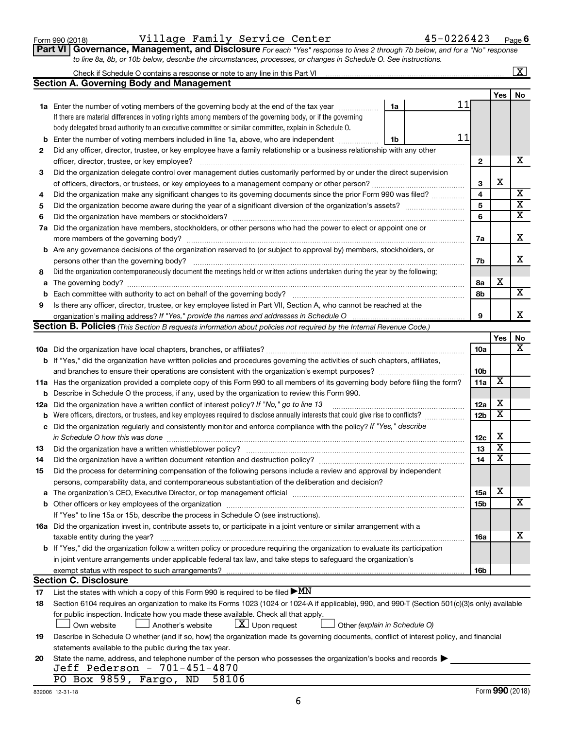**2**

**3**

**4 5 6**

#### **a b 16a b 17 18** The organization's CEO, Executive Director, or top management official Other officers or key employees of the organization If "Yes" to line 15a or 15b, describe the process in Schedule O (see instructions). in joint venture arrangements under applicable federal tax law, and take steps to safeguard the organization's List the states with which a copy of this Form 990 is required to be filed **Section C. Disclosure**  $\blacktriangleright$ MN

|   | <b>b</b> Each committee with authority to act on behalf of the governing body?                                                      |
|---|-------------------------------------------------------------------------------------------------------------------------------------|
| 9 | Is there any officer, director, trustee, or key employee listed in Part VII, Section A, who cannot be reached at the                |
|   |                                                                                                                                     |
|   | <b>Section B. Policies</b> (This Section B requests information about policies not required by the Internal Revenue Code.)          |
|   |                                                                                                                                     |
|   | <b>10a</b> Did the organization have local chapters, branches, or affiliates?                                                       |
|   | <b>b</b> If "Yes," did the organization have written policies and procedures governing the activities of such chapters, affiliates, |
|   | and branches to ensure their operations are consistent with the organization's exempt purposes?                                     |
|   | 11a Has the organization provided a complete copy of this Form 990 to all members of its governing body before filing the form?     |
|   | <b>b</b> Describe in Schedule O the process, if any, used by the organization to review this Form 990.                              |
|   | <b>12a</b> Did the organization have a written conflict of interest policy? If "No," go to line 13                                  |
|   |                                                                                                                                     |

|   |                                                                                                                                   | 7a |  |
|---|-----------------------------------------------------------------------------------------------------------------------------------|----|--|
|   | <b>b</b> Are any governance decisions of the organization reserved to (or subject to approval by) members, stockholders, or       |    |  |
|   | persons other than the governing body?                                                                                            | 7b |  |
| 8 | Did the organization contemporaneously document the meetings held or written actions undertaken during the year by the following: |    |  |
|   |                                                                                                                                   | 8а |  |
|   |                                                                                                                                   | 8b |  |
| 9 | Is there any officer, director, trustee, or key employee listed in Part VII, Section A, who cannot be reached at the              |    |  |
|   |                                                                                                                                   |    |  |

| Section B. Policies (This Section B requests information about policies not required by the Internal Revenue Coc |  |  |  |  |  |  |
|------------------------------------------------------------------------------------------------------------------|--|--|--|--|--|--|
|                                                                                                                  |  |  |  |  |  |  |

**7 a** Did the organization have members, stockholders, or other persons who had the power to elect or appoint one or

Did any officer, director, trustee, or key employee have a family relationship or a business relationship with any other

officer, director, trustee, or key employee? ~~~~~~~~~~~~~~~~~~~~~~~~~~~~~~~~~~~~~~~~ Did the organization delegate control over management duties customarily performed by or under the direct supervision of officers, directors, or trustees, or key employees to a management company or other person?~~~~~~~~~~~~~~ Did the organization make any significant changes to its governing documents since the prior Form 990 was filed? ............... Did the organization become aware during the year of a significant diversion of the organization's assets? ~~~~~~~~~ Did the organization have members or stockholders? ~~~~~~~~~~~~~~~~~~~~~~~~~~~~~~~~~~~

| Did the organization regularly and consistently monitor and enforce compliance with the policy? If "Yes," describe<br>c<br>in Schedule O how this was done<br>12 <sub>c</sub><br>Did the organization have a written whistleblower policy?<br>13<br>13<br>14<br>Did the organization have a written document retention and destruction policy? [11] manufaction manufaction in<br>14<br>Did the process for determining compensation of the following persons include a review and approval by independent<br>15<br>persons, comparability data, and contemporaneous substantiation of the deliberation and decision?<br>15a<br>The organization's CEO, Executive Director, or top management official manufactured content of the organization's CEO, Executive Director, or top management official manufactured and the state of the state of the state of<br>a<br>15 <sub>b</sub><br>If "Yes" to line 15a or 15b, describe the process in Schedule O (see instructions).<br>16a Did the organization invest in, contribute assets to, or participate in a joint venture or similar arrangement with a |                         |                         |
|-----------------------------------------------------------------------------------------------------------------------------------------------------------------------------------------------------------------------------------------------------------------------------------------------------------------------------------------------------------------------------------------------------------------------------------------------------------------------------------------------------------------------------------------------------------------------------------------------------------------------------------------------------------------------------------------------------------------------------------------------------------------------------------------------------------------------------------------------------------------------------------------------------------------------------------------------------------------------------------------------------------------------------------------------------------------------------------------------------------|-------------------------|-------------------------|
|                                                                                                                                                                                                                                                                                                                                                                                                                                                                                                                                                                                                                                                                                                                                                                                                                                                                                                                                                                                                                                                                                                           |                         |                         |
|                                                                                                                                                                                                                                                                                                                                                                                                                                                                                                                                                                                                                                                                                                                                                                                                                                                                                                                                                                                                                                                                                                           | X                       |                         |
|                                                                                                                                                                                                                                                                                                                                                                                                                                                                                                                                                                                                                                                                                                                                                                                                                                                                                                                                                                                                                                                                                                           | $\overline{\textbf{x}}$ |                         |
|                                                                                                                                                                                                                                                                                                                                                                                                                                                                                                                                                                                                                                                                                                                                                                                                                                                                                                                                                                                                                                                                                                           | $\overline{\textbf{x}}$ |                         |
|                                                                                                                                                                                                                                                                                                                                                                                                                                                                                                                                                                                                                                                                                                                                                                                                                                                                                                                                                                                                                                                                                                           |                         |                         |
|                                                                                                                                                                                                                                                                                                                                                                                                                                                                                                                                                                                                                                                                                                                                                                                                                                                                                                                                                                                                                                                                                                           |                         |                         |
|                                                                                                                                                                                                                                                                                                                                                                                                                                                                                                                                                                                                                                                                                                                                                                                                                                                                                                                                                                                                                                                                                                           | X                       |                         |
|                                                                                                                                                                                                                                                                                                                                                                                                                                                                                                                                                                                                                                                                                                                                                                                                                                                                                                                                                                                                                                                                                                           |                         | $\overline{\mathbf{x}}$ |
|                                                                                                                                                                                                                                                                                                                                                                                                                                                                                                                                                                                                                                                                                                                                                                                                                                                                                                                                                                                                                                                                                                           |                         |                         |
|                                                                                                                                                                                                                                                                                                                                                                                                                                                                                                                                                                                                                                                                                                                                                                                                                                                                                                                                                                                                                                                                                                           |                         |                         |
| taxable entity during the year?<br><b>16a</b>                                                                                                                                                                                                                                                                                                                                                                                                                                                                                                                                                                                                                                                                                                                                                                                                                                                                                                                                                                                                                                                             |                         | Χ                       |
| <b>b</b> If "Yes," did the organization follow a written policy or procedure requiring the organization to evaluate its participation                                                                                                                                                                                                                                                                                                                                                                                                                                                                                                                                                                                                                                                                                                                                                                                                                                                                                                                                                                     |                         |                         |
| in joint venture arrangements under applicable federal tax law, and take steps to safeguard the organization's                                                                                                                                                                                                                                                                                                                                                                                                                                                                                                                                                                                                                                                                                                                                                                                                                                                                                                                                                                                            |                         |                         |
| <b>16b</b>                                                                                                                                                                                                                                                                                                                                                                                                                                                                                                                                                                                                                                                                                                                                                                                                                                                                                                                                                                                                                                                                                                |                         |                         |
| <b>Section C. Disclosure</b>                                                                                                                                                                                                                                                                                                                                                                                                                                                                                                                                                                                                                                                                                                                                                                                                                                                                                                                                                                                                                                                                              |                         |                         |
| List the states with which a copy of this Form 990 is required to be filed $\blacktriangleright$ MN<br>17                                                                                                                                                                                                                                                                                                                                                                                                                                                                                                                                                                                                                                                                                                                                                                                                                                                                                                                                                                                                 |                         |                         |
| Section 6104 requires an organization to make its Forms 1023 (1024 or 1024-A if applicable), 990, and 990-T (Section 501(c)(3)s only) available<br>18                                                                                                                                                                                                                                                                                                                                                                                                                                                                                                                                                                                                                                                                                                                                                                                                                                                                                                                                                     |                         |                         |
| for public inspection. Indicate how you made these available. Check all that apply.                                                                                                                                                                                                                                                                                                                                                                                                                                                                                                                                                                                                                                                                                                                                                                                                                                                                                                                                                                                                                       |                         |                         |
| $\lfloor x \rfloor$ Upon request<br>Another's website<br>Other (explain in Schedule O)<br>Own website                                                                                                                                                                                                                                                                                                                                                                                                                                                                                                                                                                                                                                                                                                                                                                                                                                                                                                                                                                                                     |                         |                         |
| Describe in Schedule O whether (and if so, how) the organization made its governing documents, conflict of interest policy, and financial<br>19                                                                                                                                                                                                                                                                                                                                                                                                                                                                                                                                                                                                                                                                                                                                                                                                                                                                                                                                                           |                         |                         |
| statements available to the public during the tax year.                                                                                                                                                                                                                                                                                                                                                                                                                                                                                                                                                                                                                                                                                                                                                                                                                                                                                                                                                                                                                                                   |                         |                         |
| State the name, address, and telephone number of the person who possesses the organization's books and records<br>20                                                                                                                                                                                                                                                                                                                                                                                                                                                                                                                                                                                                                                                                                                                                                                                                                                                                                                                                                                                      |                         |                         |
| Jeff Pederson - 701-451-4870                                                                                                                                                                                                                                                                                                                                                                                                                                                                                                                                                                                                                                                                                                                                                                                                                                                                                                                                                                                                                                                                              |                         |                         |
| PO Box 9859, Fargo, ND<br>58106                                                                                                                                                                                                                                                                                                                                                                                                                                                                                                                                                                                                                                                                                                                                                                                                                                                                                                                                                                                                                                                                           |                         |                         |

6

*For each "Yes" response to lines 2 through 7b below, and for a "No" response* Form 990 (2018) Page Village Family Service Center 45-0226423 **Part VI** Governance, Management

*to line 8a, 8b, or 10b below, describe the circumstances, processes, or changes in Schedule O. See instructions.*

**6**

**2**

11

11

X

X

**7a**

**10a**

**10b 11a**

**12a**

**1a**

**1b**

| , responst |  |  |
|------------|--|--|
|            |  |  |

**Yes No**

 $\boxed{\text{X}}$ 

X

X X X

X

X

X

X

X

**Yes No**

X

X

| g <b>ement, and Disclosure</b> For each "` |
|--------------------------------------------|
|--------------------------------------------|

**1a** Enter the number of voting members of the governing body at the end of the tax year *www.fronoming* 

Check if Schedule O contains a response or note to any line in this Part VI

**Section A. Governing Body and Management**

If there are material differences in voting rights among members of the governing body, or if the governing body delegated broad authority to an executive committee or similar committee, explain in Schedule O.

**b** Enter the number of voting members included in line 1a, above, who are independent  $\ldots$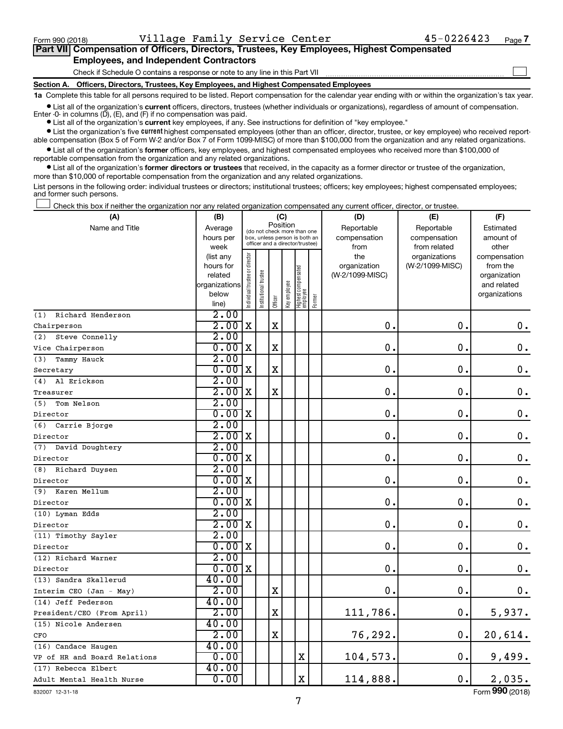$\Box$ 

| Part VII Compensation of Officers, Directors, Trustees, Key Employees, Highest Compensated |
|--------------------------------------------------------------------------------------------|
| <b>Employees, and Independent Contractors</b>                                              |

Check if Schedule O contains a response or note to any line in this Part VII

**Section A. Officers, Directors, Trustees, Key Employees, and Highest Compensated Employees**

**1a**  Complete this table for all persons required to be listed. Report compensation for the calendar year ending with or within the organization's tax year.

**•** List all of the organization's current officers, directors, trustees (whether individuals or organizations), regardless of amount of compensation. Enter -0- in columns  $(D)$ ,  $(E)$ , and  $(F)$  if no compensation was paid.

**•** List all of the organization's **current** key employees, if any. See instructions for definition of "key employee."

**•** List the organization's five current highest compensated employees (other than an officer, director, trustee, or key employee) who received reportable compensation (Box 5 of Form W-2 and/or Box 7 of Form 1099-MISC) of more than \$100,000 from the organization and any related organizations.

**•** List all of the organization's former officers, key employees, and highest compensated employees who received more than \$100,000 of reportable compensation from the organization and any related organizations.

**•** List all of the organization's former directors or trustees that received, in the capacity as a former director or trustee of the organization, more than \$10,000 of reportable compensation from the organization and any related organizations.

List persons in the following order: individual trustees or directors; institutional trustees; officers; key employees; highest compensated employees; and former such persons.

Check this box if neither the organization nor any related organization compensated any current officer, director, or trustee.  $\Box$ 

| Position<br>Name and Title<br>Reportable<br>Reportable<br>Estimated<br>Average<br>(do not check more than one<br>hours per<br>box, unless person is both an<br>compensation<br>compensation<br>amount of<br>officer and a director/trustee)<br>week<br>from<br>from related<br>other<br>Individual trustee or director<br>(list any<br>the<br>organizations<br>compensation<br>hours for<br>organization<br>(W-2/1099-MISC)<br>from the<br>Highest compensated<br>employee<br>Institutional trustee<br>(W-2/1099-MISC)<br>related<br>organization<br>Key employee<br>organizations<br>and related<br>below<br>organizations<br>Former<br>Officer<br>line)<br>$\overline{2.00}$<br>Richard Henderson<br>(1)<br>2.00<br>$\mathbf X$<br>$\mathbf X$<br>0.<br>0.<br>$0\cdot$<br>2.00<br>Steve Connelly<br>(2)<br>0.00<br>$\mathbf X$<br>$\mathbf X$<br>0.<br>$\mathbf 0$<br>$\mathbf 0$ .<br>2.00<br>(3)<br>Tammy Hauck<br>0.00<br>$\mathbf X$<br>0.<br>$\mathbf X$<br>$\mathbf 0$ .<br>$\mathbf 0$ .<br>Secretary<br>2.00<br>Al Erickson<br>(4)<br>2.00<br>$\mathbf X$<br>$\mathbf X$<br>$\mathbf 0$ .<br>$\mathbf 0$ .<br>0.<br>2.00<br>(5)<br>Tom Nelson<br>0.00<br>X<br>$\mathbf 0$ .<br>$\boldsymbol{0}$ .<br>$\mathbf 0$<br>2.00<br>(6)<br>Carrie Bjorge<br>2.00<br>X<br>0<br>$\mathbf 0$ .<br>$\mathbf 0$ .<br>2.00<br>(7)<br>David Doughtery<br>0.00<br>0.<br>X<br>$\mathbf 0$<br>$\mathbf 0$ .<br>2.00<br>Richard Duysen<br>(8)<br>0.00<br>$\mathbf 0$ .<br>$\mathbf 0$ .<br>$\mathbf 0$ .<br>X<br>2.00<br>(9)<br>Karen Mellum<br>0.00<br>$\mathbf 0$<br>$\mathbf 0$ .<br>X<br>0.<br>2.00<br>(10) Lyman Edds<br>2.00<br>X<br>$\mathbf 0$<br>$\mathbf 0$<br>$\mathbf 0$ .<br>2.00<br>(11) Timothy Sayler<br>0.00<br>X<br>$\mathbf 0$<br>$\mathbf 0$ .<br>0.<br>2.00<br>(12) Richard Warner<br>0.00<br>$\mathbf 0$ .<br>$\mathbf 0$<br>$\mathbf 0$ .<br>X<br>40.00<br>(13) Sandra Skallerud<br>2.00<br>$\mathbf 0$ .<br>$\mathbf X$<br>$\mathbf 0$ .<br>0.<br>Interim CEO (Jan - May)<br>40.00<br>2.00<br>$\mathbf X$<br>111,786.<br>$\mathbf 0$ .<br>5,937.<br>40.00<br>(15) Nicole Andersen<br>2.00<br>$\mathbf X$<br>76,292.<br>0.<br>20,614.<br>CFO<br>40.00<br>(16) Candace Haugen<br>$\mathbf 0$ .<br>0.00<br>X<br>104,573.<br>9,499.<br>40.00<br>(17) Rebecca Elbert<br>$\mathbf x$<br>0.<br>0.00<br>114,888.<br>2,035. | (A)                          | (B) |  | (C) |  | (D) | (E) | (F) |
|-----------------------------------------------------------------------------------------------------------------------------------------------------------------------------------------------------------------------------------------------------------------------------------------------------------------------------------------------------------------------------------------------------------------------------------------------------------------------------------------------------------------------------------------------------------------------------------------------------------------------------------------------------------------------------------------------------------------------------------------------------------------------------------------------------------------------------------------------------------------------------------------------------------------------------------------------------------------------------------------------------------------------------------------------------------------------------------------------------------------------------------------------------------------------------------------------------------------------------------------------------------------------------------------------------------------------------------------------------------------------------------------------------------------------------------------------------------------------------------------------------------------------------------------------------------------------------------------------------------------------------------------------------------------------------------------------------------------------------------------------------------------------------------------------------------------------------------------------------------------------------------------------------------------------------------------------------------------------------------------------------------------------------------------------------------------------------------------------------------------------------------------------------------------------------------------------------------------------------------------------------------------------------------------------------------------------------------|------------------------------|-----|--|-----|--|-----|-----|-----|
|                                                                                                                                                                                                                                                                                                                                                                                                                                                                                                                                                                                                                                                                                                                                                                                                                                                                                                                                                                                                                                                                                                                                                                                                                                                                                                                                                                                                                                                                                                                                                                                                                                                                                                                                                                                                                                                                                                                                                                                                                                                                                                                                                                                                                                                                                                                                   |                              |     |  |     |  |     |     |     |
|                                                                                                                                                                                                                                                                                                                                                                                                                                                                                                                                                                                                                                                                                                                                                                                                                                                                                                                                                                                                                                                                                                                                                                                                                                                                                                                                                                                                                                                                                                                                                                                                                                                                                                                                                                                                                                                                                                                                                                                                                                                                                                                                                                                                                                                                                                                                   |                              |     |  |     |  |     |     |     |
|                                                                                                                                                                                                                                                                                                                                                                                                                                                                                                                                                                                                                                                                                                                                                                                                                                                                                                                                                                                                                                                                                                                                                                                                                                                                                                                                                                                                                                                                                                                                                                                                                                                                                                                                                                                                                                                                                                                                                                                                                                                                                                                                                                                                                                                                                                                                   |                              |     |  |     |  |     |     |     |
|                                                                                                                                                                                                                                                                                                                                                                                                                                                                                                                                                                                                                                                                                                                                                                                                                                                                                                                                                                                                                                                                                                                                                                                                                                                                                                                                                                                                                                                                                                                                                                                                                                                                                                                                                                                                                                                                                                                                                                                                                                                                                                                                                                                                                                                                                                                                   |                              |     |  |     |  |     |     |     |
|                                                                                                                                                                                                                                                                                                                                                                                                                                                                                                                                                                                                                                                                                                                                                                                                                                                                                                                                                                                                                                                                                                                                                                                                                                                                                                                                                                                                                                                                                                                                                                                                                                                                                                                                                                                                                                                                                                                                                                                                                                                                                                                                                                                                                                                                                                                                   |                              |     |  |     |  |     |     |     |
|                                                                                                                                                                                                                                                                                                                                                                                                                                                                                                                                                                                                                                                                                                                                                                                                                                                                                                                                                                                                                                                                                                                                                                                                                                                                                                                                                                                                                                                                                                                                                                                                                                                                                                                                                                                                                                                                                                                                                                                                                                                                                                                                                                                                                                                                                                                                   |                              |     |  |     |  |     |     |     |
|                                                                                                                                                                                                                                                                                                                                                                                                                                                                                                                                                                                                                                                                                                                                                                                                                                                                                                                                                                                                                                                                                                                                                                                                                                                                                                                                                                                                                                                                                                                                                                                                                                                                                                                                                                                                                                                                                                                                                                                                                                                                                                                                                                                                                                                                                                                                   |                              |     |  |     |  |     |     |     |
|                                                                                                                                                                                                                                                                                                                                                                                                                                                                                                                                                                                                                                                                                                                                                                                                                                                                                                                                                                                                                                                                                                                                                                                                                                                                                                                                                                                                                                                                                                                                                                                                                                                                                                                                                                                                                                                                                                                                                                                                                                                                                                                                                                                                                                                                                                                                   |                              |     |  |     |  |     |     |     |
|                                                                                                                                                                                                                                                                                                                                                                                                                                                                                                                                                                                                                                                                                                                                                                                                                                                                                                                                                                                                                                                                                                                                                                                                                                                                                                                                                                                                                                                                                                                                                                                                                                                                                                                                                                                                                                                                                                                                                                                                                                                                                                                                                                                                                                                                                                                                   |                              |     |  |     |  |     |     |     |
|                                                                                                                                                                                                                                                                                                                                                                                                                                                                                                                                                                                                                                                                                                                                                                                                                                                                                                                                                                                                                                                                                                                                                                                                                                                                                                                                                                                                                                                                                                                                                                                                                                                                                                                                                                                                                                                                                                                                                                                                                                                                                                                                                                                                                                                                                                                                   | Chairperson                  |     |  |     |  |     |     |     |
|                                                                                                                                                                                                                                                                                                                                                                                                                                                                                                                                                                                                                                                                                                                                                                                                                                                                                                                                                                                                                                                                                                                                                                                                                                                                                                                                                                                                                                                                                                                                                                                                                                                                                                                                                                                                                                                                                                                                                                                                                                                                                                                                                                                                                                                                                                                                   |                              |     |  |     |  |     |     |     |
|                                                                                                                                                                                                                                                                                                                                                                                                                                                                                                                                                                                                                                                                                                                                                                                                                                                                                                                                                                                                                                                                                                                                                                                                                                                                                                                                                                                                                                                                                                                                                                                                                                                                                                                                                                                                                                                                                                                                                                                                                                                                                                                                                                                                                                                                                                                                   | Vice Chairperson             |     |  |     |  |     |     |     |
|                                                                                                                                                                                                                                                                                                                                                                                                                                                                                                                                                                                                                                                                                                                                                                                                                                                                                                                                                                                                                                                                                                                                                                                                                                                                                                                                                                                                                                                                                                                                                                                                                                                                                                                                                                                                                                                                                                                                                                                                                                                                                                                                                                                                                                                                                                                                   |                              |     |  |     |  |     |     |     |
|                                                                                                                                                                                                                                                                                                                                                                                                                                                                                                                                                                                                                                                                                                                                                                                                                                                                                                                                                                                                                                                                                                                                                                                                                                                                                                                                                                                                                                                                                                                                                                                                                                                                                                                                                                                                                                                                                                                                                                                                                                                                                                                                                                                                                                                                                                                                   |                              |     |  |     |  |     |     |     |
|                                                                                                                                                                                                                                                                                                                                                                                                                                                                                                                                                                                                                                                                                                                                                                                                                                                                                                                                                                                                                                                                                                                                                                                                                                                                                                                                                                                                                                                                                                                                                                                                                                                                                                                                                                                                                                                                                                                                                                                                                                                                                                                                                                                                                                                                                                                                   |                              |     |  |     |  |     |     |     |
|                                                                                                                                                                                                                                                                                                                                                                                                                                                                                                                                                                                                                                                                                                                                                                                                                                                                                                                                                                                                                                                                                                                                                                                                                                                                                                                                                                                                                                                                                                                                                                                                                                                                                                                                                                                                                                                                                                                                                                                                                                                                                                                                                                                                                                                                                                                                   | Treasurer                    |     |  |     |  |     |     |     |
|                                                                                                                                                                                                                                                                                                                                                                                                                                                                                                                                                                                                                                                                                                                                                                                                                                                                                                                                                                                                                                                                                                                                                                                                                                                                                                                                                                                                                                                                                                                                                                                                                                                                                                                                                                                                                                                                                                                                                                                                                                                                                                                                                                                                                                                                                                                                   |                              |     |  |     |  |     |     |     |
|                                                                                                                                                                                                                                                                                                                                                                                                                                                                                                                                                                                                                                                                                                                                                                                                                                                                                                                                                                                                                                                                                                                                                                                                                                                                                                                                                                                                                                                                                                                                                                                                                                                                                                                                                                                                                                                                                                                                                                                                                                                                                                                                                                                                                                                                                                                                   | Director                     |     |  |     |  |     |     |     |
|                                                                                                                                                                                                                                                                                                                                                                                                                                                                                                                                                                                                                                                                                                                                                                                                                                                                                                                                                                                                                                                                                                                                                                                                                                                                                                                                                                                                                                                                                                                                                                                                                                                                                                                                                                                                                                                                                                                                                                                                                                                                                                                                                                                                                                                                                                                                   |                              |     |  |     |  |     |     |     |
|                                                                                                                                                                                                                                                                                                                                                                                                                                                                                                                                                                                                                                                                                                                                                                                                                                                                                                                                                                                                                                                                                                                                                                                                                                                                                                                                                                                                                                                                                                                                                                                                                                                                                                                                                                                                                                                                                                                                                                                                                                                                                                                                                                                                                                                                                                                                   | Director                     |     |  |     |  |     |     |     |
|                                                                                                                                                                                                                                                                                                                                                                                                                                                                                                                                                                                                                                                                                                                                                                                                                                                                                                                                                                                                                                                                                                                                                                                                                                                                                                                                                                                                                                                                                                                                                                                                                                                                                                                                                                                                                                                                                                                                                                                                                                                                                                                                                                                                                                                                                                                                   |                              |     |  |     |  |     |     |     |
|                                                                                                                                                                                                                                                                                                                                                                                                                                                                                                                                                                                                                                                                                                                                                                                                                                                                                                                                                                                                                                                                                                                                                                                                                                                                                                                                                                                                                                                                                                                                                                                                                                                                                                                                                                                                                                                                                                                                                                                                                                                                                                                                                                                                                                                                                                                                   | Director                     |     |  |     |  |     |     |     |
|                                                                                                                                                                                                                                                                                                                                                                                                                                                                                                                                                                                                                                                                                                                                                                                                                                                                                                                                                                                                                                                                                                                                                                                                                                                                                                                                                                                                                                                                                                                                                                                                                                                                                                                                                                                                                                                                                                                                                                                                                                                                                                                                                                                                                                                                                                                                   |                              |     |  |     |  |     |     |     |
|                                                                                                                                                                                                                                                                                                                                                                                                                                                                                                                                                                                                                                                                                                                                                                                                                                                                                                                                                                                                                                                                                                                                                                                                                                                                                                                                                                                                                                                                                                                                                                                                                                                                                                                                                                                                                                                                                                                                                                                                                                                                                                                                                                                                                                                                                                                                   | Director                     |     |  |     |  |     |     |     |
|                                                                                                                                                                                                                                                                                                                                                                                                                                                                                                                                                                                                                                                                                                                                                                                                                                                                                                                                                                                                                                                                                                                                                                                                                                                                                                                                                                                                                                                                                                                                                                                                                                                                                                                                                                                                                                                                                                                                                                                                                                                                                                                                                                                                                                                                                                                                   |                              |     |  |     |  |     |     |     |
|                                                                                                                                                                                                                                                                                                                                                                                                                                                                                                                                                                                                                                                                                                                                                                                                                                                                                                                                                                                                                                                                                                                                                                                                                                                                                                                                                                                                                                                                                                                                                                                                                                                                                                                                                                                                                                                                                                                                                                                                                                                                                                                                                                                                                                                                                                                                   | Director                     |     |  |     |  |     |     |     |
|                                                                                                                                                                                                                                                                                                                                                                                                                                                                                                                                                                                                                                                                                                                                                                                                                                                                                                                                                                                                                                                                                                                                                                                                                                                                                                                                                                                                                                                                                                                                                                                                                                                                                                                                                                                                                                                                                                                                                                                                                                                                                                                                                                                                                                                                                                                                   |                              |     |  |     |  |     |     |     |
|                                                                                                                                                                                                                                                                                                                                                                                                                                                                                                                                                                                                                                                                                                                                                                                                                                                                                                                                                                                                                                                                                                                                                                                                                                                                                                                                                                                                                                                                                                                                                                                                                                                                                                                                                                                                                                                                                                                                                                                                                                                                                                                                                                                                                                                                                                                                   | Director                     |     |  |     |  |     |     |     |
|                                                                                                                                                                                                                                                                                                                                                                                                                                                                                                                                                                                                                                                                                                                                                                                                                                                                                                                                                                                                                                                                                                                                                                                                                                                                                                                                                                                                                                                                                                                                                                                                                                                                                                                                                                                                                                                                                                                                                                                                                                                                                                                                                                                                                                                                                                                                   |                              |     |  |     |  |     |     |     |
|                                                                                                                                                                                                                                                                                                                                                                                                                                                                                                                                                                                                                                                                                                                                                                                                                                                                                                                                                                                                                                                                                                                                                                                                                                                                                                                                                                                                                                                                                                                                                                                                                                                                                                                                                                                                                                                                                                                                                                                                                                                                                                                                                                                                                                                                                                                                   | Director                     |     |  |     |  |     |     |     |
|                                                                                                                                                                                                                                                                                                                                                                                                                                                                                                                                                                                                                                                                                                                                                                                                                                                                                                                                                                                                                                                                                                                                                                                                                                                                                                                                                                                                                                                                                                                                                                                                                                                                                                                                                                                                                                                                                                                                                                                                                                                                                                                                                                                                                                                                                                                                   |                              |     |  |     |  |     |     |     |
|                                                                                                                                                                                                                                                                                                                                                                                                                                                                                                                                                                                                                                                                                                                                                                                                                                                                                                                                                                                                                                                                                                                                                                                                                                                                                                                                                                                                                                                                                                                                                                                                                                                                                                                                                                                                                                                                                                                                                                                                                                                                                                                                                                                                                                                                                                                                   | Director                     |     |  |     |  |     |     |     |
|                                                                                                                                                                                                                                                                                                                                                                                                                                                                                                                                                                                                                                                                                                                                                                                                                                                                                                                                                                                                                                                                                                                                                                                                                                                                                                                                                                                                                                                                                                                                                                                                                                                                                                                                                                                                                                                                                                                                                                                                                                                                                                                                                                                                                                                                                                                                   |                              |     |  |     |  |     |     |     |
|                                                                                                                                                                                                                                                                                                                                                                                                                                                                                                                                                                                                                                                                                                                                                                                                                                                                                                                                                                                                                                                                                                                                                                                                                                                                                                                                                                                                                                                                                                                                                                                                                                                                                                                                                                                                                                                                                                                                                                                                                                                                                                                                                                                                                                                                                                                                   |                              |     |  |     |  |     |     |     |
|                                                                                                                                                                                                                                                                                                                                                                                                                                                                                                                                                                                                                                                                                                                                                                                                                                                                                                                                                                                                                                                                                                                                                                                                                                                                                                                                                                                                                                                                                                                                                                                                                                                                                                                                                                                                                                                                                                                                                                                                                                                                                                                                                                                                                                                                                                                                   | (14) Jeff Pederson           |     |  |     |  |     |     |     |
|                                                                                                                                                                                                                                                                                                                                                                                                                                                                                                                                                                                                                                                                                                                                                                                                                                                                                                                                                                                                                                                                                                                                                                                                                                                                                                                                                                                                                                                                                                                                                                                                                                                                                                                                                                                                                                                                                                                                                                                                                                                                                                                                                                                                                                                                                                                                   | President/CEO (From April)   |     |  |     |  |     |     |     |
|                                                                                                                                                                                                                                                                                                                                                                                                                                                                                                                                                                                                                                                                                                                                                                                                                                                                                                                                                                                                                                                                                                                                                                                                                                                                                                                                                                                                                                                                                                                                                                                                                                                                                                                                                                                                                                                                                                                                                                                                                                                                                                                                                                                                                                                                                                                                   |                              |     |  |     |  |     |     |     |
|                                                                                                                                                                                                                                                                                                                                                                                                                                                                                                                                                                                                                                                                                                                                                                                                                                                                                                                                                                                                                                                                                                                                                                                                                                                                                                                                                                                                                                                                                                                                                                                                                                                                                                                                                                                                                                                                                                                                                                                                                                                                                                                                                                                                                                                                                                                                   |                              |     |  |     |  |     |     |     |
|                                                                                                                                                                                                                                                                                                                                                                                                                                                                                                                                                                                                                                                                                                                                                                                                                                                                                                                                                                                                                                                                                                                                                                                                                                                                                                                                                                                                                                                                                                                                                                                                                                                                                                                                                                                                                                                                                                                                                                                                                                                                                                                                                                                                                                                                                                                                   |                              |     |  |     |  |     |     |     |
|                                                                                                                                                                                                                                                                                                                                                                                                                                                                                                                                                                                                                                                                                                                                                                                                                                                                                                                                                                                                                                                                                                                                                                                                                                                                                                                                                                                                                                                                                                                                                                                                                                                                                                                                                                                                                                                                                                                                                                                                                                                                                                                                                                                                                                                                                                                                   | VP of HR and Board Relations |     |  |     |  |     |     |     |
|                                                                                                                                                                                                                                                                                                                                                                                                                                                                                                                                                                                                                                                                                                                                                                                                                                                                                                                                                                                                                                                                                                                                                                                                                                                                                                                                                                                                                                                                                                                                                                                                                                                                                                                                                                                                                                                                                                                                                                                                                                                                                                                                                                                                                                                                                                                                   |                              |     |  |     |  |     |     |     |
|                                                                                                                                                                                                                                                                                                                                                                                                                                                                                                                                                                                                                                                                                                                                                                                                                                                                                                                                                                                                                                                                                                                                                                                                                                                                                                                                                                                                                                                                                                                                                                                                                                                                                                                                                                                                                                                                                                                                                                                                                                                                                                                                                                                                                                                                                                                                   | Adult Mental Health Nurse    |     |  |     |  |     |     |     |

832007 12-31-18

Form (2018) **990**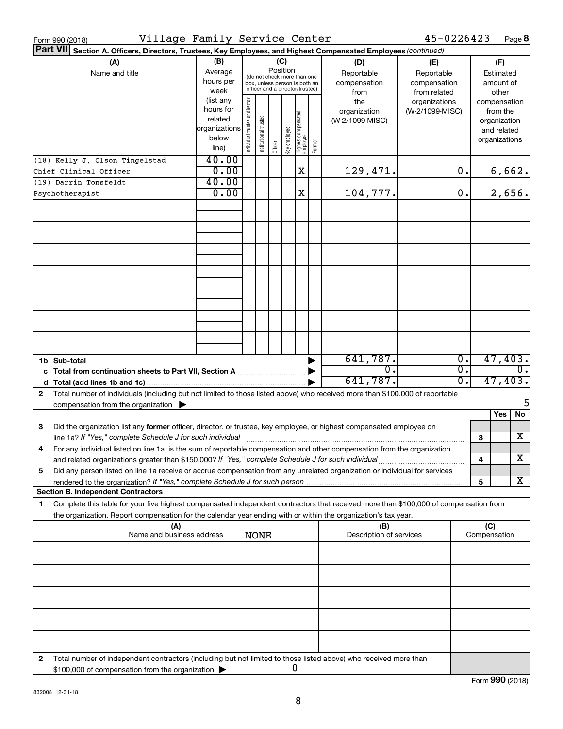| Form 990 (2018)                                                                                                                                                                                                                                                        | Village Family Service Center                                                                                                                                                                                                                               |                               |                       |         |               |                                   |        |                                        | 45-0226423                       |                        |                                        | Page 8                                                                   |
|------------------------------------------------------------------------------------------------------------------------------------------------------------------------------------------------------------------------------------------------------------------------|-------------------------------------------------------------------------------------------------------------------------------------------------------------------------------------------------------------------------------------------------------------|-------------------------------|-----------------------|---------|---------------|-----------------------------------|--------|----------------------------------------|----------------------------------|------------------------|----------------------------------------|--------------------------------------------------------------------------|
| <b>Part VII</b><br>Section A. Officers, Directors, Trustees, Key Employees, and Highest Compensated Employees (continued)                                                                                                                                              |                                                                                                                                                                                                                                                             |                               |                       |         |               |                                   |        |                                        |                                  |                        |                                        |                                                                          |
| (A)<br>Name and title                                                                                                                                                                                                                                                  | (B)<br>(C)<br>(D)<br>(E)<br>Position<br>Average<br>Reportable<br>Reportable<br>(do not check more than one<br>hours per<br>compensation<br>compensation<br>box, unless person is both an<br>officer and a director/trustee)<br>week<br>from<br>from related |                               |                       |         |               |                                   |        |                                        |                                  |                        | (F)<br>Estimated<br>amount of<br>other |                                                                          |
|                                                                                                                                                                                                                                                                        | (list any<br>hours for<br>related<br>organizations<br>below<br>line)                                                                                                                                                                                        | ndividual trustee or director | Institutional trustee | Officer | ea olquue Aey | Highest compensated<br>  employee | Former | the<br>organization<br>(W-2/1099-MISC) | organizations<br>(W-2/1099-MISC) |                        |                                        | compensation<br>from the<br>organization<br>and related<br>organizations |
| (18) Kelly J. Olson Tingelstad<br>Chief Clinical Officer                                                                                                                                                                                                               | 40.00<br>0.00                                                                                                                                                                                                                                               |                               |                       |         |               | X                                 |        | 129,471.                               |                                  | 0.                     |                                        | 6,662.                                                                   |
| (19) Darrin Tonsfeldt                                                                                                                                                                                                                                                  | 40.00                                                                                                                                                                                                                                                       |                               |                       |         |               |                                   |        |                                        |                                  |                        |                                        |                                                                          |
| Psychotherapist                                                                                                                                                                                                                                                        | 0.00                                                                                                                                                                                                                                                        |                               |                       |         |               | X                                 |        | 104,777.                               |                                  | 0.                     |                                        | 2,656.                                                                   |
|                                                                                                                                                                                                                                                                        |                                                                                                                                                                                                                                                             |                               |                       |         |               |                                   |        |                                        |                                  |                        |                                        |                                                                          |
|                                                                                                                                                                                                                                                                        |                                                                                                                                                                                                                                                             |                               |                       |         |               |                                   |        |                                        |                                  |                        |                                        |                                                                          |
|                                                                                                                                                                                                                                                                        |                                                                                                                                                                                                                                                             |                               |                       |         |               |                                   |        |                                        |                                  |                        |                                        |                                                                          |
|                                                                                                                                                                                                                                                                        |                                                                                                                                                                                                                                                             |                               |                       |         |               |                                   |        |                                        |                                  |                        |                                        |                                                                          |
|                                                                                                                                                                                                                                                                        |                                                                                                                                                                                                                                                             |                               |                       |         |               |                                   |        |                                        |                                  |                        |                                        |                                                                          |
|                                                                                                                                                                                                                                                                        |                                                                                                                                                                                                                                                             |                               |                       |         |               |                                   |        |                                        |                                  |                        |                                        |                                                                          |
| 1b Sub-total                                                                                                                                                                                                                                                           |                                                                                                                                                                                                                                                             |                               |                       |         |               |                                   |        | 641,787.                               |                                  | σ.                     |                                        | 47,403.                                                                  |
| c Total from continuation sheets to Part VII, Section A <b>Constitution</b>                                                                                                                                                                                            |                                                                                                                                                                                                                                                             |                               |                       |         |               |                                   |        | σ.<br>641,787.                         |                                  | $\overline{0}$ .<br>0. |                                        | $\overline{0}$ .<br>47,403.                                              |
| Total number of individuals (including but not limited to those listed above) who received more than \$100,000 of reportable<br>2<br>compensation from the organization $\blacktriangleright$                                                                          |                                                                                                                                                                                                                                                             |                               |                       |         |               |                                   |        |                                        |                                  |                        |                                        | 5                                                                        |
|                                                                                                                                                                                                                                                                        |                                                                                                                                                                                                                                                             |                               |                       |         |               |                                   |        |                                        |                                  |                        |                                        | Yes<br>No                                                                |
| 3<br>Did the organization list any former officer, director, or trustee, key employee, or highest compensated employee on<br>line 1a? If "Yes," complete Schedule J for such individual manufactured content to the successive complete Schedule J for such individual |                                                                                                                                                                                                                                                             |                               |                       |         |               |                                   |        |                                        |                                  |                        | з                                      | x                                                                        |
| For any individual listed on line 1a, is the sum of reportable compensation and other compensation from the organization<br>and related organizations greater than \$150,000? If "Yes," complete Schedule J for such individual                                        |                                                                                                                                                                                                                                                             |                               |                       |         |               |                                   |        |                                        |                                  |                        | 4                                      | х                                                                        |
| Did any person listed on line 1a receive or accrue compensation from any unrelated organization or individual for services<br>5                                                                                                                                        |                                                                                                                                                                                                                                                             |                               |                       |         |               |                                   |        |                                        |                                  |                        | 5                                      | x                                                                        |
| <b>Section B. Independent Contractors</b>                                                                                                                                                                                                                              |                                                                                                                                                                                                                                                             |                               |                       |         |               |                                   |        |                                        |                                  |                        |                                        |                                                                          |
| Complete this table for your five highest compensated independent contractors that received more than \$100,000 of compensation from<br>1<br>the organization. Report compensation for the calendar year ending with or within the organization's tax year.            |                                                                                                                                                                                                                                                             |                               |                       |         |               |                                   |        |                                        |                                  |                        |                                        |                                                                          |
| (A)<br>Name and business address                                                                                                                                                                                                                                       |                                                                                                                                                                                                                                                             |                               | <b>NONE</b>           |         |               |                                   |        | (B)<br>Description of services         |                                  |                        | (C)<br>Compensation                    |                                                                          |
|                                                                                                                                                                                                                                                                        |                                                                                                                                                                                                                                                             |                               |                       |         |               |                                   |        |                                        |                                  |                        |                                        |                                                                          |
|                                                                                                                                                                                                                                                                        |                                                                                                                                                                                                                                                             |                               |                       |         |               |                                   |        |                                        |                                  |                        |                                        |                                                                          |
|                                                                                                                                                                                                                                                                        |                                                                                                                                                                                                                                                             |                               |                       |         |               |                                   |        |                                        |                                  |                        |                                        |                                                                          |
|                                                                                                                                                                                                                                                                        |                                                                                                                                                                                                                                                             |                               |                       |         |               |                                   |        |                                        |                                  |                        |                                        |                                                                          |
| Total number of independent contractors (including but not limited to those listed above) who received more than<br>2                                                                                                                                                  |                                                                                                                                                                                                                                                             |                               |                       |         |               |                                   |        |                                        |                                  |                        |                                        |                                                                          |
| \$100,000 of compensation from the organization                                                                                                                                                                                                                        |                                                                                                                                                                                                                                                             |                               |                       |         | 0             |                                   |        |                                        |                                  |                        |                                        |                                                                          |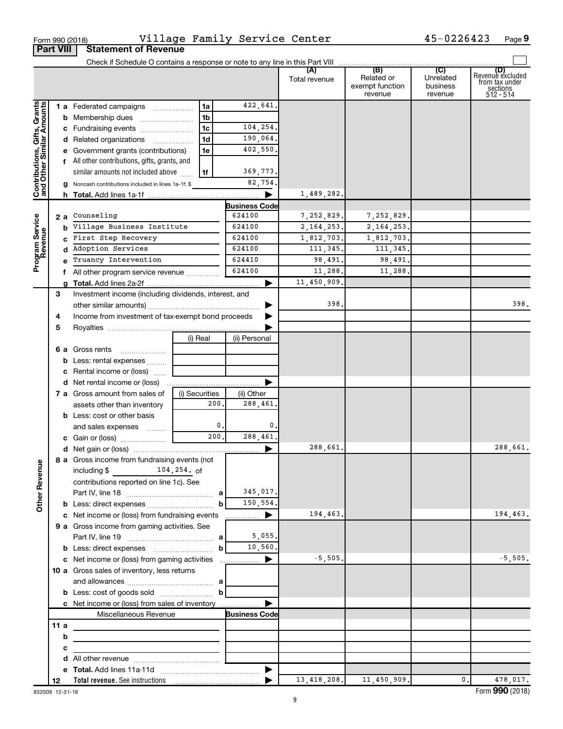|                                                           |     |                                                                         |                |                  |                           | Total revenue | Related or<br>exempt function<br>revenue | Unrelated<br>business<br>revenue | (D)<br>Revenue excluded<br>from tax under<br>sections<br>512 - 514 |
|-----------------------------------------------------------|-----|-------------------------------------------------------------------------|----------------|------------------|---------------------------|---------------|------------------------------------------|----------------------------------|--------------------------------------------------------------------|
|                                                           |     | 1 a Federated campaigns                                                 | 1a             |                  | 422,641.                  |               |                                          |                                  |                                                                    |
| Contributions, Gifts, Grants<br>and Other Similar Amounts |     | <b>b</b> Membership dues                                                | 1 <sub>b</sub> |                  |                           |               |                                          |                                  |                                                                    |
|                                                           |     | c Fundraising events                                                    | 1 <sub>c</sub> |                  | 104,254.                  |               |                                          |                                  |                                                                    |
|                                                           |     | d Related organizations                                                 | 1 <sub>d</sub> |                  | 190,064.                  |               |                                          |                                  |                                                                    |
|                                                           |     | e Government grants (contributions)                                     | 1e             |                  | 402,550.                  |               |                                          |                                  |                                                                    |
|                                                           |     | f All other contributions, gifts, grants, and                           |                |                  |                           |               |                                          |                                  |                                                                    |
|                                                           |     | similar amounts not included above                                      | l 1f           |                  | 369,773.                  |               |                                          |                                  |                                                                    |
|                                                           |     | <b>g</b> Noncash contributions included in lines 1a-1f: \$              |                |                  | 82,754.                   |               |                                          |                                  |                                                                    |
|                                                           |     |                                                                         |                |                  | $\blacktriangleright$     | 1,489,282.    |                                          |                                  |                                                                    |
|                                                           |     |                                                                         |                |                  | <b>Business Code</b>      |               |                                          |                                  |                                                                    |
|                                                           |     | 2 a Counseling                                                          |                |                  | 624100                    | 7,252,829.    | 7,252,829.                               |                                  |                                                                    |
|                                                           |     | <b>b</b> Village Business Institute                                     |                |                  | 624100                    | 2, 164, 253.  | 2, 164, 253.                             |                                  |                                                                    |
|                                                           |     | c First Step Recovery                                                   |                |                  | 624100                    | 1,812,703.    | 1,812,703.                               |                                  |                                                                    |
|                                                           |     | d Adoption Services                                                     |                |                  | 624100                    | 111, 345.     | 111,345.                                 |                                  |                                                                    |
| Program Service<br>Revenue                                |     | Truancy Intervention                                                    |                |                  | 624410                    | 98,491.       | 98,491.                                  |                                  |                                                                    |
|                                                           |     | f All other program service revenue                                     |                |                  | 624100                    | 11,288.       | 11,288.                                  |                                  |                                                                    |
|                                                           |     |                                                                         |                |                  | ▶                         | 11,450,909.   |                                          |                                  |                                                                    |
|                                                           | 3   | Investment income (including dividends, interest, and                   |                |                  |                           |               |                                          |                                  |                                                                    |
|                                                           |     |                                                                         |                |                  |                           | 398.          |                                          |                                  | 398.                                                               |
|                                                           | 4   |                                                                         |                |                  |                           |               |                                          |                                  |                                                                    |
|                                                           | 5   | Income from investment of tax-exempt bond proceeds                      |                |                  |                           |               |                                          |                                  |                                                                    |
|                                                           |     |                                                                         | (i) Real       |                  | (ii) Personal             |               |                                          |                                  |                                                                    |
|                                                           |     | 6 a Gross rents<br>$\overline{\phantom{a}}$                             |                |                  |                           |               |                                          |                                  |                                                                    |
|                                                           |     | <b>b</b> Less: rental expenses                                          |                |                  |                           |               |                                          |                                  |                                                                    |
|                                                           |     | c Rental income or (loss)                                               |                |                  |                           |               |                                          |                                  |                                                                    |
|                                                           |     |                                                                         |                |                  | ▶                         |               |                                          |                                  |                                                                    |
|                                                           |     | <b>7 a</b> Gross amount from sales of                                   | (i) Securities |                  |                           |               |                                          |                                  |                                                                    |
|                                                           |     | assets other than inventory                                             |                | 200.             | (ii) Other<br>288,461.    |               |                                          |                                  |                                                                    |
|                                                           |     | <b>b</b> Less: cost or other basis                                      |                |                  |                           |               |                                          |                                  |                                                                    |
|                                                           |     |                                                                         |                | $\mathfrak{o}$ . | 0.                        |               |                                          |                                  |                                                                    |
|                                                           |     | and sales expenses                                                      |                | 200.             | 288,461.                  |               |                                          |                                  |                                                                    |
|                                                           |     |                                                                         |                |                  |                           | 288,661.      |                                          |                                  | 288,661.                                                           |
|                                                           |     | 8 a Gross income from fundraising events (not                           |                |                  |                           |               |                                          |                                  |                                                                    |
| Ф                                                         |     | $104, 254.$ of<br>including \$                                          |                |                  |                           |               |                                          |                                  |                                                                    |
|                                                           |     |                                                                         |                |                  |                           |               |                                          |                                  |                                                                    |
| Other Revenu                                              |     | contributions reported on line 1c). See                                 |                |                  | 345,017.                  |               |                                          |                                  |                                                                    |
|                                                           |     |                                                                         |                | b                | 150,554.                  |               |                                          |                                  |                                                                    |
|                                                           |     |                                                                         |                |                  |                           | 194,463.      |                                          |                                  | 194,463.                                                           |
|                                                           |     | 9 a Gross income from gaming activities. See                            |                |                  |                           |               |                                          |                                  |                                                                    |
|                                                           |     |                                                                         |                |                  | 5,055.                    |               |                                          |                                  |                                                                    |
|                                                           |     |                                                                         |                | $\mathbf{b}$     | 10,560.                   |               |                                          |                                  |                                                                    |
|                                                           |     |                                                                         |                |                  |                           | $-5,505.$     |                                          |                                  | $-5,505.$                                                          |
|                                                           |     |                                                                         |                |                  |                           |               |                                          |                                  |                                                                    |
|                                                           |     | 10 a Gross sales of inventory, less returns                             |                |                  |                           |               |                                          |                                  |                                                                    |
|                                                           |     |                                                                         |                | $\mathbf{b}$     |                           |               |                                          |                                  |                                                                    |
|                                                           |     | <b>b</b> Less: cost of goods sold                                       |                |                  |                           |               |                                          |                                  |                                                                    |
|                                                           |     | c Net income or (loss) from sales of inventory<br>Miscellaneous Revenue |                |                  | ▶<br><b>Business Code</b> |               |                                          |                                  |                                                                    |
|                                                           | 11a |                                                                         |                |                  |                           |               |                                          |                                  |                                                                    |
|                                                           | b   |                                                                         |                |                  |                           |               |                                          |                                  |                                                                    |
|                                                           |     |                                                                         |                |                  |                           |               |                                          |                                  |                                                                    |
|                                                           | c   |                                                                         |                |                  |                           |               |                                          |                                  |                                                                    |
|                                                           | d   |                                                                         |                |                  |                           |               |                                          |                                  |                                                                    |
|                                                           | 12  |                                                                         |                |                  |                           | 13, 418, 208. | 11,450,909.                              | $\mathbf{0}$ .                   | 478,017.                                                           |
|                                                           |     |                                                                         |                |                  |                           |               |                                          |                                  |                                                                    |

| Form 990 (2018) |                           |
|-----------------|---------------------------|
|                 | <b>Part VIII Statemen</b> |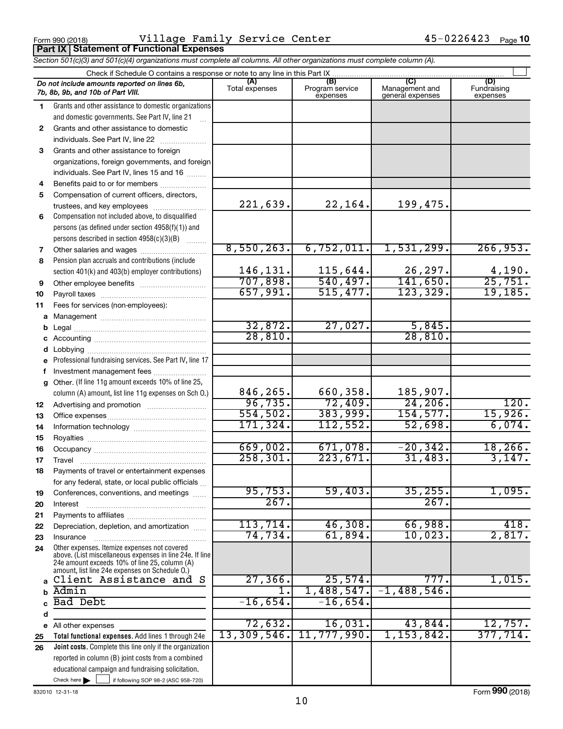**Part IX Statement of Functional Expenses**

Form 990 (2018) **Page Promission Page Framily Service Center** Page Research Mage Page Village Family Service Center 45-0226423

|              | Section 501(c)(3) and 501(c)(4) organizations must complete all columns. All other organizations must complete column (A).                                  |                |                             |                                    |                         |
|--------------|-------------------------------------------------------------------------------------------------------------------------------------------------------------|----------------|-----------------------------|------------------------------------|-------------------------|
|              | Check if Schedule O contains a response or note to any line in this Part IX                                                                                 | (A)            | (B)                         | (C)                                | (D)                     |
|              | Do not include amounts reported on lines 6b,<br>7b, 8b, 9b, and 10b of Part VIII.                                                                           | Total expenses | Program service<br>expenses | Management and<br>general expenses | Fundraising<br>expenses |
| 1.           | Grants and other assistance to domestic organizations                                                                                                       |                |                             |                                    |                         |
|              | and domestic governments. See Part IV, line 21                                                                                                              |                |                             |                                    |                         |
| $\mathbf{2}$ | Grants and other assistance to domestic                                                                                                                     |                |                             |                                    |                         |
|              | individuals. See Part IV, line 22                                                                                                                           |                |                             |                                    |                         |
| 3            | Grants and other assistance to foreign                                                                                                                      |                |                             |                                    |                         |
|              | organizations, foreign governments, and foreign                                                                                                             |                |                             |                                    |                         |
|              | individuals. See Part IV, lines 15 and 16                                                                                                                   |                |                             |                                    |                         |
| 4            | Benefits paid to or for members                                                                                                                             |                |                             |                                    |                         |
| 5            | Compensation of current officers, directors,                                                                                                                |                |                             |                                    |                         |
|              | trustees, and key employees                                                                                                                                 | 221,639.       | 22,164.                     | 199,475.                           |                         |
| 6            | Compensation not included above, to disqualified                                                                                                            |                |                             |                                    |                         |
|              | persons (as defined under section 4958(f)(1)) and                                                                                                           |                |                             |                                    |                         |
|              | persons described in section 4958(c)(3)(B)                                                                                                                  |                |                             |                                    |                         |
| 7            | Other salaries and wages                                                                                                                                    | 8,550,263.     | 6,752,011.                  | 1,531,299.                         | 266,953.                |
| 8            | Pension plan accruals and contributions (include                                                                                                            |                |                             |                                    |                         |
|              | section 401(k) and 403(b) employer contributions)                                                                                                           | 146,131.       | 115,644.                    | 26,297.                            | $\frac{4,190}{25,751}$  |
| 9            | Other employee benefits                                                                                                                                     | 707,898.       | 540, 497.                   | 141,650.                           |                         |
| 10           |                                                                                                                                                             | 657,991.       | 515,477.                    | 123,329.                           | 19, 185.                |
| 11           | Fees for services (non-employees):                                                                                                                          |                |                             |                                    |                         |
|              |                                                                                                                                                             |                |                             |                                    |                         |
| b            |                                                                                                                                                             | 32,872.        | 27,027.                     | 5,845.                             |                         |
|              |                                                                                                                                                             | 28,810.        |                             | 28,810.                            |                         |
| d            |                                                                                                                                                             |                |                             |                                    |                         |
|              | Professional fundraising services. See Part IV, line 17                                                                                                     |                |                             |                                    |                         |
| f            | Investment management fees                                                                                                                                  |                |                             |                                    |                         |
|              | g Other. (If line 11g amount exceeds 10% of line 25,                                                                                                        | 846,265.       |                             | 185,907.                           |                         |
|              | column (A) amount, list line 11g expenses on Sch 0.)                                                                                                        | 96,735.        | 660,358.<br>72,409.         | 24, 206.                           | 120.                    |
| 12           |                                                                                                                                                             | 554,502.       | 383,999.                    | 154, 577.                          | 15,926.                 |
| 13           |                                                                                                                                                             | 171,324.       | 112,552.                    | 52,698.                            | 6,074.                  |
| 14           |                                                                                                                                                             |                |                             |                                    |                         |
| 15           |                                                                                                                                                             | 669,002.       | 671,078.                    | $-20, 342.$                        | 18, 266.                |
| 16           |                                                                                                                                                             | 258, 301.      | 223,671.                    | 31,483.                            | 3,147.                  |
| 17           |                                                                                                                                                             |                |                             |                                    |                         |
|              | Payments of travel or entertainment expenses                                                                                                                |                |                             |                                    |                         |
|              | for any federal, state, or local public officials                                                                                                           | 95,753.        | 59,403.                     | 35,255.                            | 1,095.                  |
| 19           | Conferences, conventions, and meetings                                                                                                                      | 267.           |                             | 267.                               |                         |
| 20           | Interest                                                                                                                                                    |                |                             |                                    |                         |
| 21           | Depreciation, depletion, and amortization                                                                                                                   | 113,714.       | 46,308.                     | 66,988.                            | 418.                    |
| 22<br>23     | Insurance                                                                                                                                                   | 74,734.        | 61,894.                     | 10,023.                            | 2,817.                  |
| 24           | Other expenses. Itemize expenses not covered                                                                                                                |                |                             |                                    |                         |
|              | above. (List miscellaneous expenses in line 24e. If line<br>24e amount exceeds 10% of line 25, column (A)<br>amount, list line 24e expenses on Schedule O.) |                |                             |                                    |                         |
|              | a Client Assistance and S                                                                                                                                   | 27, 366.       | 25,574.                     | 777.                               | 1,015.                  |
| b            | Admin                                                                                                                                                       |                | 1,488,547.                  | $-1,488,546.$                      |                         |
| C            | Bad Debt                                                                                                                                                    | $-16,654.$     | $-16,654.$                  |                                    |                         |
| d            |                                                                                                                                                             |                |                             |                                    |                         |
|              | e All other expenses                                                                                                                                        | 72,632.        | 16,031.                     | 43,844.                            | 12,757.                 |
| 25           | Total functional expenses. Add lines 1 through 24e                                                                                                          | 13,309,546.    | 11,777,990.                 | $1,153,842$ .                      | 377,714.                |
| 26           | <b>Joint costs.</b> Complete this line only if the organization                                                                                             |                |                             |                                    |                         |
|              | reported in column (B) joint costs from a combined                                                                                                          |                |                             |                                    |                         |
|              | educational campaign and fundraising solicitation.                                                                                                          |                |                             |                                    |                         |
|              | Check here $\blacktriangleright$<br>if following SOP 98-2 (ASC 958-720)                                                                                     |                |                             |                                    |                         |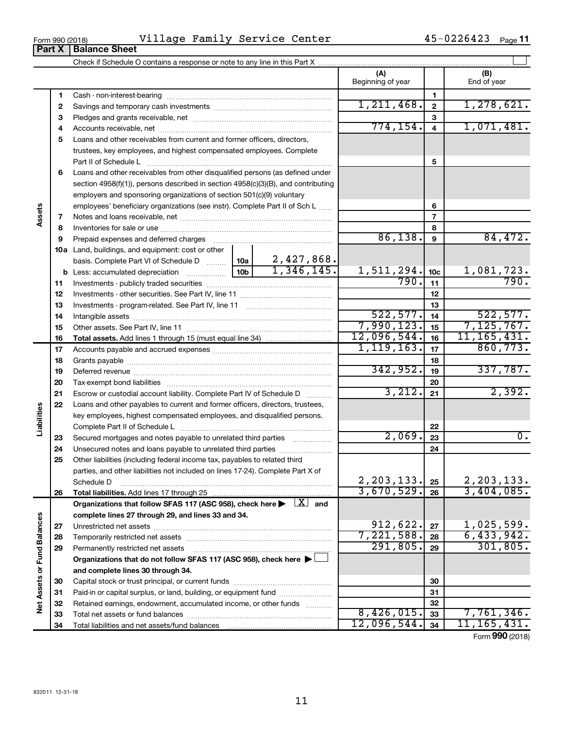| Form 990 (2018) | -- 1<br>Service<br>$Fam1+$<br>l v<br>-age | Center | $\sim$<br>:2642.<br>Page<br>-- |  |
|-----------------|-------------------------------------------|--------|--------------------------------|--|
|                 |                                           |        |                                |  |

|                             |    |                                                                                                                           |                 |              | (A)<br>Beginning of year |                         | (B)<br>End of year |
|-----------------------------|----|---------------------------------------------------------------------------------------------------------------------------|-----------------|--------------|--------------------------|-------------------------|--------------------|
|                             | 1  |                                                                                                                           |                 |              |                          | 1                       |                    |
|                             | 2  |                                                                                                                           | 1,211,468.      | $\mathbf{2}$ | 1,278,621.               |                         |                    |
|                             | З  |                                                                                                                           |                 |              |                          | 3                       |                    |
|                             | 4  |                                                                                                                           |                 |              | 774, 154.                | $\overline{\mathbf{4}}$ | 1,071,481.         |
|                             | 5  | Loans and other receivables from current and former officers, directors,                                                  |                 |              |                          |                         |                    |
|                             |    | trustees, key employees, and highest compensated employees. Complete                                                      |                 |              |                          |                         |                    |
|                             |    | Part II of Schedule Later and Communications and Contract II of Schedule Later and Communications and Dental I            |                 |              |                          | 5                       |                    |
|                             | 6  | Loans and other receivables from other disqualified persons (as defined under                                             |                 |              |                          |                         |                    |
|                             |    | section 4958(f)(1)), persons described in section 4958(c)(3)(B), and contributing                                         |                 |              |                          |                         |                    |
|                             |    | employers and sponsoring organizations of section 501(c)(9) voluntary                                                     |                 |              |                          |                         |                    |
|                             |    | employees' beneficiary organizations (see instr). Complete Part II of Sch L                                               |                 |              |                          | 6                       |                    |
| Assets                      | 7  |                                                                                                                           |                 |              |                          | 7                       |                    |
|                             | 8  |                                                                                                                           |                 |              |                          | 8                       |                    |
|                             | 9  | Prepaid expenses and deferred charges                                                                                     |                 |              | 86,138.                  | $\boldsymbol{9}$        | 84,472.            |
|                             |    | 10a Land, buildings, and equipment: cost or other                                                                         |                 |              |                          |                         |                    |
|                             |    | basis. Complete Part VI of Schedule D                                                                                     | 10a             | 2,427,868.   |                          |                         |                    |
|                             |    | <b>b</b> Less: accumulated depreciation <i>mimimimimi</i>                                                                 | 10 <sub>b</sub> | 1,346,145.   | 1,511,294.               | 10 <sub>c</sub>         | 1,081,723.         |
|                             | 11 |                                                                                                                           |                 |              | 790.                     | 11                      | 790.               |
|                             | 12 |                                                                                                                           |                 |              |                          | 12                      |                    |
|                             | 13 |                                                                                                                           |                 |              |                          | 13                      |                    |
|                             | 14 |                                                                                                                           |                 |              | 522, 577.                | 14                      | 522, 577.          |
|                             | 15 |                                                                                                                           |                 |              | 7,990,123.               | 15                      | 7, 125, 767.       |
|                             | 16 |                                                                                                                           |                 |              | 12,096,544.              | 16                      | 11, 165, 431.      |
|                             | 17 |                                                                                                                           | 1, 119, 163.    | 17           | 860, 773.                |                         |                    |
|                             | 18 |                                                                                                                           |                 |              |                          | 18                      |                    |
|                             | 19 |                                                                                                                           |                 |              | 342,952.                 | 19                      | 337,787.           |
|                             | 20 |                                                                                                                           |                 |              |                          | 20                      |                    |
|                             | 21 | Escrow or custodial account liability. Complete Part IV of Schedule D                                                     |                 |              | 3,212.                   | 21                      | 2,392.             |
|                             | 22 | Loans and other payables to current and former officers, directors, trustees,                                             |                 |              |                          |                         |                    |
| Liabilities                 |    | key employees, highest compensated employees, and disqualified persons.                                                   |                 |              |                          |                         |                    |
|                             |    |                                                                                                                           |                 |              |                          | 22                      |                    |
|                             | 23 | Secured mortgages and notes payable to unrelated third parties                                                            |                 |              | 2,069.                   | 23                      | 0.                 |
|                             | 24 | Unsecured notes and loans payable to unrelated third parties                                                              |                 |              |                          | 24                      |                    |
|                             | 25 | Other liabilities (including federal income tax, payables to related third                                                |                 |              |                          |                         |                    |
|                             |    | parties, and other liabilities not included on lines 17-24). Complete Part X of                                           |                 |              | 2,203,133.               |                         | 2, 203, 133.       |
|                             |    | Schedule D                                                                                                                |                 |              | 3,670,529.               | 25<br>26                | 3,404,085.         |
|                             | 26 | Organizations that follow SFAS 117 (ASC 958), check here $\blacktriangleright \begin{array}{c} \boxed{X} \end{array}$ and |                 |              |                          |                         |                    |
|                             |    | complete lines 27 through 29, and lines 33 and 34.                                                                        |                 |              |                          |                         |                    |
|                             | 27 |                                                                                                                           |                 |              | 912,622.                 | 27                      | 1,025,599.         |
|                             | 28 |                                                                                                                           |                 |              | 7,221,588.               | 28                      | 6,433,942.         |
|                             | 29 | Permanently restricted net assets                                                                                         |                 |              | 291,805.                 | 29                      | 301, 805.          |
|                             |    | Organizations that do not follow SFAS 117 (ASC 958), check here >                                                         |                 |              |                          |                         |                    |
|                             |    | and complete lines 30 through 34.                                                                                         |                 |              |                          |                         |                    |
|                             | 30 |                                                                                                                           |                 |              |                          | 30                      |                    |
|                             | 31 | Paid-in or capital surplus, or land, building, or equipment fund                                                          |                 |              |                          | 31                      |                    |
| Net Assets or Fund Balances | 32 | Retained earnings, endowment, accumulated income, or other funds                                                          |                 |              |                          | 32                      |                    |
|                             | 33 |                                                                                                                           |                 |              | 8,426,015.               | 33                      | 7,761,346.         |
|                             | 34 | Total liabilities and net assets/fund balances                                                                            |                 |              | 12,096,544.              | 34                      | 11, 165, 431.      |
|                             |    |                                                                                                                           |                 |              |                          |                         | Form 990 (2018)    |

 $\overline{\phantom{0}}$ 

**Part X Balance Sheet**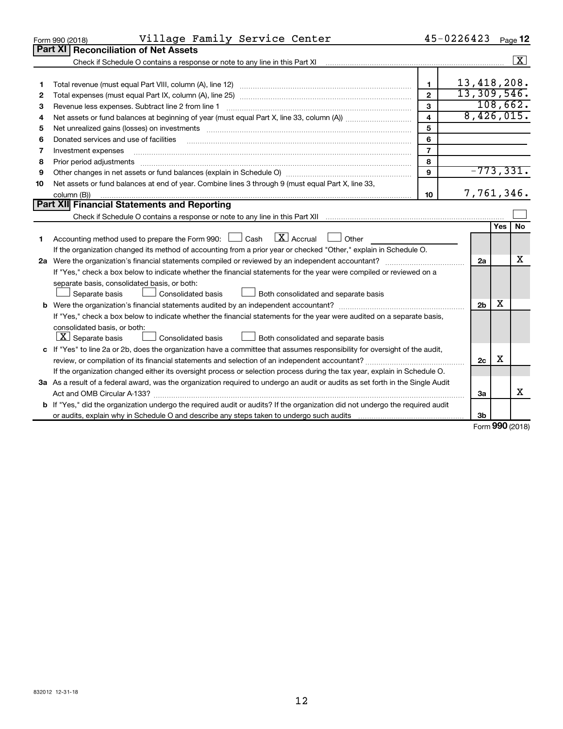|    | Village Family Service Center<br>Form 990 (2018)                                                                                                                                                                               |                         | 45-0226423     |              | Page 12    |
|----|--------------------------------------------------------------------------------------------------------------------------------------------------------------------------------------------------------------------------------|-------------------------|----------------|--------------|------------|
|    | Part XI<br><b>Reconciliation of Net Assets</b>                                                                                                                                                                                 |                         |                |              |            |
|    | Check if Schedule O contains a response or note to any line in this Part XI                                                                                                                                                    |                         |                |              | $\sqrt{X}$ |
|    |                                                                                                                                                                                                                                |                         |                |              |            |
| 1  |                                                                                                                                                                                                                                | $\mathbf{1}$            | 13,418,208.    |              |            |
| 2  |                                                                                                                                                                                                                                | $\overline{2}$          | 13,309,546.    |              |            |
| З  | Revenue less expenses. Subtract line 2 from line 1                                                                                                                                                                             | 3                       | 108,662.       |              |            |
| 4  |                                                                                                                                                                                                                                | $\overline{\mathbf{4}}$ | 8,426,015.     |              |            |
| 5  | Net unrealized gains (losses) on investments [11] matter than the control of the state of the state of the state of the state of the state of the state of the state of the state of the state of the state of the state of th | 5                       |                |              |            |
| 6  | Donated services and use of facilities                                                                                                                                                                                         | 6                       |                |              |            |
| 7  | Investment expenses                                                                                                                                                                                                            | $\overline{7}$          |                |              |            |
| 8  | Prior period adjustments                                                                                                                                                                                                       | 8                       |                |              |            |
| 9  |                                                                                                                                                                                                                                | 9                       | $-773, 331.$   |              |            |
| 10 | Net assets or fund balances at end of year. Combine lines 3 through 9 (must equal Part X, line 33,                                                                                                                             |                         |                |              |            |
|    | column (B))                                                                                                                                                                                                                    | 10                      | 7,761,346.     |              |            |
|    | Part XII Financial Statements and Reporting                                                                                                                                                                                    |                         |                |              |            |
|    |                                                                                                                                                                                                                                |                         |                |              |            |
|    |                                                                                                                                                                                                                                |                         |                | <b>Yes</b>   | <b>No</b>  |
| 1  | Accounting method used to prepare the Form 990: $\Box$ Cash $\Box X$ Accrual<br>$\Box$ Other                                                                                                                                   |                         |                |              |            |
|    | If the organization changed its method of accounting from a prior year or checked "Other," explain in Schedule O.                                                                                                              |                         |                |              |            |
|    |                                                                                                                                                                                                                                |                         | 2a             |              | x          |
|    | If "Yes," check a box below to indicate whether the financial statements for the year were compiled or reviewed on a                                                                                                           |                         |                |              |            |
|    | separate basis, consolidated basis, or both:                                                                                                                                                                                   |                         |                |              |            |
|    | Both consolidated and separate basis<br>Separate basis<br>Consolidated basis                                                                                                                                                   |                         |                |              |            |
| b  |                                                                                                                                                                                                                                |                         | 2 <sub>b</sub> | х            |            |
|    | If "Yes," check a box below to indicate whether the financial statements for the year were audited on a separate basis,                                                                                                        |                         |                |              |            |
|    | consolidated basis, or both:                                                                                                                                                                                                   |                         |                |              |            |
|    | $\lfloor \underline{X} \rfloor$ Separate basis<br>Consolidated basis<br>Both consolidated and separate basis                                                                                                                   |                         |                |              |            |
|    | c If "Yes" to line 2a or 2b, does the organization have a committee that assumes responsibility for oversight of the audit,                                                                                                    |                         |                |              |            |
|    |                                                                                                                                                                                                                                |                         | 2c             | х            |            |
|    | If the organization changed either its oversight process or selection process during the tax year, explain in Schedule O.                                                                                                      |                         |                |              |            |
|    | 3a As a result of a federal award, was the organization required to undergo an audit or audits as set forth in the Single Audit                                                                                                |                         |                |              |            |
|    | Act and OMB Circular A-133?                                                                                                                                                                                                    |                         | За             |              | x          |
|    | b If "Yes," did the organization undergo the required audit or audits? If the organization did not undergo the required audit                                                                                                  |                         |                |              |            |
|    |                                                                                                                                                                                                                                |                         | 3b             | $\mathbf{A}$ |            |

Form (2018) **990**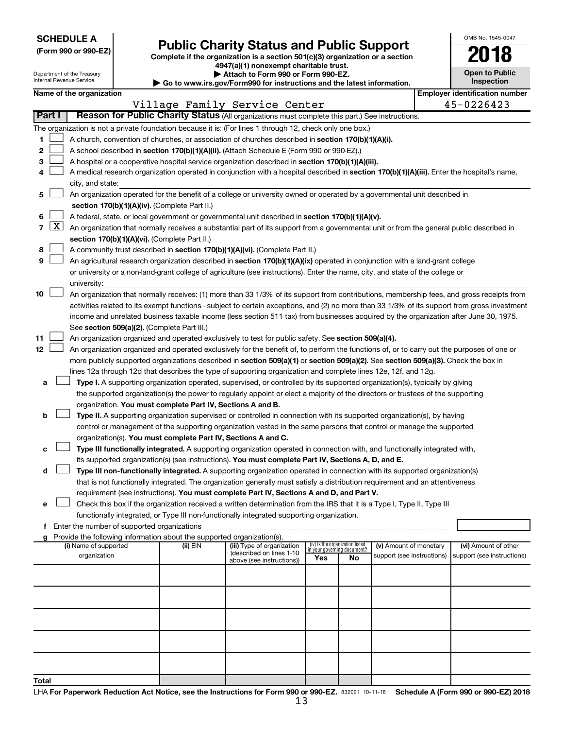| <b>SCHEDULE A</b> |  |
|-------------------|--|
|-------------------|--|

Department of the Treasury Internal Revenue Service

|  |  | (Form 990 or 990-EZ) |  |
|--|--|----------------------|--|
|  |  |                      |  |

# Form 990 or 990-EZ) **Public Charity Status and Public Support**<br>
Complete if the organization is a section 501(c)(3) organization or a section<br> **2018**

**4947(a)(1) nonexempt charitable trust.**

**| Attach to Form 990 or Form 990-EZ. | Go to www.irs.gov/Form990 for instructions and the latest information.**

| <b>Open to Public</b><br>Inspection |  |
|-------------------------------------|--|

OMB No. 1545-0047

|  |  | Name of the organization |
|--|--|--------------------------|
|--|--|--------------------------|

|                                                                                                                                            |  | Name of the organization                                                                                                                          |          |                            |                                    |    |                            |            | <b>Employer identification number</b> |
|--------------------------------------------------------------------------------------------------------------------------------------------|--|---------------------------------------------------------------------------------------------------------------------------------------------------|----------|----------------------------|------------------------------------|----|----------------------------|------------|---------------------------------------|
| Village Family Service Center<br>Part I<br>Reason for Public Charity Status (All organizations must complete this part.) See instructions. |  |                                                                                                                                                   |          |                            |                                    |    |                            | 45-0226423 |                                       |
|                                                                                                                                            |  |                                                                                                                                                   |          |                            |                                    |    |                            |            |                                       |
|                                                                                                                                            |  | The organization is not a private foundation because it is: (For lines 1 through 12, check only one box.)                                         |          |                            |                                    |    |                            |            |                                       |
| 1                                                                                                                                          |  | A church, convention of churches, or association of churches described in section 170(b)(1)(A)(i).                                                |          |                            |                                    |    |                            |            |                                       |
| 2                                                                                                                                          |  | A school described in section 170(b)(1)(A)(ii). (Attach Schedule E (Form 990 or 990-EZ).)                                                         |          |                            |                                    |    |                            |            |                                       |
| з                                                                                                                                          |  | A hospital or a cooperative hospital service organization described in section 170(b)(1)(A)(iii).                                                 |          |                            |                                    |    |                            |            |                                       |
| 4                                                                                                                                          |  | A medical research organization operated in conjunction with a hospital described in section 170(b)(1)(A)(iii). Enter the hospital's name,        |          |                            |                                    |    |                            |            |                                       |
|                                                                                                                                            |  | city, and state:                                                                                                                                  |          |                            |                                    |    |                            |            |                                       |
| 5.                                                                                                                                         |  | An organization operated for the benefit of a college or university owned or operated by a governmental unit described in                         |          |                            |                                    |    |                            |            |                                       |
|                                                                                                                                            |  | section 170(b)(1)(A)(iv). (Complete Part II.)                                                                                                     |          |                            |                                    |    |                            |            |                                       |
| 6.                                                                                                                                         |  | A federal, state, or local government or governmental unit described in section 170(b)(1)(A)(v).                                                  |          |                            |                                    |    |                            |            |                                       |
|                                                                                                                                            |  | 7 $ X $ An organization that normally receives a substantial part of its support from a governmental unit or from the general public described in |          |                            |                                    |    |                            |            |                                       |
|                                                                                                                                            |  | section 170(b)(1)(A)(vi). (Complete Part II.)                                                                                                     |          |                            |                                    |    |                            |            |                                       |
| 8                                                                                                                                          |  | A community trust described in section 170(b)(1)(A)(vi). (Complete Part II.)                                                                      |          |                            |                                    |    |                            |            |                                       |
| 9                                                                                                                                          |  | An agricultural research organization described in section 170(b)(1)(A)(ix) operated in conjunction with a land-grant college                     |          |                            |                                    |    |                            |            |                                       |
|                                                                                                                                            |  | or university or a non-land-grant college of agriculture (see instructions). Enter the name, city, and state of the college or                    |          |                            |                                    |    |                            |            |                                       |
|                                                                                                                                            |  | university:                                                                                                                                       |          |                            |                                    |    |                            |            |                                       |
| 10                                                                                                                                         |  | An organization that normally receives: (1) more than 33 1/3% of its support from contributions, membership fees, and gross receipts from         |          |                            |                                    |    |                            |            |                                       |
|                                                                                                                                            |  | activities related to its exempt functions - subject to certain exceptions, and (2) no more than 33 1/3% of its support from gross investment     |          |                            |                                    |    |                            |            |                                       |
|                                                                                                                                            |  | income and unrelated business taxable income (less section 511 tax) from businesses acquired by the organization after June 30, 1975.             |          |                            |                                    |    |                            |            |                                       |
|                                                                                                                                            |  | See section 509(a)(2). (Complete Part III.)                                                                                                       |          |                            |                                    |    |                            |            |                                       |
| 11                                                                                                                                         |  | An organization organized and operated exclusively to test for public safety. See section 509(a)(4).                                              |          |                            |                                    |    |                            |            |                                       |
| 12                                                                                                                                         |  | An organization organized and operated exclusively for the benefit of, to perform the functions of, or to carry out the purposes of one or        |          |                            |                                    |    |                            |            |                                       |
|                                                                                                                                            |  | more publicly supported organizations described in section 509(a)(1) or section 509(a)(2). See section 509(a)(3). Check the box in                |          |                            |                                    |    |                            |            |                                       |
|                                                                                                                                            |  | lines 12a through 12d that describes the type of supporting organization and complete lines 12e, 12f, and 12g.                                    |          |                            |                                    |    |                            |            |                                       |
| а                                                                                                                                          |  | Type I. A supporting organization operated, supervised, or controlled by its supported organization(s), typically by giving                       |          |                            |                                    |    |                            |            |                                       |
|                                                                                                                                            |  | the supported organization(s) the power to regularly appoint or elect a majority of the directors or trustees of the supporting                   |          |                            |                                    |    |                            |            |                                       |
|                                                                                                                                            |  | organization. You must complete Part IV, Sections A and B.                                                                                        |          |                            |                                    |    |                            |            |                                       |
| b                                                                                                                                          |  | Type II. A supporting organization supervised or controlled in connection with its supported organization(s), by having                           |          |                            |                                    |    |                            |            |                                       |
|                                                                                                                                            |  | control or management of the supporting organization vested in the same persons that control or manage the supported                              |          |                            |                                    |    |                            |            |                                       |
|                                                                                                                                            |  | organization(s). You must complete Part IV, Sections A and C.                                                                                     |          |                            |                                    |    |                            |            |                                       |
| с                                                                                                                                          |  | Type III functionally integrated. A supporting organization operated in connection with, and functionally integrated with,                        |          |                            |                                    |    |                            |            |                                       |
|                                                                                                                                            |  | its supported organization(s) (see instructions). You must complete Part IV, Sections A, D, and E.                                                |          |                            |                                    |    |                            |            |                                       |
| d                                                                                                                                          |  | Type III non-functionally integrated. A supporting organization operated in connection with its supported organization(s)                         |          |                            |                                    |    |                            |            |                                       |
|                                                                                                                                            |  | that is not functionally integrated. The organization generally must satisfy a distribution requirement and an attentiveness                      |          |                            |                                    |    |                            |            |                                       |
|                                                                                                                                            |  | requirement (see instructions). You must complete Part IV, Sections A and D, and Part V.                                                          |          |                            |                                    |    |                            |            |                                       |
|                                                                                                                                            |  | Check this box if the organization received a written determination from the IRS that it is a Type I, Type II, Type III                           |          |                            |                                    |    |                            |            |                                       |
|                                                                                                                                            |  | functionally integrated, or Type III non-functionally integrated supporting organization.                                                         |          |                            |                                    |    |                            |            |                                       |
|                                                                                                                                            |  | f Enter the number of supported organizations                                                                                                     |          |                            |                                    |    |                            |            |                                       |
|                                                                                                                                            |  | g Provide the following information about the supported organization(s).<br>(i) Name of supported                                                 | (ii) EIN | (iii) Type of organization | (iv) Is the organization listed    |    | (v) Amount of monetary     |            | (vi) Amount of other                  |
|                                                                                                                                            |  | organization                                                                                                                                      |          | (described on lines 1-10   | in your governing document?<br>Yes | No | support (see instructions) |            | support (see instructions)            |
|                                                                                                                                            |  |                                                                                                                                                   |          | above (see instructions))  |                                    |    |                            |            |                                       |
|                                                                                                                                            |  |                                                                                                                                                   |          |                            |                                    |    |                            |            |                                       |
|                                                                                                                                            |  |                                                                                                                                                   |          |                            |                                    |    |                            |            |                                       |
|                                                                                                                                            |  |                                                                                                                                                   |          |                            |                                    |    |                            |            |                                       |
|                                                                                                                                            |  |                                                                                                                                                   |          |                            |                                    |    |                            |            |                                       |
|                                                                                                                                            |  |                                                                                                                                                   |          |                            |                                    |    |                            |            |                                       |
|                                                                                                                                            |  |                                                                                                                                                   |          |                            |                                    |    |                            |            |                                       |
|                                                                                                                                            |  |                                                                                                                                                   |          |                            |                                    |    |                            |            |                                       |
|                                                                                                                                            |  |                                                                                                                                                   |          |                            |                                    |    |                            |            |                                       |
|                                                                                                                                            |  |                                                                                                                                                   |          |                            |                                    |    |                            |            |                                       |
| <b>Total</b>                                                                                                                               |  |                                                                                                                                                   |          |                            |                                    |    |                            |            |                                       |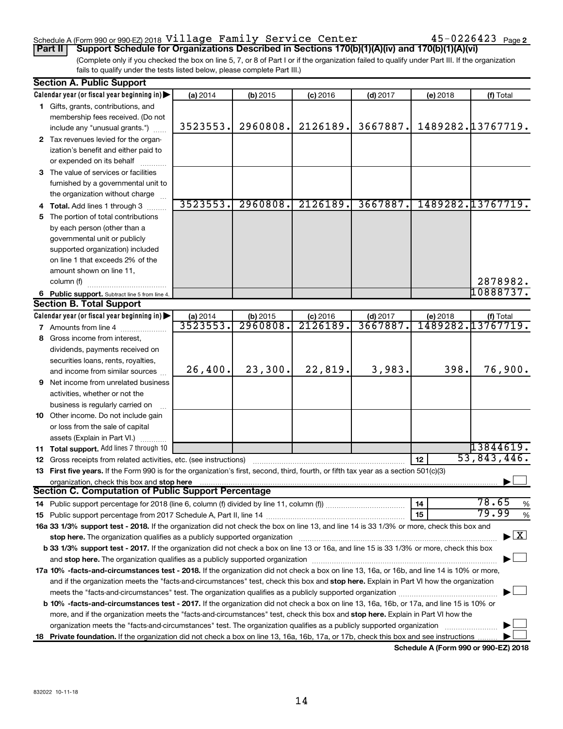#### Schedule A (Form 990 or 990-EZ) 2018  $\verb|Village | Family | Server \verb|Center | 45-0226423 | 23|$  Page

(Complete only if you checked the box on line 5, 7, or 8 of Part I or if the organization failed to qualify under Part III. If the organization fails to qualify under the tests listed below, please complete Part III.) **Part II Support Schedule for Organizations Described in Sections 170(b)(1)(A)(iv) and 170(b)(1)(A)(vi)**

|    | <b>Section A. Public Support</b>                                                                                                           |                      |                      |                        |                       |          |                                          |
|----|--------------------------------------------------------------------------------------------------------------------------------------------|----------------------|----------------------|------------------------|-----------------------|----------|------------------------------------------|
|    | Calendar year (or fiscal year beginning in)                                                                                                | (a) 2014             | $(b)$ 2015           | $(c)$ 2016             | $(d)$ 2017            | (e) 2018 | (f) Total                                |
|    | 1 Gifts, grants, contributions, and                                                                                                        |                      |                      |                        |                       |          |                                          |
|    | membership fees received. (Do not                                                                                                          |                      |                      |                        |                       |          |                                          |
|    | include any "unusual grants.")                                                                                                             | 3523553.             | 2960808.             | 2126189.               | 3667887.              |          | 1489282.13767719.                        |
|    | 2 Tax revenues levied for the organ-                                                                                                       |                      |                      |                        |                       |          |                                          |
|    | ization's benefit and either paid to                                                                                                       |                      |                      |                        |                       |          |                                          |
|    | or expended on its behalf                                                                                                                  |                      |                      |                        |                       |          |                                          |
|    | 3 The value of services or facilities                                                                                                      |                      |                      |                        |                       |          |                                          |
|    | furnished by a governmental unit to                                                                                                        |                      |                      |                        |                       |          |                                          |
|    | the organization without charge                                                                                                            |                      |                      |                        |                       |          |                                          |
|    | 4 Total. Add lines 1 through 3                                                                                                             | 3523553.             | 2960808.             | 2126189.               | 3667887.              |          | 1489282.13767719.                        |
| 5. | The portion of total contributions                                                                                                         |                      |                      |                        |                       |          |                                          |
|    | by each person (other than a                                                                                                               |                      |                      |                        |                       |          |                                          |
|    | governmental unit or publicly                                                                                                              |                      |                      |                        |                       |          |                                          |
|    | supported organization) included                                                                                                           |                      |                      |                        |                       |          |                                          |
|    | on line 1 that exceeds 2% of the                                                                                                           |                      |                      |                        |                       |          |                                          |
|    | amount shown on line 11,                                                                                                                   |                      |                      |                        |                       |          |                                          |
|    | column (f)                                                                                                                                 |                      |                      |                        |                       |          | 2878982.                                 |
|    |                                                                                                                                            |                      |                      |                        |                       |          | 10888737.                                |
|    | 6 Public support. Subtract line 5 from line 4.<br><b>Section B. Total Support</b>                                                          |                      |                      |                        |                       |          |                                          |
|    |                                                                                                                                            |                      |                      |                        |                       |          |                                          |
|    | Calendar year (or fiscal year beginning in)                                                                                                | (a) 2014<br>3523553. | (b) 2015<br>2960808. | $(c)$ 2016<br>2126189. | $(d)$ 2017<br>3667887 | (e) 2018 | (f) Total<br>1489282.13767719.           |
|    | <b>7</b> Amounts from line 4                                                                                                               |                      |                      |                        |                       |          |                                          |
| 8  | Gross income from interest,                                                                                                                |                      |                      |                        |                       |          |                                          |
|    | dividends, payments received on                                                                                                            |                      |                      |                        |                       |          |                                          |
|    | securities loans, rents, royalties,                                                                                                        |                      |                      |                        |                       |          |                                          |
|    | and income from similar sources                                                                                                            | 26,400.              | 23,300.              | 22,819.                | 3,983.                | 398.     | 76,900.                                  |
|    | 9 Net income from unrelated business                                                                                                       |                      |                      |                        |                       |          |                                          |
|    | activities, whether or not the                                                                                                             |                      |                      |                        |                       |          |                                          |
|    | business is regularly carried on                                                                                                           |                      |                      |                        |                       |          |                                          |
|    | 10 Other income. Do not include gain                                                                                                       |                      |                      |                        |                       |          |                                          |
|    | or loss from the sale of capital                                                                                                           |                      |                      |                        |                       |          |                                          |
|    | assets (Explain in Part VI.)                                                                                                               |                      |                      |                        |                       |          |                                          |
|    | 11 Total support. Add lines 7 through 10                                                                                                   |                      |                      |                        |                       |          | 13844619.                                |
|    | 12 Gross receipts from related activities, etc. (see instructions)                                                                         |                      |                      |                        |                       | 12       | 53,843,446.                              |
|    | 13 First five years. If the Form 990 is for the organization's first, second, third, fourth, or fifth tax year as a section 501(c)(3)      |                      |                      |                        |                       |          |                                          |
|    | organization, check this box and stop here                                                                                                 |                      |                      |                        |                       |          |                                          |
|    | <b>Section C. Computation of Public Support Percentage</b>                                                                                 |                      |                      |                        |                       |          |                                          |
|    |                                                                                                                                            |                      |                      |                        |                       | 14       | 78.65<br>%                               |
|    |                                                                                                                                            |                      |                      |                        |                       | 15       | 79.99<br>$\%$                            |
|    | 16a 33 1/3% support test - 2018. If the organization did not check the box on line 13, and line 14 is 33 1/3% or more, check this box and  |                      |                      |                        |                       |          |                                          |
|    |                                                                                                                                            |                      |                      |                        |                       |          | $\blacktriangleright$ $\boxed{\text{X}}$ |
|    | b 33 1/3% support test - 2017. If the organization did not check a box on line 13 or 16a, and line 15 is 33 1/3% or more, check this box   |                      |                      |                        |                       |          |                                          |
|    |                                                                                                                                            |                      |                      |                        |                       |          |                                          |
|    | 17a 10% -facts-and-circumstances test - 2018. If the organization did not check a box on line 13, 16a, or 16b, and line 14 is 10% or more, |                      |                      |                        |                       |          |                                          |
|    | and if the organization meets the "facts-and-circumstances" test, check this box and stop here. Explain in Part VI how the organization    |                      |                      |                        |                       |          |                                          |
|    |                                                                                                                                            |                      |                      |                        |                       |          |                                          |
|    | b 10% -facts-and-circumstances test - 2017. If the organization did not check a box on line 13, 16a, 16b, or 17a, and line 15 is 10% or    |                      |                      |                        |                       |          |                                          |
|    | more, and if the organization meets the "facts-and-circumstances" test, check this box and stop here. Explain in Part VI how the           |                      |                      |                        |                       |          |                                          |
|    | organization meets the "facts-and-circumstances" test. The organization qualifies as a publicly supported organization                     |                      |                      |                        |                       |          |                                          |
|    | 18 Private foundation. If the organization did not check a box on line 13, 16a, 16b, 17a, or 17b, check this box and see instructions      |                      |                      |                        |                       |          |                                          |
|    |                                                                                                                                            |                      |                      |                        |                       |          |                                          |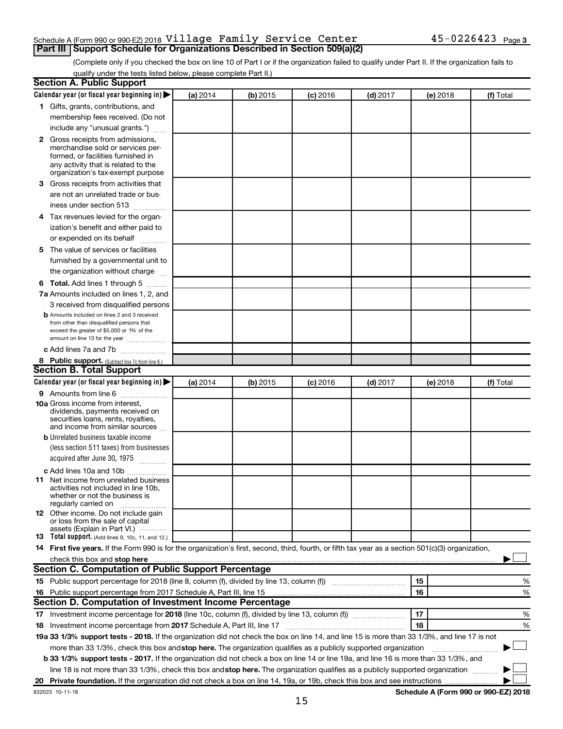#### Schedule A (Form 990 or 990-EZ) 2018  $\verb|Village | Family | Server \verb|Center | 45-0226423 | 23|$  Page **Part III Support Schedule for Organizations Described in Section 509(a)(2)**

(Complete only if you checked the box on line 10 of Part I or if the organization failed to qualify under Part II. If the organization fails to qualify under the tests listed below, please complete Part II.)

| <b>Section A. Public Support</b>                                                                                                                                                                                               |          |          |            |            |          |                                      |
|--------------------------------------------------------------------------------------------------------------------------------------------------------------------------------------------------------------------------------|----------|----------|------------|------------|----------|--------------------------------------|
| Calendar year (or fiscal year beginning in)                                                                                                                                                                                    | (a) 2014 | (b) 2015 | $(c)$ 2016 | $(d)$ 2017 | (e) 2018 | (f) Total                            |
| 1 Gifts, grants, contributions, and                                                                                                                                                                                            |          |          |            |            |          |                                      |
| membership fees received. (Do not                                                                                                                                                                                              |          |          |            |            |          |                                      |
| include any "unusual grants.")                                                                                                                                                                                                 |          |          |            |            |          |                                      |
| 2 Gross receipts from admissions,<br>merchandise sold or services per-<br>formed, or facilities furnished in<br>any activity that is related to the<br>organization's tax-exempt purpose                                       |          |          |            |            |          |                                      |
| 3 Gross receipts from activities that                                                                                                                                                                                          |          |          |            |            |          |                                      |
| are not an unrelated trade or bus-<br>iness under section 513                                                                                                                                                                  |          |          |            |            |          |                                      |
| 4 Tax revenues levied for the organ-                                                                                                                                                                                           |          |          |            |            |          |                                      |
| ization's benefit and either paid to                                                                                                                                                                                           |          |          |            |            |          |                                      |
| or expended on its behalf                                                                                                                                                                                                      |          |          |            |            |          |                                      |
| 5 The value of services or facilities<br>furnished by a governmental unit to<br>the organization without charge                                                                                                                |          |          |            |            |          |                                      |
| <b>6 Total.</b> Add lines 1 through 5                                                                                                                                                                                          |          |          |            |            |          |                                      |
| 7a Amounts included on lines 1, 2, and                                                                                                                                                                                         |          |          |            |            |          |                                      |
| 3 received from disqualified persons                                                                                                                                                                                           |          |          |            |            |          |                                      |
| <b>b</b> Amounts included on lines 2 and 3 received<br>from other than disqualified persons that<br>exceed the greater of \$5,000 or 1% of the<br>amount on line 13 for the year                                               |          |          |            |            |          |                                      |
| c Add lines 7a and 7b                                                                                                                                                                                                          |          |          |            |            |          |                                      |
| 8 Public support. (Subtract line 7c from line 6.)                                                                                                                                                                              |          |          |            |            |          |                                      |
| <b>Section B. Total Support</b>                                                                                                                                                                                                |          |          |            |            |          |                                      |
| Calendar year (or fiscal year beginning in)                                                                                                                                                                                    | (a) 2014 | (b) 2015 | $(c)$ 2016 | $(d)$ 2017 | (e) 2018 | (f) Total                            |
| <b>9</b> Amounts from line 6                                                                                                                                                                                                   |          |          |            |            |          |                                      |
| <b>10a</b> Gross income from interest,<br>dividends, payments received on<br>securities loans, rents, royalties,<br>and income from similar sources                                                                            |          |          |            |            |          |                                      |
| <b>b</b> Unrelated business taxable income                                                                                                                                                                                     |          |          |            |            |          |                                      |
| (less section 511 taxes) from businesses<br>acquired after June 30, 1975<br>$\mathcal{L}$ . The contract of $\mathcal{L}$                                                                                                      |          |          |            |            |          |                                      |
| c Add lines 10a and 10b                                                                                                                                                                                                        |          |          |            |            |          |                                      |
| <b>11</b> Net income from unrelated business<br>activities not included in line 10b.<br>whether or not the business is<br>regularly carried on                                                                                 |          |          |            |            |          |                                      |
| <b>12</b> Other income. Do not include gain<br>or loss from the sale of capital<br>assets (Explain in Part VI.)                                                                                                                |          |          |            |            |          |                                      |
| <b>13</b> Total support. (Add lines 9, 10c, 11, and 12.)                                                                                                                                                                       |          |          |            |            |          |                                      |
| 14 First five years. If the Form 990 is for the organization's first, second, third, fourth, or fifth tax year as a section 501(c)(3) organization,                                                                            |          |          |            |            |          |                                      |
| check this box and stop here Mathematical Communication and stop here Mathematical Communication and stop here Mathematical Communication and Stop here Mathematical Communication and Stop here Mathematical Communication an |          |          |            |            |          |                                      |
| <b>Section C. Computation of Public Support Percentage</b>                                                                                                                                                                     |          |          |            |            |          |                                      |
|                                                                                                                                                                                                                                |          |          |            |            | 15       | %                                    |
| 16 Public support percentage from 2017 Schedule A, Part III, line 15                                                                                                                                                           |          |          |            |            | 16       | %                                    |
| Section D. Computation of Investment Income Percentage                                                                                                                                                                         |          |          |            |            |          |                                      |
|                                                                                                                                                                                                                                |          |          |            |            | 17       | %                                    |
| 18 Investment income percentage from 2017 Schedule A, Part III, line 17                                                                                                                                                        |          |          |            |            | 18       | %                                    |
| 19a 33 1/3% support tests - 2018. If the organization did not check the box on line 14, and line 15 is more than 33 1/3%, and line 17 is not                                                                                   |          |          |            |            |          |                                      |
| more than 33 1/3%, check this box and stop here. The organization qualifies as a publicly supported organization                                                                                                               |          |          |            |            |          |                                      |
| <b>b 33 1/3% support tests - 2017.</b> If the organization did not check a box on line 14 or line 19a, and line 16 is more than 33 1/3%, and                                                                                   |          |          |            |            |          |                                      |
| line 18 is not more than 33 1/3%, check this box and stop here. The organization qualifies as a publicly supported organization <i>manner</i>                                                                                  |          |          |            |            |          |                                      |
|                                                                                                                                                                                                                                |          |          |            |            |          |                                      |
| 832023 10-11-18                                                                                                                                                                                                                |          |          |            |            |          | Schedule A (Form 990 or 990-EZ) 2018 |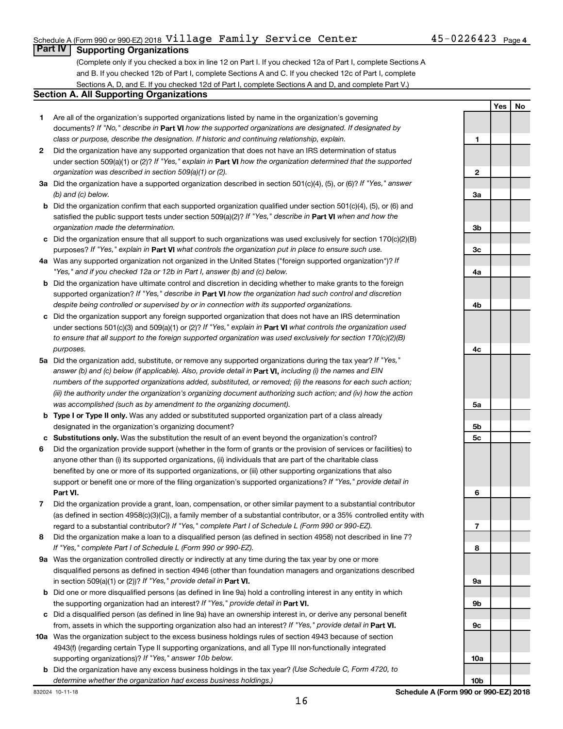#### Schedule A (Form 990 or 990-EZ) 2018  $\verb|Village | Family | Server \verb|Center | 45-0226423 | 23|$  Page

(Complete only if you checked a box in line 12 on Part I. If you checked 12a of Part I, complete Sections A and B. If you checked 12b of Part I, complete Sections A and C. If you checked 12c of Part I, complete Sections A, D, and E. If you checked 12d of Part I, complete Sections A and D, and complete Part V.)

#### **Section A. All Supporting Organizations**

- **1** Are all of the organization's supported organizations listed by name in the organization's governing documents? If "No," describe in Part VI how the supported organizations are designated. If designated by *class or purpose, describe the designation. If historic and continuing relationship, explain.*
- **2** Did the organization have any supported organization that does not have an IRS determination of status under section 509(a)(1) or (2)? If "Yes," explain in Part **VI** how the organization determined that the supported *organization was described in section 509(a)(1) or (2).*
- **3a** Did the organization have a supported organization described in section 501(c)(4), (5), or (6)? If "Yes," answer *(b) and (c) below.*
- **b** Did the organization confirm that each supported organization qualified under section 501(c)(4), (5), or (6) and satisfied the public support tests under section 509(a)(2)? If "Yes," describe in Part VI when and how the *organization made the determination.*
- **c** Did the organization ensure that all support to such organizations was used exclusively for section 170(c)(2)(B) purposes? If "Yes," explain in Part VI what controls the organization put in place to ensure such use.
- **4 a** *If* Was any supported organization not organized in the United States ("foreign supported organization")? *"Yes," and if you checked 12a or 12b in Part I, answer (b) and (c) below.*
- **b** Did the organization have ultimate control and discretion in deciding whether to make grants to the foreign supported organization? If "Yes," describe in Part VI how the organization had such control and discretion *despite being controlled or supervised by or in connection with its supported organizations.*
- **c** Did the organization support any foreign supported organization that does not have an IRS determination under sections 501(c)(3) and 509(a)(1) or (2)? If "Yes," explain in Part VI what controls the organization used *to ensure that all support to the foreign supported organization was used exclusively for section 170(c)(2)(B) purposes.*
- **5a** Did the organization add, substitute, or remove any supported organizations during the tax year? If "Yes," answer (b) and (c) below (if applicable). Also, provide detail in **Part VI,** including (i) the names and EIN *numbers of the supported organizations added, substituted, or removed; (ii) the reasons for each such action; (iii) the authority under the organization's organizing document authorizing such action; and (iv) how the action was accomplished (such as by amendment to the organizing document).*
- **b Type I or Type II only.** Was any added or substituted supported organization part of a class already designated in the organization's organizing document?
- **c Substitutions only.**  Was the substitution the result of an event beyond the organization's control?
- **6** Did the organization provide support (whether in the form of grants or the provision of services or facilities) to **Part VI.** support or benefit one or more of the filing organization's supported organizations? If "Yes," provide detail in anyone other than (i) its supported organizations, (ii) individuals that are part of the charitable class benefited by one or more of its supported organizations, or (iii) other supporting organizations that also
- **7** Did the organization provide a grant, loan, compensation, or other similar payment to a substantial contributor regard to a substantial contributor? If "Yes," complete Part I of Schedule L (Form 990 or 990-EZ). (as defined in section 4958(c)(3)(C)), a family member of a substantial contributor, or a 35% controlled entity with
- **8** Did the organization make a loan to a disqualified person (as defined in section 4958) not described in line 7? *If "Yes," complete Part I of Schedule L (Form 990 or 990-EZ).*
- **9 a** Was the organization controlled directly or indirectly at any time during the tax year by one or more in section 509(a)(1) or (2))? If "Yes," provide detail in **Part VI.** disqualified persons as defined in section 4946 (other than foundation managers and organizations described
- **b** Did one or more disqualified persons (as defined in line 9a) hold a controlling interest in any entity in which the supporting organization had an interest? If "Yes," provide detail in Part VI.
- **c** Did a disqualified person (as defined in line 9a) have an ownership interest in, or derive any personal benefit from, assets in which the supporting organization also had an interest? If "Yes," provide detail in Part VI.
- **10 a** Was the organization subject to the excess business holdings rules of section 4943 because of section supporting organizations)? If "Yes," answer 10b below. 4943(f) (regarding certain Type II supporting organizations, and all Type III non-functionally integrated
- **b** Did the organization have any excess business holdings in the tax year? (Use Schedule C, Form 4720, to *determine whether the organization had excess business holdings.)*

**1 2 3a 3b 3c 4a 4b 4c 5a 5b 5c 6 7 8 9a 9b 9c 10a 10b**

832024 10-11-18

**Yes No**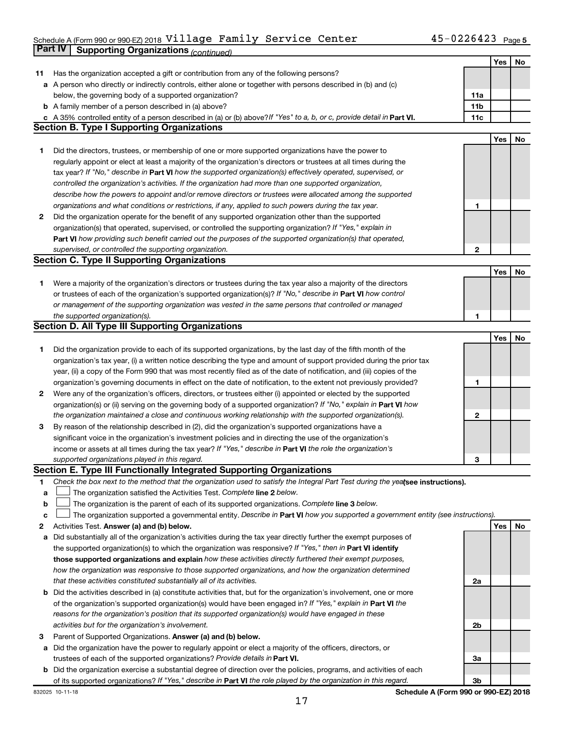#### Schedule A (Form 990 or 990-EZ) 2018 <code>Village Family</code> <code>Service Center</code>  $45-0226423$  <code>Page</code> **Part IV Supporting Organizations** *(continued)* Village Family Service Center 45-0226423

|        |                                                                                                                                                                                                                                  |             | Yes | No |
|--------|----------------------------------------------------------------------------------------------------------------------------------------------------------------------------------------------------------------------------------|-------------|-----|----|
| 11     | Has the organization accepted a gift or contribution from any of the following persons?                                                                                                                                          |             |     |    |
|        | a A person who directly or indirectly controls, either alone or together with persons described in (b) and (c)                                                                                                                   |             |     |    |
|        | below, the governing body of a supported organization?                                                                                                                                                                           | 11a         |     |    |
|        | <b>b</b> A family member of a person described in (a) above?                                                                                                                                                                     | 11b         |     |    |
|        | c A 35% controlled entity of a person described in (a) or (b) above? If "Yes" to a, b, or c, provide detail in Part VI.                                                                                                          | 11c         |     |    |
|        | <b>Section B. Type I Supporting Organizations</b>                                                                                                                                                                                |             |     |    |
|        |                                                                                                                                                                                                                                  |             | Yes | No |
| 1      | Did the directors, trustees, or membership of one or more supported organizations have the power to                                                                                                                              |             |     |    |
|        | regularly appoint or elect at least a majority of the organization's directors or trustees at all times during the                                                                                                               |             |     |    |
|        | tax year? If "No," describe in Part VI how the supported organization(s) effectively operated, supervised, or                                                                                                                    |             |     |    |
|        | controlled the organization's activities. If the organization had more than one supported organization,                                                                                                                          |             |     |    |
|        | describe how the powers to appoint and/or remove directors or trustees were allocated among the supported                                                                                                                        |             |     |    |
|        | organizations and what conditions or restrictions, if any, applied to such powers during the tax year.                                                                                                                           | 1           |     |    |
| 2      | Did the organization operate for the benefit of any supported organization other than the supported                                                                                                                              |             |     |    |
|        | organization(s) that operated, supervised, or controlled the supporting organization? If "Yes," explain in                                                                                                                       |             |     |    |
|        | Part VI how providing such benefit carried out the purposes of the supported organization(s) that operated,                                                                                                                      |             |     |    |
|        | supervised, or controlled the supporting organization.                                                                                                                                                                           | $\mathbf 2$ |     |    |
|        | <b>Section C. Type II Supporting Organizations</b>                                                                                                                                                                               |             |     |    |
|        |                                                                                                                                                                                                                                  |             | Yes | No |
| 1      | Were a majority of the organization's directors or trustees during the tax year also a majority of the directors                                                                                                                 |             |     |    |
|        | or trustees of each of the organization's supported organization(s)? If "No," describe in Part VI how control                                                                                                                    |             |     |    |
|        | or management of the supporting organization was vested in the same persons that controlled or managed                                                                                                                           |             |     |    |
|        | the supported organization(s).                                                                                                                                                                                                   | 1           |     |    |
|        | <b>Section D. All Type III Supporting Organizations</b>                                                                                                                                                                          |             |     |    |
|        |                                                                                                                                                                                                                                  |             | Yes | No |
| 1      | Did the organization provide to each of its supported organizations, by the last day of the fifth month of the                                                                                                                   |             |     |    |
|        | organization's tax year, (i) a written notice describing the type and amount of support provided during the prior tax                                                                                                            |             |     |    |
|        | year, (ii) a copy of the Form 990 that was most recently filed as of the date of notification, and (iii) copies of the                                                                                                           |             |     |    |
|        | organization's governing documents in effect on the date of notification, to the extent not previously provided?                                                                                                                 | 1           |     |    |
| 2      | Were any of the organization's officers, directors, or trustees either (i) appointed or elected by the supported                                                                                                                 |             |     |    |
|        | organization(s) or (ii) serving on the governing body of a supported organization? If "No," explain in Part VI how                                                                                                               |             |     |    |
|        | the organization maintained a close and continuous working relationship with the supported organization(s).                                                                                                                      | 2           |     |    |
| 3      | By reason of the relationship described in (2), did the organization's supported organizations have a                                                                                                                            |             |     |    |
|        | significant voice in the organization's investment policies and in directing the use of the organization's                                                                                                                       |             |     |    |
|        | income or assets at all times during the tax year? If "Yes," describe in Part VI the role the organization's                                                                                                                     |             |     |    |
|        | supported organizations played in this regard.                                                                                                                                                                                   | 3           |     |    |
|        | Section E. Type III Functionally Integrated Supporting Organizations                                                                                                                                                             |             |     |    |
| 1      | Check the box next to the method that the organization used to satisfy the Integral Part Test during the yealsee instructions).                                                                                                  |             |     |    |
|        | The organization satisfied the Activities Test. Complete line 2 below.                                                                                                                                                           |             |     |    |
| а<br>b | The organization is the parent of each of its supported organizations. Complete line 3 below.                                                                                                                                    |             |     |    |
|        |                                                                                                                                                                                                                                  |             |     |    |
| с      | The organization supported a governmental entity. Describe in Part VI how you supported a government entity (see instructions).                                                                                                  |             | Yes | No |
| 2      | Activities Test. Answer (a) and (b) below.                                                                                                                                                                                       |             |     |    |
| a      | Did substantially all of the organization's activities during the tax year directly further the exempt purposes of<br>the supported organization(s) to which the organization was responsive? If "Yes," then in Part VI identify |             |     |    |
|        | those supported organizations and explain how these activities directly furthered their exempt purposes,                                                                                                                         |             |     |    |
|        | how the organization was responsive to those supported organizations, and how the organization determined                                                                                                                        |             |     |    |
|        | that these activities constituted substantially all of its activities.                                                                                                                                                           |             |     |    |
|        |                                                                                                                                                                                                                                  | 2a          |     |    |
|        | <b>b</b> Did the activities described in (a) constitute activities that, but for the organization's involvement, one or more                                                                                                     |             |     |    |
|        | of the organization's supported organization(s) would have been engaged in? If "Yes," explain in Part VI the                                                                                                                     |             |     |    |
|        | reasons for the organization's position that its supported organization(s) would have engaged in these                                                                                                                           |             |     |    |
|        | activities but for the organization's involvement.                                                                                                                                                                               | 2b          |     |    |
| з      | Parent of Supported Organizations. Answer (a) and (b) below.                                                                                                                                                                     |             |     |    |
| а      | Did the organization have the power to regularly appoint or elect a majority of the officers, directors, or                                                                                                                      |             |     |    |
|        | trustees of each of the supported organizations? Provide details in Part VI.                                                                                                                                                     | 3a          |     |    |
|        | <b>b</b> Did the organization exercise a substantial degree of direction over the policies, programs, and activities of each                                                                                                     |             |     |    |
|        | of its supported organizations? If "Yes," describe in Part VI the role played by the organization in this regard.                                                                                                                | 3b          |     |    |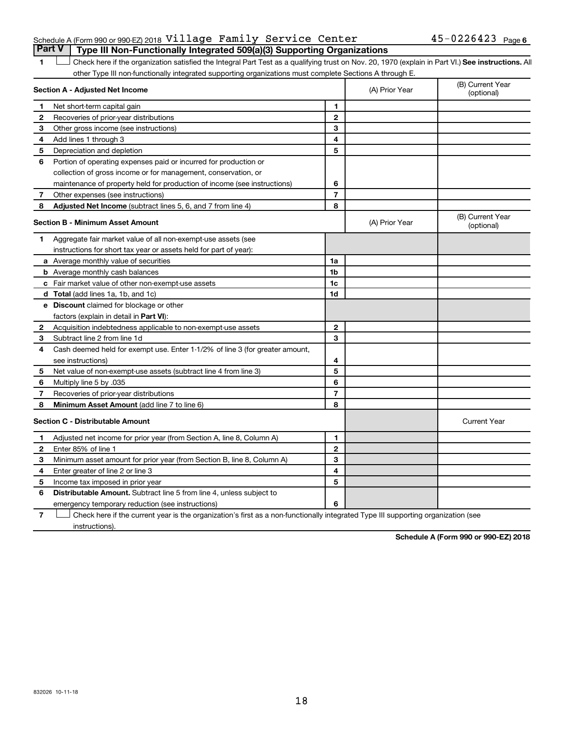#### Schedule A (Form 990 or 990-EZ) 2018  $\verb|Village | Family | Server \verb|Center | 45-0226423 | 23|$  Page **Part V Type III Non-Functionally Integrated 509(a)(3) Supporting Organizations**

1 **Letter See instructions.** All Check here if the organization satisfied the Integral Part Test as a qualifying trust on Nov. 20, 1970 (explain in Part VI.) See instructions. All other Type III non-functionally integrated supporting organizations must complete Sections A through E.

| Section A - Adjusted Net Income |                                                                              |                | (A) Prior Year | (B) Current Year<br>(optional) |
|---------------------------------|------------------------------------------------------------------------------|----------------|----------------|--------------------------------|
| 1                               | Net short-term capital gain                                                  | 1              |                |                                |
| 2                               | Recoveries of prior-year distributions                                       | $\mathbf{2}$   |                |                                |
| 3                               | Other gross income (see instructions)                                        | 3              |                |                                |
| 4                               | Add lines 1 through 3                                                        | 4              |                |                                |
| 5                               | Depreciation and depletion                                                   | 5              |                |                                |
| 6                               | Portion of operating expenses paid or incurred for production or             |                |                |                                |
|                                 | collection of gross income or for management, conservation, or               |                |                |                                |
|                                 | maintenance of property held for production of income (see instructions)     | 6              |                |                                |
| 7                               | Other expenses (see instructions)                                            | $\overline{7}$ |                |                                |
| 8                               | Adjusted Net Income (subtract lines 5, 6, and 7 from line 4)                 | 8              |                |                                |
|                                 | Section B - Minimum Asset Amount                                             |                | (A) Prior Year | (B) Current Year<br>(optional) |
| 1.                              | Aggregate fair market value of all non-exempt-use assets (see                |                |                |                                |
|                                 | instructions for short tax year or assets held for part of year):            |                |                |                                |
|                                 | <b>a</b> Average monthly value of securities                                 | 1a             |                |                                |
|                                 | <b>b</b> Average monthly cash balances                                       | 1 <sub>b</sub> |                |                                |
|                                 | c Fair market value of other non-exempt-use assets                           | 1c             |                |                                |
|                                 | d Total (add lines 1a, 1b, and 1c)                                           | 1d             |                |                                |
|                                 | <b>e</b> Discount claimed for blockage or other                              |                |                |                                |
|                                 | factors (explain in detail in Part VI):                                      |                |                |                                |
| 2                               | Acquisition indebtedness applicable to non-exempt-use assets                 | $\mathbf{2}$   |                |                                |
| З                               | Subtract line 2 from line 1d                                                 | 3              |                |                                |
| 4                               | Cash deemed held for exempt use. Enter 1-1/2% of line 3 (for greater amount, |                |                |                                |
|                                 | see instructions)                                                            | 4              |                |                                |
| 5                               | Net value of non-exempt-use assets (subtract line 4 from line 3)             | 5              |                |                                |
| 6                               | Multiply line 5 by .035                                                      | 6              |                |                                |
| $\overline{7}$                  | Recoveries of prior-year distributions                                       | $\overline{7}$ |                |                                |
| 8                               | Minimum Asset Amount (add line 7 to line 6)                                  | 8              |                |                                |
|                                 | <b>Section C - Distributable Amount</b>                                      |                |                | <b>Current Year</b>            |
| 1                               | Adjusted net income for prior year (from Section A, line 8, Column A)        | 1              |                |                                |
| $\mathbf{2}$                    | Enter 85% of line 1                                                          | $\mathbf{2}$   |                |                                |
| З                               | Minimum asset amount for prior year (from Section B, line 8, Column A)       | 3              |                |                                |
| 4                               | Enter greater of line 2 or line 3                                            | 4              |                |                                |
| 5                               | Income tax imposed in prior year                                             | 5              |                |                                |
| 6                               | <b>Distributable Amount.</b> Subtract line 5 from line 4, unless subject to  |                |                |                                |
|                                 | emergency temporary reduction (see instructions)                             | 6              |                |                                |

**7** Let Check here if the current year is the organization's first as a non-functionally integrated Type III supporting organization (see instructions).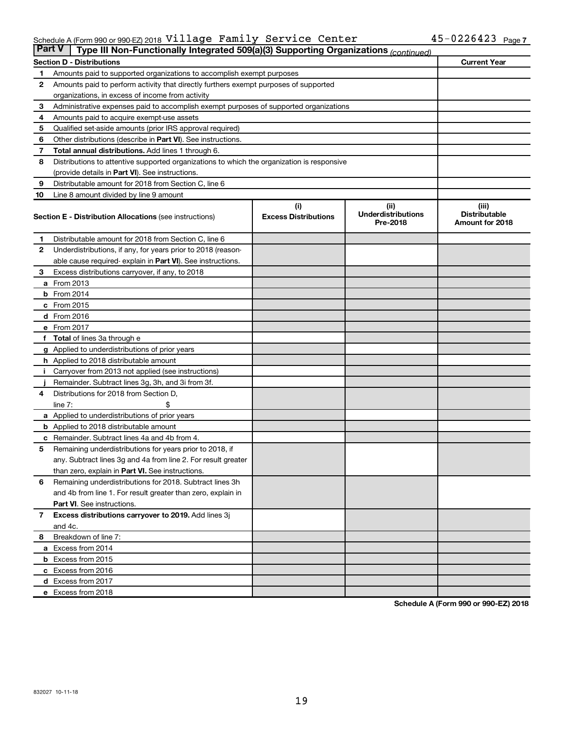#### Schedule A (Form 990 or 990-EZ) 2018 <code>Village Family</code> <code>Service Center</code>  $45-0226423$  <code>Page</code> Village Family Service Center 45-0226423

|              | <b>Part V</b><br>Type III Non-Functionally Integrated 509(a)(3) Supporting Organizations (continued) |                                    |                                               |                                                  |  |  |
|--------------|------------------------------------------------------------------------------------------------------|------------------------------------|-----------------------------------------------|--------------------------------------------------|--|--|
|              | <b>Section D - Distributions</b>                                                                     |                                    |                                               | <b>Current Year</b>                              |  |  |
| 1            | Amounts paid to supported organizations to accomplish exempt purposes                                |                                    |                                               |                                                  |  |  |
| 2            | Amounts paid to perform activity that directly furthers exempt purposes of supported                 |                                    |                                               |                                                  |  |  |
|              | organizations, in excess of income from activity                                                     |                                    |                                               |                                                  |  |  |
| 3            | Administrative expenses paid to accomplish exempt purposes of supported organizations                |                                    |                                               |                                                  |  |  |
| 4            | Amounts paid to acquire exempt-use assets                                                            |                                    |                                               |                                                  |  |  |
| 5            | Qualified set-aside amounts (prior IRS approval required)                                            |                                    |                                               |                                                  |  |  |
| 6            | Other distributions (describe in Part VI). See instructions.                                         |                                    |                                               |                                                  |  |  |
| 7            | Total annual distributions. Add lines 1 through 6.                                                   |                                    |                                               |                                                  |  |  |
| 8            | Distributions to attentive supported organizations to which the organization is responsive           |                                    |                                               |                                                  |  |  |
|              | (provide details in Part VI). See instructions.                                                      |                                    |                                               |                                                  |  |  |
| 9            | Distributable amount for 2018 from Section C, line 6                                                 |                                    |                                               |                                                  |  |  |
| 10           | Line 8 amount divided by line 9 amount                                                               |                                    |                                               |                                                  |  |  |
|              | <b>Section E - Distribution Allocations (see instructions)</b>                                       | (i)<br><b>Excess Distributions</b> | (ii)<br><b>Underdistributions</b><br>Pre-2018 | (iii)<br><b>Distributable</b><br>Amount for 2018 |  |  |
| 1.           | Distributable amount for 2018 from Section C, line 6                                                 |                                    |                                               |                                                  |  |  |
| $\mathbf{2}$ | Underdistributions, if any, for years prior to 2018 (reason-                                         |                                    |                                               |                                                  |  |  |
|              | able cause required- explain in Part VI). See instructions.                                          |                                    |                                               |                                                  |  |  |
| 3            | Excess distributions carryover, if any, to 2018                                                      |                                    |                                               |                                                  |  |  |
|              | a From 2013                                                                                          |                                    |                                               |                                                  |  |  |
|              | <b>b</b> From 2014                                                                                   |                                    |                                               |                                                  |  |  |
|              | c From 2015                                                                                          |                                    |                                               |                                                  |  |  |
|              | d From 2016                                                                                          |                                    |                                               |                                                  |  |  |
|              | e From 2017                                                                                          |                                    |                                               |                                                  |  |  |
|              | f Total of lines 3a through e                                                                        |                                    |                                               |                                                  |  |  |
|              | <b>g</b> Applied to underdistributions of prior years                                                |                                    |                                               |                                                  |  |  |
|              | <b>h</b> Applied to 2018 distributable amount                                                        |                                    |                                               |                                                  |  |  |
|              | Carryover from 2013 not applied (see instructions)                                                   |                                    |                                               |                                                  |  |  |
|              | Remainder. Subtract lines 3g, 3h, and 3i from 3f.                                                    |                                    |                                               |                                                  |  |  |
| 4            | Distributions for 2018 from Section D,                                                               |                                    |                                               |                                                  |  |  |
|              | $line 7$ :                                                                                           |                                    |                                               |                                                  |  |  |
|              | a Applied to underdistributions of prior years                                                       |                                    |                                               |                                                  |  |  |
|              | <b>b</b> Applied to 2018 distributable amount                                                        |                                    |                                               |                                                  |  |  |
| с            | Remainder. Subtract lines 4a and 4b from 4.                                                          |                                    |                                               |                                                  |  |  |
| 5            | Remaining underdistributions for years prior to 2018, if                                             |                                    |                                               |                                                  |  |  |
|              | any. Subtract lines 3g and 4a from line 2. For result greater                                        |                                    |                                               |                                                  |  |  |
|              | than zero, explain in Part VI. See instructions.                                                     |                                    |                                               |                                                  |  |  |
| 6            | Remaining underdistributions for 2018. Subtract lines 3h                                             |                                    |                                               |                                                  |  |  |
|              | and 4b from line 1. For result greater than zero, explain in                                         |                                    |                                               |                                                  |  |  |
|              | <b>Part VI.</b> See instructions.                                                                    |                                    |                                               |                                                  |  |  |
| $\mathbf{7}$ | Excess distributions carryover to 2019. Add lines 3j                                                 |                                    |                                               |                                                  |  |  |
|              | and 4c.                                                                                              |                                    |                                               |                                                  |  |  |
| 8            | Breakdown of line 7:                                                                                 |                                    |                                               |                                                  |  |  |
|              | a Excess from 2014                                                                                   |                                    |                                               |                                                  |  |  |
|              | <b>b</b> Excess from 2015                                                                            |                                    |                                               |                                                  |  |  |
|              | c Excess from 2016                                                                                   |                                    |                                               |                                                  |  |  |
|              | d Excess from 2017                                                                                   |                                    |                                               |                                                  |  |  |
|              | e Excess from 2018                                                                                   |                                    |                                               |                                                  |  |  |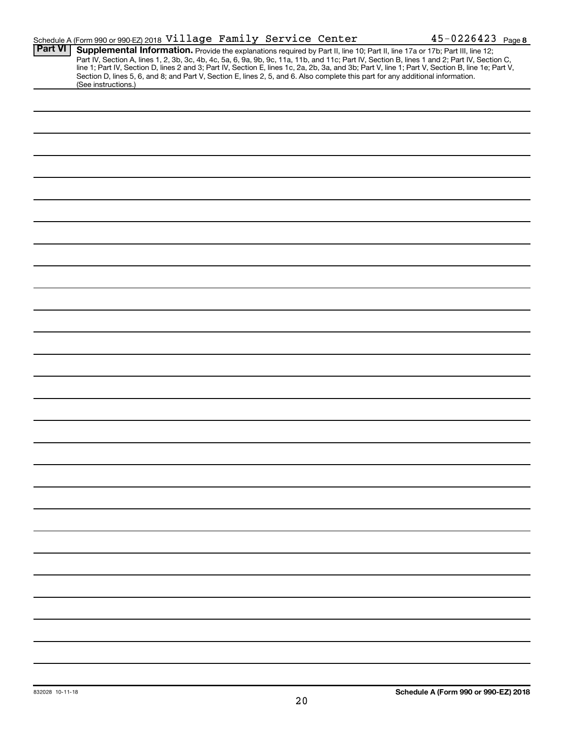|                     |  | $45 - 0226423$ Page 8                                                                                                                                                                                                                                                                                                                                                                                                                                                                                                                                                                                                                      |
|---------------------|--|--------------------------------------------------------------------------------------------------------------------------------------------------------------------------------------------------------------------------------------------------------------------------------------------------------------------------------------------------------------------------------------------------------------------------------------------------------------------------------------------------------------------------------------------------------------------------------------------------------------------------------------------|
|                     |  |                                                                                                                                                                                                                                                                                                                                                                                                                                                                                                                                                                                                                                            |
|                     |  |                                                                                                                                                                                                                                                                                                                                                                                                                                                                                                                                                                                                                                            |
|                     |  |                                                                                                                                                                                                                                                                                                                                                                                                                                                                                                                                                                                                                                            |
|                     |  |                                                                                                                                                                                                                                                                                                                                                                                                                                                                                                                                                                                                                                            |
|                     |  |                                                                                                                                                                                                                                                                                                                                                                                                                                                                                                                                                                                                                                            |
|                     |  |                                                                                                                                                                                                                                                                                                                                                                                                                                                                                                                                                                                                                                            |
|                     |  |                                                                                                                                                                                                                                                                                                                                                                                                                                                                                                                                                                                                                                            |
|                     |  |                                                                                                                                                                                                                                                                                                                                                                                                                                                                                                                                                                                                                                            |
|                     |  |                                                                                                                                                                                                                                                                                                                                                                                                                                                                                                                                                                                                                                            |
|                     |  |                                                                                                                                                                                                                                                                                                                                                                                                                                                                                                                                                                                                                                            |
|                     |  |                                                                                                                                                                                                                                                                                                                                                                                                                                                                                                                                                                                                                                            |
|                     |  |                                                                                                                                                                                                                                                                                                                                                                                                                                                                                                                                                                                                                                            |
|                     |  |                                                                                                                                                                                                                                                                                                                                                                                                                                                                                                                                                                                                                                            |
|                     |  |                                                                                                                                                                                                                                                                                                                                                                                                                                                                                                                                                                                                                                            |
|                     |  |                                                                                                                                                                                                                                                                                                                                                                                                                                                                                                                                                                                                                                            |
|                     |  |                                                                                                                                                                                                                                                                                                                                                                                                                                                                                                                                                                                                                                            |
|                     |  |                                                                                                                                                                                                                                                                                                                                                                                                                                                                                                                                                                                                                                            |
|                     |  |                                                                                                                                                                                                                                                                                                                                                                                                                                                                                                                                                                                                                                            |
|                     |  |                                                                                                                                                                                                                                                                                                                                                                                                                                                                                                                                                                                                                                            |
|                     |  |                                                                                                                                                                                                                                                                                                                                                                                                                                                                                                                                                                                                                                            |
|                     |  |                                                                                                                                                                                                                                                                                                                                                                                                                                                                                                                                                                                                                                            |
|                     |  |                                                                                                                                                                                                                                                                                                                                                                                                                                                                                                                                                                                                                                            |
|                     |  |                                                                                                                                                                                                                                                                                                                                                                                                                                                                                                                                                                                                                                            |
|                     |  |                                                                                                                                                                                                                                                                                                                                                                                                                                                                                                                                                                                                                                            |
|                     |  |                                                                                                                                                                                                                                                                                                                                                                                                                                                                                                                                                                                                                                            |
| (See instructions.) |  | Schedule A (Form 990 or 990-EZ) 2018 Village Family Service Center<br>Supplemental Information. Provide the explanations required by Part II, line 10; Part II, line 17a or 17b; Part III, line 12;<br>Part IV, Section A, lines 1, 2, 3b, 3c, 4b, 4c, 5a, 6, 9a, 9b, 9c, 11a, 11b, and 11c; Part IV, Section B, lines 1 and 2; Part IV, Section C,<br>line 1; Part IV, Section D, lines 2 and 3; Part IV, Section E, lines 1c, 2a, 2b, 3a, and 3b; Part V, line 1; Part V, Section B, line 1e; Part V,<br>Section D, lines 5, 6, and 8; and Part V, Section E, lines 2, 5, and 6. Also complete this part for any additional information. |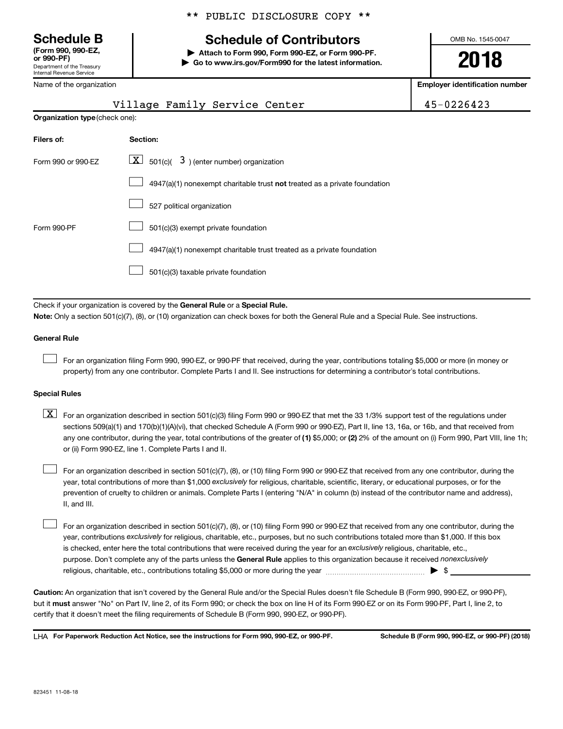**(Form 990, 990-EZ,**

Department of the Treasury Internal Revenue Service

Name of the organization

# **Schedule B Schedule of Contributors**

**or 990-PF) | Attach to Form 990, Form 990-EZ, or Form 990-PF. | Go to www.irs.gov/Form990 for the latest information.** OMB No. 1545-0047

**2018**

**Employer identification number**

| $\overline{\phantom{a}}$ n ing viyamzanvir |                                                                                                                                                                                                                                                                                                                                                                                                                                                                                                           | Employer lueritmcation numbe |
|--------------------------------------------|-----------------------------------------------------------------------------------------------------------------------------------------------------------------------------------------------------------------------------------------------------------------------------------------------------------------------------------------------------------------------------------------------------------------------------------------------------------------------------------------------------------|------------------------------|
|                                            | Village Family Service Center                                                                                                                                                                                                                                                                                                                                                                                                                                                                             | 45-0226423                   |
| Organization type (check one):             |                                                                                                                                                                                                                                                                                                                                                                                                                                                                                                           |                              |
| Filers of:                                 | Section:                                                                                                                                                                                                                                                                                                                                                                                                                                                                                                  |                              |
| Form 990 or 990-EZ                         | $\lfloor \underline{X} \rfloor$ 501(c)( 3) (enter number) organization                                                                                                                                                                                                                                                                                                                                                                                                                                    |                              |
|                                            | $4947(a)(1)$ nonexempt charitable trust <b>not</b> treated as a private foundation                                                                                                                                                                                                                                                                                                                                                                                                                        |                              |
|                                            | 527 political organization                                                                                                                                                                                                                                                                                                                                                                                                                                                                                |                              |
| Form 990-PF                                | 501(c)(3) exempt private foundation                                                                                                                                                                                                                                                                                                                                                                                                                                                                       |                              |
|                                            | 4947(a)(1) nonexempt charitable trust treated as a private foundation                                                                                                                                                                                                                                                                                                                                                                                                                                     |                              |
|                                            | 501(c)(3) taxable private foundation                                                                                                                                                                                                                                                                                                                                                                                                                                                                      |                              |
|                                            |                                                                                                                                                                                                                                                                                                                                                                                                                                                                                                           |                              |
|                                            | Check if your organization is covered by the General Rule or a Special Rule.<br>Note: Only a section 501(c)(7), (8), or (10) organization can check boxes for both the General Rule and a Special Rule. See instructions.                                                                                                                                                                                                                                                                                 |                              |
| <b>General Rule</b>                        |                                                                                                                                                                                                                                                                                                                                                                                                                                                                                                           |                              |
|                                            | For an organization filing Form 990, 990-EZ, or 990-PF that received, during the year, contributions totaling \$5,000 or more (in money or<br>property) from any one contributor. Complete Parts I and II. See instructions for determining a contributor's total contributions.                                                                                                                                                                                                                          |                              |
| <b>Special Rules</b>                       |                                                                                                                                                                                                                                                                                                                                                                                                                                                                                                           |                              |
| $\lfloor x \rfloor$                        | For an organization described in section 501(c)(3) filing Form 990 or 990-EZ that met the 33 1/3% support test of the regulations under<br>sections 509(a)(1) and 170(b)(1)(A)(vi), that checked Schedule A (Form 990 or 990-EZ), Part II, line 13, 16a, or 16b, and that received from<br>any one contributor, during the year, total contributions of the greater of (1) \$5,000; or (2) 2% of the amount on (i) Form 990, Part VIII, line 1h;<br>or (ii) Form 990-EZ, line 1. Complete Parts I and II. |                              |

year, total contributions of more than \$1,000 *exclusively* for religious, charitable, scientific, literary, or educational purposes, or for the For an organization described in section 501(c)(7), (8), or (10) filing Form 990 or 990-EZ that received from any one contributor, during the prevention of cruelty to children or animals. Complete Parts I (entering "N/A" in column (b) instead of the contributor name and address), II, and III.  $\Box$ 

purpose. Don't complete any of the parts unless the General Rule applies to this organization because it received nonexclusively year, contributions exclusively for religious, charitable, etc., purposes, but no such contributions totaled more than \$1,000. If this box is checked, enter here the total contributions that were received during the year for an exclusively religious, charitable, etc., For an organization described in section 501(c)(7), (8), or (10) filing Form 990 or 990-EZ that received from any one contributor, during the religious, charitable, etc., contributions totaling \$5,000 or more during the year  $\ldots$  $\ldots$  $\ldots$  $\ldots$  $\ldots$  $\ldots$  $\Box$ 

**Caution:**  An organization that isn't covered by the General Rule and/or the Special Rules doesn't file Schedule B (Form 990, 990-EZ, or 990-PF),  **must** but it answer "No" on Part IV, line 2, of its Form 990; or check the box on line H of its Form 990-EZ or on its Form 990-PF, Part I, line 2, to certify that it doesn't meet the filing requirements of Schedule B (Form 990, 990-EZ, or 990-PF).

**For Paperwork Reduction Act Notice, see the instructions for Form 990, 990-EZ, or 990-PF. Schedule B (Form 990, 990-EZ, or 990-PF) (2018)** LHA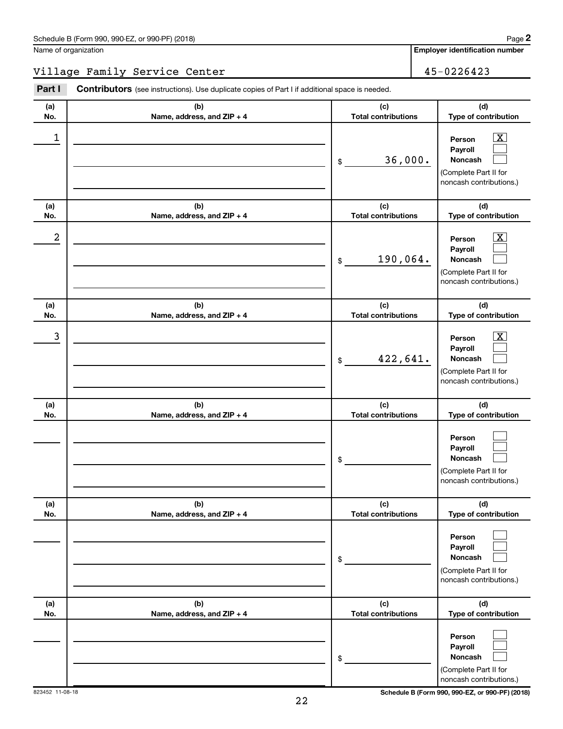**Employer identification number**

#### Village Family Service Center 1992 1994 15-0226423

**(a) No. (b) Name, address, and ZIP + 4 (c) Total contributions (d) Type of contribution Person Payroll Noncash (a) No. (b) Name, address, and ZIP + 4 (c) Total contributions (d) Type of contribution Person Payroll Noncash (a) No. (b) Name, address, and ZIP + 4 (c) Total contributions (d) Type of contribution Person Payroll Noncash (a) No. (b) Name, address, and ZIP + 4 (c) Total contributions (d) Type of contribution Person Payroll Noncash (a) No. (b) Name, address, and ZIP + 4 (c) Total contributions (d) Type of contribution Person Payroll Noncash (a) No. (b) Name, address, and ZIP + 4 (c) Total contributions (d) Type of contribution Person Payroll Noncash Part I** Contributors (see instructions). Use duplicate copies of Part I if additional space is needed. \$ (Complete Part II for noncash contributions.) \$ (Complete Part II for noncash contributions.) \$ (Complete Part II for noncash contributions.) \$ (Complete Part II for noncash contributions.) \$ (Complete Part II for noncash contributions.) \$ (Complete Part II for noncash contributions.)  $\boxed{\textbf{X}}$  $\Box$  $\Box$  $\overline{\mathbf{X}}$  $\Box$  $\Box$  $\boxed{\textbf{X}}$  $\Box$  $\Box$  $\Box$  $\Box$  $\Box$  $\Box$  $\Box$  $\Box$  $\Box$  $\Box$  $\Box$  $\begin{array}{|c|c|c|c|c|}\hline \ \text{1} & \text{Person} & \text{X} \ \hline \end{array}$ 36,000.  $2$  Person  $\overline{\text{X}}$ 190,064.  $\begin{array}{|c|c|c|c|c|c|}\hline \text{3} & \text{Person} & \text{X} \ \hline \end{array}$ 422,641.

823452 11-08-18 **Schedule B (Form 990, 990-EZ, or 990-PF) (2018)**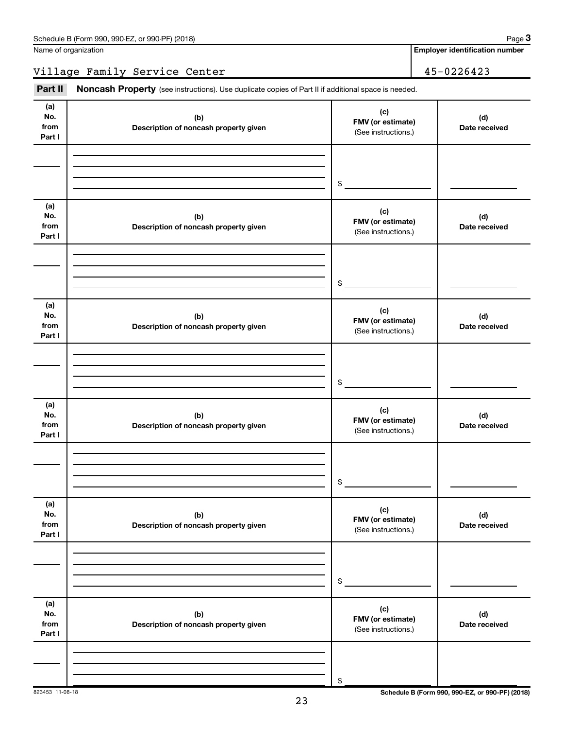**Employer identification number**

Village Family Service Center 45-0226423

Part II Noncash Property (see instructions). Use duplicate copies of Part II if additional space is needed.

| (a)<br>No.<br>from<br>Part I | (b)<br>Description of noncash property given | (c)<br>FMV (or estimate)<br>(See instructions.) | (d)<br>Date received |
|------------------------------|----------------------------------------------|-------------------------------------------------|----------------------|
|                              |                                              | \$                                              |                      |
| (a)<br>No.<br>from<br>Part I | (b)<br>Description of noncash property given | (c)<br>FMV (or estimate)<br>(See instructions.) | (d)<br>Date received |
|                              |                                              | \$                                              |                      |
| (a)<br>No.<br>from<br>Part I | (b)<br>Description of noncash property given | (c)<br>FMV (or estimate)<br>(See instructions.) | (d)<br>Date received |
|                              |                                              | \$                                              |                      |
| (a)<br>No.<br>from<br>Part I | (b)<br>Description of noncash property given | (c)<br>FMV (or estimate)<br>(See instructions.) | (d)<br>Date received |
|                              |                                              | $\,$                                            |                      |
| (a)<br>No.<br>from<br>Part I | (b)<br>Description of noncash property given | (c)<br>FMV (or estimate)<br>(See instructions.) | (d)<br>Date received |
|                              |                                              | $\$$                                            |                      |
| (a)<br>No.<br>from<br>Part I | (b)<br>Description of noncash property given | (c)<br>FMV (or estimate)<br>(See instructions.) | (d)<br>Date received |
|                              |                                              | \$                                              |                      |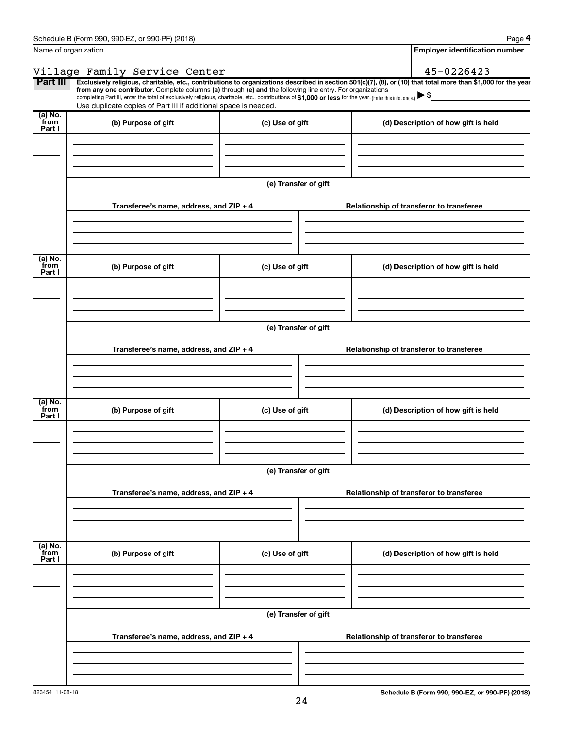|                             | Schedule B (Form 990, 990-EZ, or 990-PF) (2018)                                                                                                                                                                                                                                                                                                                    |                      |                                          | Page 4                                                                                                                                                         |  |  |  |
|-----------------------------|--------------------------------------------------------------------------------------------------------------------------------------------------------------------------------------------------------------------------------------------------------------------------------------------------------------------------------------------------------------------|----------------------|------------------------------------------|----------------------------------------------------------------------------------------------------------------------------------------------------------------|--|--|--|
|                             | Name of organization                                                                                                                                                                                                                                                                                                                                               |                      |                                          | <b>Employer identification number</b>                                                                                                                          |  |  |  |
|                             | Village Family Service Center                                                                                                                                                                                                                                                                                                                                      |                      |                                          | 45-0226423                                                                                                                                                     |  |  |  |
| Part III                    | from any one contributor. Complete columns (a) through (e) and the following line entry. For organizations<br>completing Part III, enter the total of exclusively religious, charitable, etc., contributions of \$1,000 or less for the year. (Enter this info. once.) $\blacktriangleright$ \$<br>Use duplicate copies of Part III if additional space is needed. |                      |                                          | Exclusively religious, charitable, etc., contributions to organizations described in section 501(c)(7), (8), or (10) that total more than \$1,000 for the year |  |  |  |
| (a) No.<br>from<br>Part I   | (b) Purpose of gift                                                                                                                                                                                                                                                                                                                                                | (c) Use of gift      |                                          | (d) Description of how gift is held                                                                                                                            |  |  |  |
|                             |                                                                                                                                                                                                                                                                                                                                                                    |                      |                                          |                                                                                                                                                                |  |  |  |
|                             |                                                                                                                                                                                                                                                                                                                                                                    | (e) Transfer of gift |                                          |                                                                                                                                                                |  |  |  |
|                             | Transferee's name, address, and ZIP + 4                                                                                                                                                                                                                                                                                                                            |                      |                                          | Relationship of transferor to transferee                                                                                                                       |  |  |  |
|                             |                                                                                                                                                                                                                                                                                                                                                                    |                      |                                          |                                                                                                                                                                |  |  |  |
| $(a)$ No.<br>from<br>Part I | (b) Purpose of gift                                                                                                                                                                                                                                                                                                                                                | (c) Use of gift      |                                          | (d) Description of how gift is held                                                                                                                            |  |  |  |
|                             |                                                                                                                                                                                                                                                                                                                                                                    |                      |                                          |                                                                                                                                                                |  |  |  |
|                             | (e) Transfer of gift                                                                                                                                                                                                                                                                                                                                               |                      |                                          |                                                                                                                                                                |  |  |  |
|                             | Transferee's name, address, and ZIP + 4                                                                                                                                                                                                                                                                                                                            |                      |                                          | Relationship of transferor to transferee                                                                                                                       |  |  |  |
|                             |                                                                                                                                                                                                                                                                                                                                                                    |                      |                                          |                                                                                                                                                                |  |  |  |
| (a) No.<br>from<br>Part I   | (b) Purpose of gift                                                                                                                                                                                                                                                                                                                                                | (c) Use of gift      |                                          | (d) Description of how gift is held                                                                                                                            |  |  |  |
|                             |                                                                                                                                                                                                                                                                                                                                                                    |                      |                                          |                                                                                                                                                                |  |  |  |
|                             |                                                                                                                                                                                                                                                                                                                                                                    | (e) Transfer of gift |                                          |                                                                                                                                                                |  |  |  |
|                             | Transferee's name, address, and ZIP + 4                                                                                                                                                                                                                                                                                                                            |                      | Relationship of transferor to transferee |                                                                                                                                                                |  |  |  |
|                             |                                                                                                                                                                                                                                                                                                                                                                    |                      |                                          |                                                                                                                                                                |  |  |  |
| (a) No.<br>from<br>Part I   | (b) Purpose of gift                                                                                                                                                                                                                                                                                                                                                | (c) Use of gift      |                                          | (d) Description of how gift is held                                                                                                                            |  |  |  |
|                             |                                                                                                                                                                                                                                                                                                                                                                    |                      |                                          |                                                                                                                                                                |  |  |  |
|                             | (e) Transfer of gift                                                                                                                                                                                                                                                                                                                                               |                      |                                          |                                                                                                                                                                |  |  |  |
|                             | Transferee's name, address, and ZIP + 4                                                                                                                                                                                                                                                                                                                            |                      |                                          | Relationship of transferor to transferee                                                                                                                       |  |  |  |
|                             |                                                                                                                                                                                                                                                                                                                                                                    |                      |                                          |                                                                                                                                                                |  |  |  |
|                             |                                                                                                                                                                                                                                                                                                                                                                    |                      |                                          |                                                                                                                                                                |  |  |  |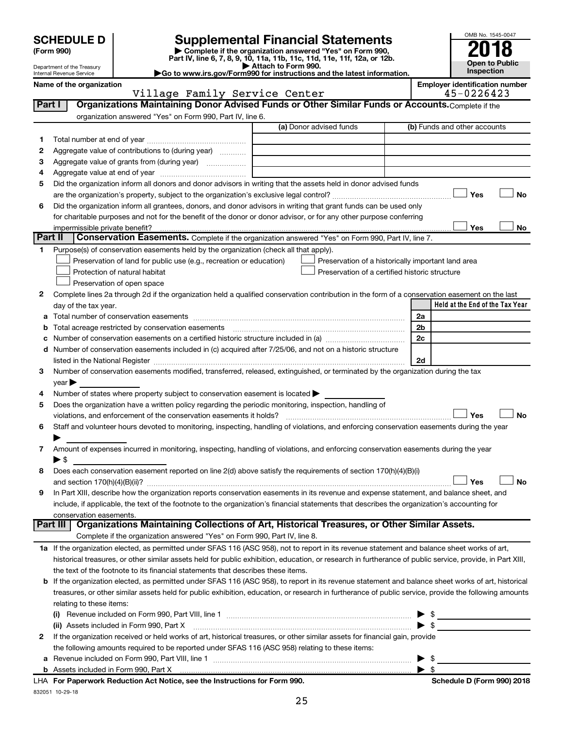| <b>SCHEDULE D</b> |  |
|-------------------|--|
|-------------------|--|

# **SCHEDULE D Supplemental Financial Statements**<br> **Form 990 2018**<br> **Part IV** line 6.7.8.9.10, 11a, 11b, 11d, 11d, 11d, 11d, 11d, 12a, 0r, 12b

**(Form 990) | Complete if the organization answered "Yes" on Form 990, Part IV, line 6, 7, 8, 9, 10, 11a, 11b, 11c, 11d, 11e, 11f, 12a, or 12b.**

**| Attach to Form 990. |Go to www.irs.gov/Form990 for instructions and the latest information.**



Department of the Treasury Internal Revenue Service

#### Name of the organization<br> **Name of the organization**<br> **Employer identification number**<br> **Employer identification number**<br> **Employer identification number** Village Family Service Center

| Part I | viiiage ramiiy belvice center<br>Organizations Maintaining Donor Advised Funds or Other Similar Funds or Accounts. Complete if the                        | <b>±J V 4 4 V ± 4 J</b>         |
|--------|-----------------------------------------------------------------------------------------------------------------------------------------------------------|---------------------------------|
|        | organization answered "Yes" on Form 990, Part IV, line 6.                                                                                                 |                                 |
|        | (a) Donor advised funds                                                                                                                                   | (b) Funds and other accounts    |
|        |                                                                                                                                                           |                                 |
| 1.     |                                                                                                                                                           |                                 |
| 2      | Aggregate value of contributions to (during year)                                                                                                         |                                 |
| З      | Aggregate value of grants from (during year)                                                                                                              |                                 |
| 4      |                                                                                                                                                           |                                 |
| 5      | Did the organization inform all donors and donor advisors in writing that the assets held in donor advised funds                                          |                                 |
|        |                                                                                                                                                           | Yes<br><b>No</b>                |
| 6      | Did the organization inform all grantees, donors, and donor advisors in writing that grant funds can be used only                                         |                                 |
|        | for charitable purposes and not for the benefit of the donor or donor advisor, or for any other purpose conferring                                        |                                 |
|        | impermissible private benefit?                                                                                                                            | Yes<br>No                       |
|        | Part II<br>Conservation Easements. Complete if the organization answered "Yes" on Form 990, Part IV, line 7.                                              |                                 |
| 1      | Purpose(s) of conservation easements held by the organization (check all that apply).                                                                     |                                 |
|        | Preservation of land for public use (e.g., recreation or education)<br>Preservation of a historically important land area                                 |                                 |
|        | Protection of natural habitat<br>Preservation of a certified historic structure                                                                           |                                 |
|        | Preservation of open space                                                                                                                                |                                 |
| 2      | Complete lines 2a through 2d if the organization held a qualified conservation contribution in the form of a conservation easement on the last            |                                 |
|        | day of the tax year.                                                                                                                                      | Held at the End of the Tax Year |
|        |                                                                                                                                                           | 2a                              |
| b      | Total acreage restricted by conservation easements                                                                                                        | 2 <sub>b</sub>                  |
|        |                                                                                                                                                           | 2c                              |
| d      | Number of conservation easements included in (c) acquired after 7/25/06, and not on a historic structure                                                  |                                 |
|        |                                                                                                                                                           | 2d                              |
| 3      | Number of conservation easements modified, transferred, released, extinguished, or terminated by the organization during the tax                          |                                 |
|        | year                                                                                                                                                      |                                 |
| 4      | Number of states where property subject to conservation easement is located >                                                                             |                                 |
| 5      | Does the organization have a written policy regarding the periodic monitoring, inspection, handling of                                                    |                                 |
|        | violations, and enforcement of the conservation easements it holds?                                                                                       | Yes<br><b>No</b>                |
| 6      | Staff and volunteer hours devoted to monitoring, inspecting, handling of violations, and enforcing conservation easements during the year                 |                                 |
|        |                                                                                                                                                           |                                 |
| 7      | Amount of expenses incurred in monitoring, inspecting, handling of violations, and enforcing conservation easements during the year                       |                                 |
|        | $\blacktriangleright$ \$                                                                                                                                  |                                 |
| 8      | Does each conservation easement reported on line 2(d) above satisfy the requirements of section 170(h)(4)(B)(i)                                           |                                 |
|        |                                                                                                                                                           | <b>No</b><br>Yes                |
| 9      | In Part XIII, describe how the organization reports conservation easements in its revenue and expense statement, and balance sheet, and                   |                                 |
|        | include, if applicable, the text of the footnote to the organization's financial statements that describes the organization's accounting for              |                                 |
|        | conservation easements.                                                                                                                                   |                                 |
|        | Organizations Maintaining Collections of Art, Historical Treasures, or Other Similar Assets.<br>Part III                                                  |                                 |
|        | Complete if the organization answered "Yes" on Form 990, Part IV, line 8.                                                                                 |                                 |
|        | 1a If the organization elected, as permitted under SFAS 116 (ASC 958), not to report in its revenue statement and balance sheet works of art,             |                                 |
|        | historical treasures, or other similar assets held for public exhibition, education, or research in furtherance of public service, provide, in Part XIII, |                                 |
|        | the text of the footnote to its financial statements that describes these items.                                                                          |                                 |
| b      | If the organization elected, as permitted under SFAS 116 (ASC 958), to report in its revenue statement and balance sheet works of art, historical         |                                 |
|        | treasures, or other similar assets held for public exhibition, education, or research in furtherance of public service, provide the following amounts     |                                 |
|        | relating to these items:                                                                                                                                  |                                 |
|        |                                                                                                                                                           | $\triangleright$ \$             |
|        | (ii) Assets included in Form 990, Part X                                                                                                                  | $\blacktriangleright$ \$        |
| 2      | If the organization received or held works of art, historical treasures, or other similar assets for financial gain, provide                              |                                 |
|        | the following amounts required to be reported under SFAS 116 (ASC 958) relating to these items:                                                           |                                 |
| а      |                                                                                                                                                           | $\frac{1}{2}$                   |
|        |                                                                                                                                                           | $\blacktriangleright$ \$        |

832051 10-29-18 **For Paperwork Reduction Act Notice, see the Instructions for Form 990. Schedule D (Form 990) 2018** LHA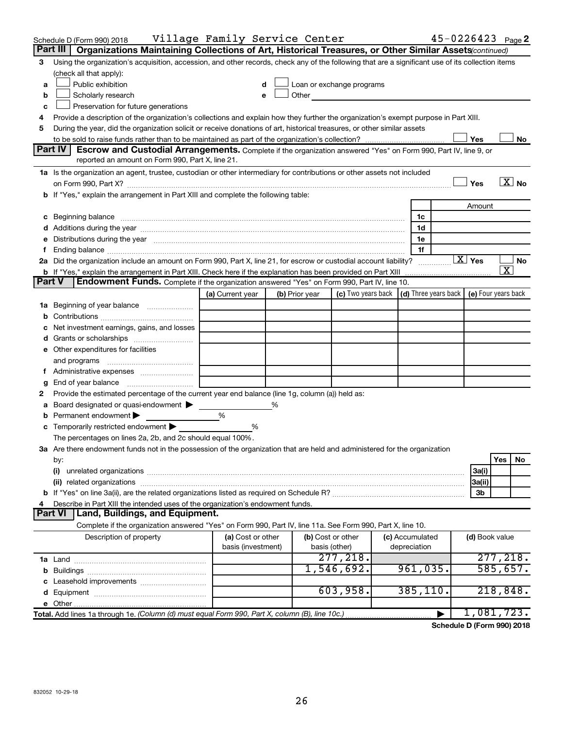|               | Schedule D (Form 990) 2018                                                                                                                                                                                                     | Village Family Service Center |   |                   |                                                                             |                 |                        | $45 - 0226423$ Page 2         |
|---------------|--------------------------------------------------------------------------------------------------------------------------------------------------------------------------------------------------------------------------------|-------------------------------|---|-------------------|-----------------------------------------------------------------------------|-----------------|------------------------|-------------------------------|
|               | Organizations Maintaining Collections of Art, Historical Treasures, or Other Similar Assets (continued)<br>Part III                                                                                                            |                               |   |                   |                                                                             |                 |                        |                               |
| 3             | Using the organization's acquisition, accession, and other records, check any of the following that are a significant use of its collection items                                                                              |                               |   |                   |                                                                             |                 |                        |                               |
|               | (check all that apply):                                                                                                                                                                                                        |                               |   |                   |                                                                             |                 |                        |                               |
| a             | Public exhibition                                                                                                                                                                                                              |                               |   |                   | Loan or exchange programs                                                   |                 |                        |                               |
| b             | Scholarly research                                                                                                                                                                                                             |                               |   | Other             |                                                                             |                 |                        |                               |
| c             | Preservation for future generations                                                                                                                                                                                            |                               |   |                   |                                                                             |                 |                        |                               |
| 4             | Provide a description of the organization's collections and explain how they further the organization's exempt purpose in Part XIII.                                                                                           |                               |   |                   |                                                                             |                 |                        |                               |
| 5             | During the year, did the organization solicit or receive donations of art, historical treasures, or other similar assets                                                                                                       |                               |   |                   |                                                                             |                 |                        |                               |
|               |                                                                                                                                                                                                                                |                               |   |                   |                                                                             |                 | Yes                    | No                            |
|               | Part IV<br><b>Escrow and Custodial Arrangements.</b> Complete if the organization answered "Yes" on Form 990, Part IV, line 9, or                                                                                              |                               |   |                   |                                                                             |                 |                        |                               |
|               | reported an amount on Form 990, Part X, line 21.                                                                                                                                                                               |                               |   |                   |                                                                             |                 |                        |                               |
|               | 1a Is the organization an agent, trustee, custodian or other intermediary for contributions or other assets not included                                                                                                       |                               |   |                   |                                                                             |                 |                        |                               |
|               |                                                                                                                                                                                                                                |                               |   |                   |                                                                             |                 | Yes                    | $\overline{X}$ No             |
|               | b If "Yes," explain the arrangement in Part XIII and complete the following table:                                                                                                                                             |                               |   |                   |                                                                             |                 |                        |                               |
|               |                                                                                                                                                                                                                                |                               |   |                   |                                                                             |                 | Amount                 |                               |
|               | c Beginning balance measurements and the contract of the contract of the contract of the contract of the contract of the contract of the contract of the contract of the contract of the contract of the contract of the contr |                               |   |                   |                                                                             | 1c              |                        |                               |
|               |                                                                                                                                                                                                                                |                               |   |                   |                                                                             | 1d              |                        |                               |
| е             | Distributions during the year manufactured and an account of the year manufactured and the year manufactured and the year manufactured and the year manufactured and the year manufactured and the year manufactured and the y |                               |   |                   |                                                                             | 1e              |                        |                               |
| f.            |                                                                                                                                                                                                                                |                               |   |                   |                                                                             | 1f              | $\boxed{\text{X}}$ Yes |                               |
|               | 2a Did the organization include an amount on Form 990, Part X, line 21, for escrow or custodial account liability?                                                                                                             |                               |   |                   |                                                                             |                 |                        | No<br>$\overline{\texttt{x}}$ |
| <b>Part V</b> | b If "Yes," explain the arrangement in Part XIII. Check here if the explanation has been provided on Part XIII<br>Endowment Funds. Complete if the organization answered "Yes" on Form 990, Part IV, line 10.                  |                               |   |                   |                                                                             |                 |                        |                               |
|               |                                                                                                                                                                                                                                | (a) Current year              |   | (b) Prior year    | (c) Two years back $\vert$ (d) Three years back $\vert$ (e) Four years back |                 |                        |                               |
|               |                                                                                                                                                                                                                                |                               |   |                   |                                                                             |                 |                        |                               |
|               | <b>1a</b> Beginning of year balance                                                                                                                                                                                            |                               |   |                   |                                                                             |                 |                        |                               |
| b             | Net investment earnings, gains, and losses                                                                                                                                                                                     |                               |   |                   |                                                                             |                 |                        |                               |
| c<br>d        | Grants or scholarships                                                                                                                                                                                                         |                               |   |                   |                                                                             |                 |                        |                               |
|               | e Other expenditures for facilities                                                                                                                                                                                            |                               |   |                   |                                                                             |                 |                        |                               |
|               | and programs                                                                                                                                                                                                                   |                               |   |                   |                                                                             |                 |                        |                               |
| t.            | Administrative expenses                                                                                                                                                                                                        |                               |   |                   |                                                                             |                 |                        |                               |
| g             |                                                                                                                                                                                                                                |                               |   |                   |                                                                             |                 |                        |                               |
| 2             | Provide the estimated percentage of the current year end balance (line 1g, column (a)) held as:                                                                                                                                |                               |   |                   |                                                                             |                 |                        |                               |
| а             | Board designated or quasi-endowment                                                                                                                                                                                            |                               | % |                   |                                                                             |                 |                        |                               |
| b             | Permanent endowment                                                                                                                                                                                                            | %                             |   |                   |                                                                             |                 |                        |                               |
|               | c Temporarily restricted endowment $\blacktriangleright$                                                                                                                                                                       | %                             |   |                   |                                                                             |                 |                        |                               |
|               | The percentages on lines 2a, 2b, and 2c should equal 100%.                                                                                                                                                                     |                               |   |                   |                                                                             |                 |                        |                               |
|               | 3a Are there endowment funds not in the possession of the organization that are held and administered for the organization                                                                                                     |                               |   |                   |                                                                             |                 |                        |                               |
|               | by:                                                                                                                                                                                                                            |                               |   |                   |                                                                             |                 |                        | Yes<br>No                     |
|               | (i)                                                                                                                                                                                                                            |                               |   |                   |                                                                             |                 | 3a(i)                  |                               |
|               |                                                                                                                                                                                                                                |                               |   |                   |                                                                             |                 | 3a(ii)                 |                               |
|               |                                                                                                                                                                                                                                |                               |   |                   |                                                                             |                 | 3b                     |                               |
| 4             | Describe in Part XIII the intended uses of the organization's endowment funds.                                                                                                                                                 |                               |   |                   |                                                                             |                 |                        |                               |
|               | <b>Part VI</b><br>  Land, Buildings, and Equipment.                                                                                                                                                                            |                               |   |                   |                                                                             |                 |                        |                               |
|               | Complete if the organization answered "Yes" on Form 990, Part IV, line 11a. See Form 990, Part X, line 10.                                                                                                                     |                               |   |                   |                                                                             |                 |                        |                               |
|               | Description of property                                                                                                                                                                                                        | (a) Cost or other             |   | (b) Cost or other |                                                                             | (c) Accumulated | (d) Book value         |                               |
|               |                                                                                                                                                                                                                                | basis (investment)            |   | basis (other)     |                                                                             | depreciation    |                        |                               |
|               |                                                                                                                                                                                                                                |                               |   |                   | 277, 218.                                                                   |                 |                        | 277, 218.                     |
| b             |                                                                                                                                                                                                                                |                               |   |                   | 1,546,692.                                                                  | 961,035.        |                        | 585,657.                      |
|               |                                                                                                                                                                                                                                |                               |   |                   |                                                                             |                 |                        |                               |
| d             |                                                                                                                                                                                                                                |                               |   |                   | 603,958.                                                                    | 385, 110.       |                        | 218,848.                      |
|               |                                                                                                                                                                                                                                |                               |   |                   |                                                                             |                 |                        |                               |
|               | Total. Add lines 1a through 1e. (Column (d) must equal Form 990, Part X, column (B), line 10c.)                                                                                                                                |                               |   |                   |                                                                             |                 |                        | 1,081,723.                    |

**Schedule D (Form 990) 2018**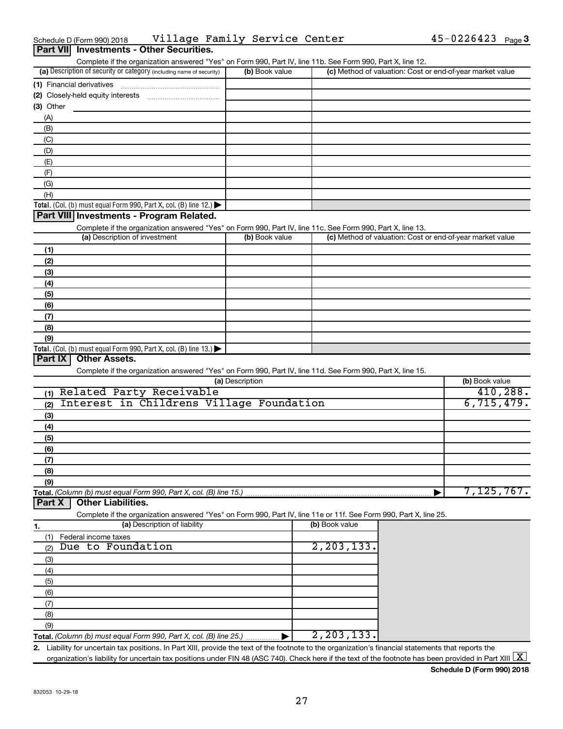| (1) Financial derivatives              |  |
|----------------------------------------|--|
| (2) Closely-held equity interests<br>. |  |
| $(3)$ Other                            |  |
| (A)                                    |  |
| (B)                                    |  |
| (C)                                    |  |
| (D)                                    |  |
| (E)                                    |  |
| Έ                                      |  |
| (G)                                    |  |
| (H)                                    |  |
|                                        |  |

(a) Description of security or category (including name of security)  $\vert$  (b) Book value  $\vert$  (c)

#### **Total.** (Col. (b) must equal Form 990, Part X, col. (B) line 12.)  $\blacktriangleright$

**Part VII Investments - Other Securities.**

#### **Part VIII Investments - Program Related.**

Complete if the organization answered "Yes" on Form 990, Part IV, line 11c. See Form 990, Part X, line 13.

Complete if the organization answered "Yes" on Form 990, Part IV, line 11b. See Form 990, Part X, line 12.

| (a) Description of investment                                       | (b) Book value | (c) Method of valuation: Cost or end-of-year market value |
|---------------------------------------------------------------------|----------------|-----------------------------------------------------------|
| (1)                                                                 |                |                                                           |
| (2)                                                                 |                |                                                           |
| (3)                                                                 |                |                                                           |
| (4)                                                                 |                |                                                           |
| (5)                                                                 |                |                                                           |
| (6)                                                                 |                |                                                           |
| (7)                                                                 |                |                                                           |
| (8)                                                                 |                |                                                           |
| (9)                                                                 |                |                                                           |
| Total. (Col. (b) must equal Form 990, Part X, col. (B) line $13.$ ) |                |                                                           |

#### **Part IX Other Assets.**

Complete if the organization answered "Yes" on Form 990, Part IV, line 11d. See Form 990, Part X, line 15.

| (a) Description                                 | (b) Book value |
|-------------------------------------------------|----------------|
| Related Party Receivable<br>(1)                 | 410, 288.      |
| Interest in Childrens Village Foundation<br>(2) | 6, 715, 479.   |
| (3)                                             |                |
| (4)                                             |                |
| (5)                                             |                |
| (6)                                             |                |
| (7)                                             |                |
| (8)                                             |                |
| (9)                                             |                |
|                                                 | 7,125,767.     |

#### **Part X Other Liabilities.**

Complete if the organization answered "Yes" on Form 990, Part IV, line 11e or 11f. See Form 990, Part X, line 25.

|     | (a) Description of liability                                       | (b) Book value           |
|-----|--------------------------------------------------------------------|--------------------------|
|     | Federal income taxes                                               |                          |
| (2) | Due to Foundation                                                  | $\overline{2,203,133}$ . |
| (3) |                                                                    |                          |
| (4) |                                                                    |                          |
| (5) |                                                                    |                          |
| (6) |                                                                    |                          |
|     |                                                                    |                          |
| (8) |                                                                    |                          |
| (9) |                                                                    |                          |
|     | Total. (Column (b) must equal Form 990, Part X, col. (B) line 25.) | $\overline{2,203},133.$  |

**2.** Liability for uncertain tax positions. In Part XIII, provide the text of the footnote to the organization's financial statements that reports the organization's liability for uncertain tax positions under FIN 48 (ASC 740). Check here if the text of the footnote has been provided in Part XIII  $\boxed{\text{X}}$ 

**Schedule D (Form 990) 2018**

 $(b)$  Book value  $\vert$  (c) Method of valuation: Cost or end-of-year market value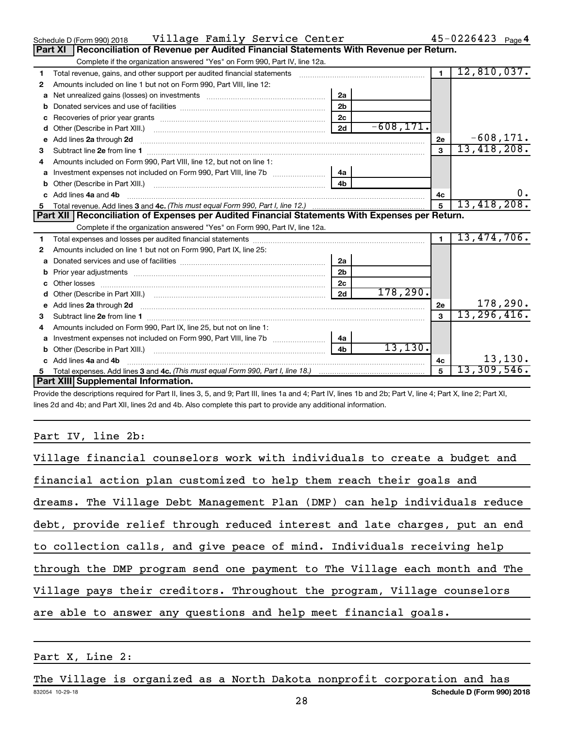|    | Village Family Service Center<br>Schedule D (Form 990) 2018                                                                                                                                                                        |                |              |                | $45 - 0226423$ Page 4 |    |
|----|------------------------------------------------------------------------------------------------------------------------------------------------------------------------------------------------------------------------------------|----------------|--------------|----------------|-----------------------|----|
|    | Reconciliation of Revenue per Audited Financial Statements With Revenue per Return.<br>Part XI                                                                                                                                     |                |              |                |                       |    |
|    | Complete if the organization answered "Yes" on Form 990, Part IV, line 12a.                                                                                                                                                        |                |              |                |                       |    |
| 1  | Total revenue, gains, and other support per audited financial statements [111] [11] Total revenue, gains, and other support per audited financial statements                                                                       |                |              | $\overline{1}$ | 12,810,037.           |    |
| 2  | Amounts included on line 1 but not on Form 990, Part VIII, line 12:                                                                                                                                                                |                |              |                |                       |    |
| a  |                                                                                                                                                                                                                                    | 2a             |              |                |                       |    |
|    |                                                                                                                                                                                                                                    | 2 <sub>b</sub> |              |                |                       |    |
| c  |                                                                                                                                                                                                                                    | 2 <sub>c</sub> |              |                |                       |    |
| d  |                                                                                                                                                                                                                                    | 2d             | $-608, 171.$ |                |                       |    |
| е  | Add lines 2a through 2d <b>manufactures</b> in the contract of the contract of the contract of the contract of the contract of the contract of the contract of the contract of the contract of the contract of the contract of the |                |              | 2e             | $-608, 171.$          |    |
| з  |                                                                                                                                                                                                                                    |                |              |                | 13,418,208.           |    |
|    | Amounts included on Form 990, Part VIII, line 12, but not on line 1:                                                                                                                                                               |                |              |                |                       |    |
| а  | Investment expenses not included on Form 990, Part VIII, line 7b [100] [100] [100] [100] [100] [100] [100] [10                                                                                                                     | 4a             |              |                |                       |    |
| b  |                                                                                                                                                                                                                                    | 4 <sub>b</sub> |              |                |                       |    |
| C. | Add lines 4a and 4b                                                                                                                                                                                                                |                |              | 4c             |                       | υ. |
| 5. |                                                                                                                                                                                                                                    |                |              | 5              | 13,418,208.           |    |
|    |                                                                                                                                                                                                                                    |                |              |                |                       |    |
|    | Part XII Reconciliation of Expenses per Audited Financial Statements With Expenses per Return.                                                                                                                                     |                |              |                |                       |    |
|    | Complete if the organization answered "Yes" on Form 990, Part IV, line 12a.                                                                                                                                                        |                |              |                |                       |    |
| 1  |                                                                                                                                                                                                                                    |                |              | $\blacksquare$ | 13,474,706.           |    |
| 2  | Amounts included on line 1 but not on Form 990, Part IX, line 25:                                                                                                                                                                  |                |              |                |                       |    |
| a  |                                                                                                                                                                                                                                    | 2a             |              |                |                       |    |
| b  | Prior year adjustments example and the contract of the contract of the contract of the contract of the contract of the contract of the contract of the contract of the contract of the contract of the contract of the contrac     | 2 <sub>b</sub> |              |                |                       |    |
|    |                                                                                                                                                                                                                                    | 2 <sub>c</sub> |              |                |                       |    |
|    |                                                                                                                                                                                                                                    | 2d             | 178, 290.    |                |                       |    |
| е  |                                                                                                                                                                                                                                    |                |              | 2е             | 178, 290.             |    |
| 3  |                                                                                                                                                                                                                                    |                |              | $\mathbf{a}$   | 13, 296, 416.         |    |
| 4  | Amounts included on Form 990, Part IX, line 25, but not on line 1:                                                                                                                                                                 |                |              |                |                       |    |
| a  |                                                                                                                                                                                                                                    | 4а             |              |                |                       |    |
|    |                                                                                                                                                                                                                                    | 4 <sub>h</sub> | 13, 130.     |                |                       |    |
|    | Add lines 4a and 4b                                                                                                                                                                                                                |                |              | 4с             | 13, 130.              |    |
| 5  | Part XIII Supplemental Information.                                                                                                                                                                                                |                |              | 5              | 13,309,546.           |    |

Provide the descriptions required for Part II, lines 3, 5, and 9; Part III, lines 1a and 4; Part IV, lines 1b and 2b; Part V, line 4; Part X, line 2; Part XI, lines 2d and 4b; and Part XII, lines 2d and 4b. Also complete this part to provide any additional information.

#### Part IV, line 2b:

| Village financial counselors work with individuals to create a budget and  |
|----------------------------------------------------------------------------|
| financial action plan customized to help them reach their goals and        |
| dreams. The Village Debt Management Plan (DMP) can help individuals reduce |
| debt, provide relief through reduced interest and late charges, put an end |
| to collection calls, and give peace of mind. Individuals receiving help    |
| through the DMP program send one payment to The Village each month and The |
| Village pays their creditors. Throughout the program, Village counselors   |
| are able to answer any questions and help meet financial goals.            |

#### Part X, Line 2:

832054 10-29-18 **Schedule D (Form 990) 2018** The Village is organized as a North Dakota nonprofit corporation and has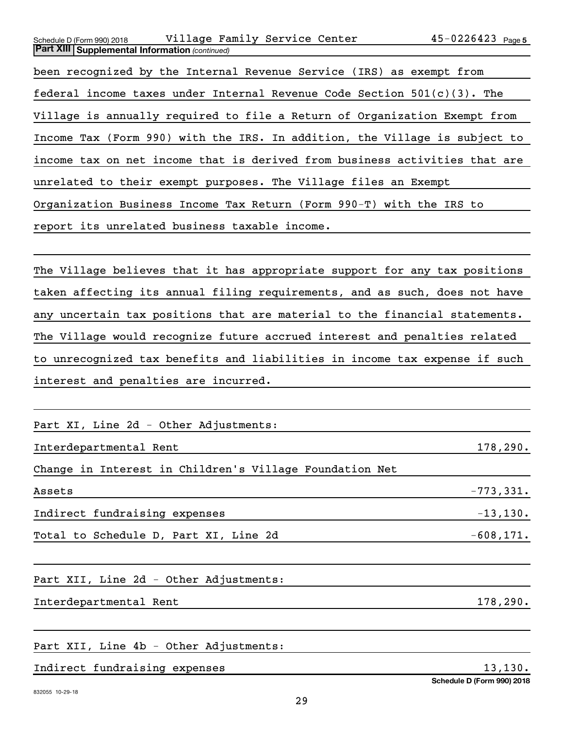| Village Family Service Center<br>Schedule D (Form 990) 2018                | $45 - 0226423$ Page 5 |
|----------------------------------------------------------------------------|-----------------------|
| <b>Part XIII Supplemental Information (continued)</b>                      |                       |
| been recognized by the Internal Revenue Service (IRS) as exempt from       |                       |
| federal income taxes under Internal Revenue Code Section $501(c)(3)$ . The |                       |
| Village is annually required to file a Return of Organization Exempt from  |                       |
| Income Tax (Form 990) with the IRS. In addition, the Village is subject to |                       |
| income tax on net income that is derived from business activities that are |                       |
| unrelated to their exempt purposes. The Village files an Exempt            |                       |
| Organization Business Income Tax Return (Form 990-T) with the IRS to       |                       |
| report its unrelated business taxable income.                              |                       |
|                                                                            |                       |

The Village believes that it has appropriate support for any tax positions taken affecting its annual filing requirements, and as such, does not have any uncertain tax positions that are material to the financial statements. The Village would recognize future accrued interest and penalties related to unrecognized tax benefits and liabilities in income tax expense if such interest and penalties are incurred.

| Part XI, Line 2d - Other Adjustments:                   |             |
|---------------------------------------------------------|-------------|
| Interdepartmental Rent                                  | 178, 290.   |
| Change in Interest in Children's Village Foundation Net |             |
| Assets                                                  | $-773,331.$ |
| Indirect fundraising expenses                           | $-13, 130.$ |

Total to Schedule D, Part XI, Line  $2d$   $-608,171$ .

Part XII, Line 2d - Other Adjustments:

Interdepartmental Rent 178,290.

Part XII, Line 4b - Other Adjustments:

Indirect fundraising expenses 13,130.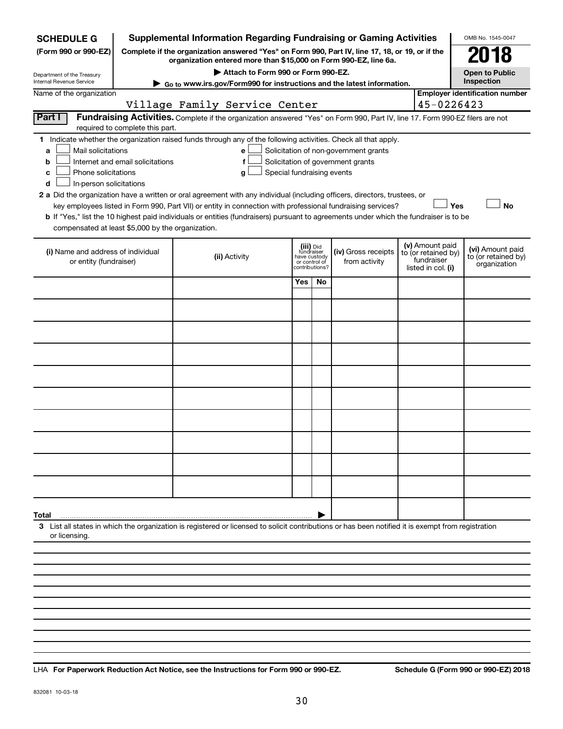| <b>SCHEDULE G</b>                                                                                                                                                                           |                                  | <b>Supplemental Information Regarding Fundraising or Gaming Activities</b>                                                                                                                                                                                                                                                                                                                                                                                                                                                |                                                          |                |                                                                            |                                                                            | OMB No. 1545-0047                                       |
|---------------------------------------------------------------------------------------------------------------------------------------------------------------------------------------------|----------------------------------|---------------------------------------------------------------------------------------------------------------------------------------------------------------------------------------------------------------------------------------------------------------------------------------------------------------------------------------------------------------------------------------------------------------------------------------------------------------------------------------------------------------------------|----------------------------------------------------------|----------------|----------------------------------------------------------------------------|----------------------------------------------------------------------------|---------------------------------------------------------|
| Complete if the organization answered "Yes" on Form 990, Part IV, line 17, 18, or 19, or if the<br>(Form 990 or 990-EZ)<br>organization entered more than \$15,000 on Form 990-EZ, line 6a. |                                  |                                                                                                                                                                                                                                                                                                                                                                                                                                                                                                                           |                                                          |                |                                                                            |                                                                            | 2018                                                    |
| Department of the Treasury<br>Internal Revenue Service                                                                                                                                      |                                  | Attach to Form 990 or Form 990-EZ.                                                                                                                                                                                                                                                                                                                                                                                                                                                                                        |                                                          |                |                                                                            |                                                                            | <b>Open to Public</b><br>Inspection                     |
| Name of the organization                                                                                                                                                                    |                                  | ► Go to www.irs.gov/Form990 for instructions and the latest information.                                                                                                                                                                                                                                                                                                                                                                                                                                                  |                                                          |                |                                                                            |                                                                            | <b>Employer identification number</b>                   |
|                                                                                                                                                                                             |                                  | Village Family Service Center                                                                                                                                                                                                                                                                                                                                                                                                                                                                                             |                                                          |                |                                                                            | 45-0226423                                                                 |                                                         |
| Part I                                                                                                                                                                                      | required to complete this part.  | Fundraising Activities. Complete if the organization answered "Yes" on Form 990, Part IV, line 17. Form 990-EZ filers are not                                                                                                                                                                                                                                                                                                                                                                                             |                                                          |                |                                                                            |                                                                            |                                                         |
| 1.<br>Mail solicitations<br>a<br>b<br>Phone solicitations<br>c<br>In-person solicitations<br>d<br>compensated at least \$5,000 by the organization.                                         | Internet and email solicitations | Indicate whether the organization raised funds through any of the following activities. Check all that apply.<br>e<br>f<br>g<br>2 a Did the organization have a written or oral agreement with any individual (including officers, directors, trustees, or<br>key employees listed in Form 990, Part VII) or entity in connection with professional fundraising services?<br><b>b</b> If "Yes," list the 10 highest paid individuals or entities (fundraisers) pursuant to agreements under which the fundraiser is to be | Special fundraising events                               |                | Solicitation of non-government grants<br>Solicitation of government grants |                                                                            | <b>No</b><br>Yes                                        |
| (i) Name and address of individual<br>or entity (fundraiser)                                                                                                                                |                                  | (ii) Activity                                                                                                                                                                                                                                                                                                                                                                                                                                                                                                             | (iii) Did<br>fundraiser<br>have custody<br>or control of | contributions? | (iv) Gross receipts<br>from activity                                       | (v) Amount paid<br>to (or retained by)<br>fundraiser<br>listed in col. (i) | (vi) Amount paid<br>to (or retained by)<br>organization |
|                                                                                                                                                                                             |                                  |                                                                                                                                                                                                                                                                                                                                                                                                                                                                                                                           | Yes                                                      | No             |                                                                            |                                                                            |                                                         |
|                                                                                                                                                                                             |                                  |                                                                                                                                                                                                                                                                                                                                                                                                                                                                                                                           |                                                          |                |                                                                            |                                                                            |                                                         |
|                                                                                                                                                                                             |                                  |                                                                                                                                                                                                                                                                                                                                                                                                                                                                                                                           |                                                          |                |                                                                            |                                                                            |                                                         |
|                                                                                                                                                                                             |                                  |                                                                                                                                                                                                                                                                                                                                                                                                                                                                                                                           |                                                          |                |                                                                            |                                                                            |                                                         |
|                                                                                                                                                                                             |                                  |                                                                                                                                                                                                                                                                                                                                                                                                                                                                                                                           |                                                          |                |                                                                            |                                                                            |                                                         |
|                                                                                                                                                                                             |                                  |                                                                                                                                                                                                                                                                                                                                                                                                                                                                                                                           |                                                          |                |                                                                            |                                                                            |                                                         |
|                                                                                                                                                                                             |                                  |                                                                                                                                                                                                                                                                                                                                                                                                                                                                                                                           |                                                          |                |                                                                            |                                                                            |                                                         |
|                                                                                                                                                                                             |                                  |                                                                                                                                                                                                                                                                                                                                                                                                                                                                                                                           |                                                          |                |                                                                            |                                                                            |                                                         |
|                                                                                                                                                                                             |                                  |                                                                                                                                                                                                                                                                                                                                                                                                                                                                                                                           |                                                          |                |                                                                            |                                                                            |                                                         |
|                                                                                                                                                                                             |                                  |                                                                                                                                                                                                                                                                                                                                                                                                                                                                                                                           |                                                          |                |                                                                            |                                                                            |                                                         |
| Total                                                                                                                                                                                       |                                  |                                                                                                                                                                                                                                                                                                                                                                                                                                                                                                                           |                                                          |                |                                                                            |                                                                            |                                                         |
| or licensing.                                                                                                                                                                               |                                  | 3 List all states in which the organization is registered or licensed to solicit contributions or has been notified it is exempt from registration                                                                                                                                                                                                                                                                                                                                                                        |                                                          |                |                                                                            |                                                                            |                                                         |
|                                                                                                                                                                                             |                                  |                                                                                                                                                                                                                                                                                                                                                                                                                                                                                                                           |                                                          |                |                                                                            |                                                                            |                                                         |
|                                                                                                                                                                                             |                                  |                                                                                                                                                                                                                                                                                                                                                                                                                                                                                                                           |                                                          |                |                                                                            |                                                                            |                                                         |
|                                                                                                                                                                                             |                                  |                                                                                                                                                                                                                                                                                                                                                                                                                                                                                                                           |                                                          |                |                                                                            |                                                                            |                                                         |
|                                                                                                                                                                                             |                                  |                                                                                                                                                                                                                                                                                                                                                                                                                                                                                                                           |                                                          |                |                                                                            |                                                                            |                                                         |

**For Paperwork Reduction Act Notice, see the Instructions for Form 990 or 990-EZ. Schedule G (Form 990 or 990-EZ) 2018** LHA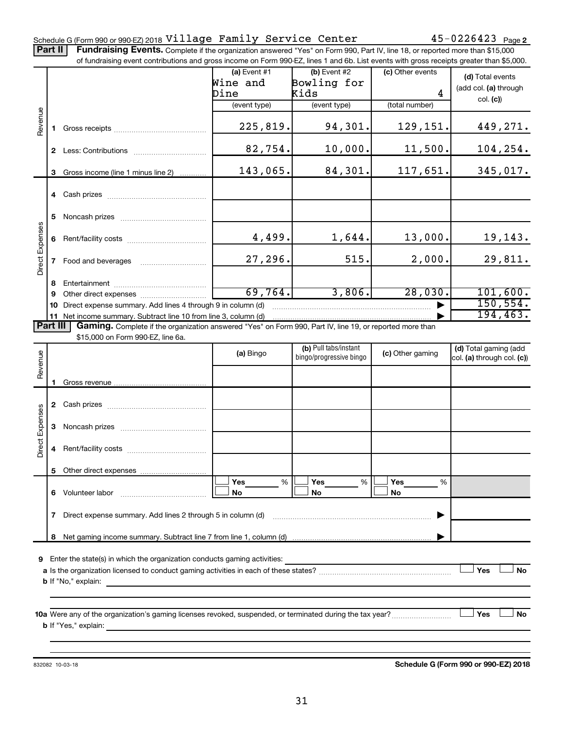#### Schedule G (Form 990 or 990-EZ) 2018  $\verb|Village | Family | Server \verb|Center | 45-0226423 | 23|$

Part II | Fundraising Events. Complete if the organization answered "Yes" on Form 990, Part IV, line 18, or reported more than \$15,000

|                 |              | of fundraising event contributions and gross income on Form 990-EZ, lines 1 and 6b. List events with gross receipts greater than \$5,000. |                |                         |                  |                            |
|-----------------|--------------|-------------------------------------------------------------------------------------------------------------------------------------------|----------------|-------------------------|------------------|----------------------------|
|                 |              |                                                                                                                                           | (a) Event $#1$ | $(b)$ Event #2          | (c) Other events | (d) Total events           |
|                 |              |                                                                                                                                           | Wine and       | Bowling for             |                  | (add col. (a) through      |
|                 |              |                                                                                                                                           | Dine           | Kids                    | 4                | col. (c)                   |
|                 |              |                                                                                                                                           | (event type)   | (event type)            | (total number)   |                            |
| Revenue         | 1.           |                                                                                                                                           | 225,819.       | 94,301.                 | 129,151.         | 449,271.                   |
|                 |              |                                                                                                                                           | 82,754.        | 10,000.                 | 11,500.          | 104, 254.                  |
|                 | 3            | Gross income (line 1 minus line 2)                                                                                                        | 143,065.       | 84,301.                 | 117,651.         | 345,017.                   |
|                 |              |                                                                                                                                           |                |                         |                  |                            |
|                 |              |                                                                                                                                           |                |                         |                  |                            |
|                 | 5            |                                                                                                                                           |                |                         |                  |                            |
|                 | 6            |                                                                                                                                           | 4,499.         | 1,644.                  | 13,000.          | 19,143.                    |
| Direct Expenses | $\mathbf{7}$ | Food and beverages                                                                                                                        | 27, 296.       | 515.                    | 2,000.           | 29,811.                    |
|                 | 8            |                                                                                                                                           |                |                         |                  |                            |
|                 | 9            |                                                                                                                                           | 69,764.        | 3,806.                  | 28,030.          | 101,600.                   |
|                 | 10           | Direct expense summary. Add lines 4 through 9 in column (d)                                                                               |                |                         |                  | 150, 554.                  |
|                 |              | 11 Net income summary. Subtract line 10 from line 3, column (d)                                                                           |                |                         |                  | 194, 463.                  |
| <b>Part III</b> |              | Gaming. Complete if the organization answered "Yes" on Form 990, Part IV, line 19, or reported more than                                  |                |                         |                  |                            |
|                 |              | \$15,000 on Form 990-EZ, line 6a.                                                                                                         |                |                         |                  |                            |
|                 |              |                                                                                                                                           | (a) Bingo      | (b) Pull tabs/instant   | (c) Other gaming | (d) Total gaming (add      |
| Revenue         |              |                                                                                                                                           |                | bingo/progressive bingo |                  | col. (a) through col. (c)) |
|                 |              |                                                                                                                                           |                |                         |                  |                            |
|                 | 1.           |                                                                                                                                           |                |                         |                  |                            |
|                 |              |                                                                                                                                           |                |                         |                  |                            |
|                 |              |                                                                                                                                           |                |                         |                  |                            |
|                 | 3            |                                                                                                                                           |                |                         |                  |                            |
| Direct Expenses | 4            |                                                                                                                                           |                |                         |                  |                            |
|                 |              | 5 Other direct expenses                                                                                                                   |                |                         |                  |                            |
|                 |              |                                                                                                                                           | $\%$<br>Yes    | %<br>Yes                | Yes<br>%         |                            |
|                 | 6            | Volunteer labor                                                                                                                           | No             | No                      | No               |                            |
|                 | 7            | Direct expense summary. Add lines 2 through 5 in column (d)                                                                               |                |                         |                  |                            |
|                 | 8            |                                                                                                                                           |                |                         |                  |                            |
|                 |              |                                                                                                                                           |                |                         |                  |                            |
| 9               |              | Enter the state(s) in which the organization conducts gaming activities:                                                                  |                |                         |                  | Yes<br><b>No</b>           |
|                 |              | <b>b</b> If "No," explain:                                                                                                                |                |                         |                  |                            |
|                 |              | <u> 1989 - Johann Stoff, deutscher Stoff, der Stoff, der Stoff, der Stoff, der Stoff, der Stoff, der Stoff, der S</u>                     |                |                         |                  |                            |
|                 |              |                                                                                                                                           |                |                         |                  |                            |
|                 |              | 10a Were any of the organization's gaming licenses revoked, suspended, or terminated during the tax year?                                 |                |                         |                  | Yes<br>No                  |
|                 |              |                                                                                                                                           |                |                         |                  |                            |
|                 |              |                                                                                                                                           |                |                         |                  |                            |
|                 |              |                                                                                                                                           |                |                         |                  |                            |

832082 10-03-18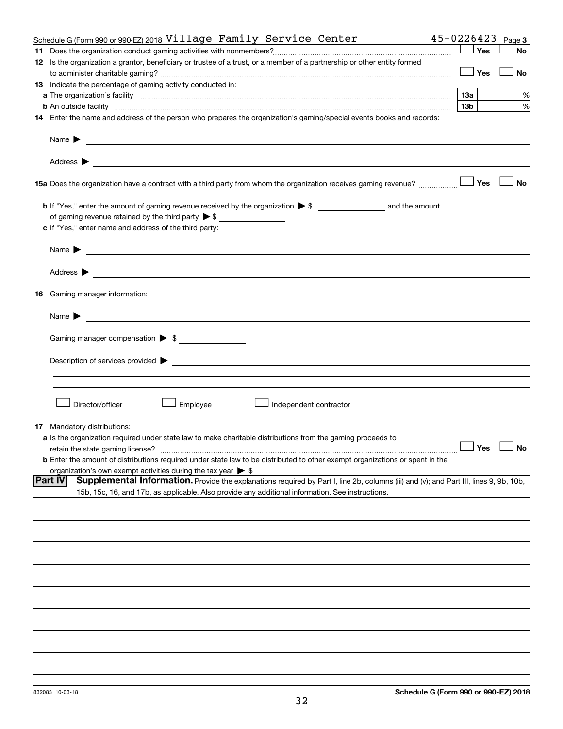|    | Schedule G (Form 990 or 990 EZ) 2018 Village Family Service Center                                                                                       |                 |     | $45 - 0226423$ Page 3 |
|----|----------------------------------------------------------------------------------------------------------------------------------------------------------|-----------------|-----|-----------------------|
|    |                                                                                                                                                          |                 | Yes | No                    |
|    | 12 Is the organization a grantor, beneficiary or trustee of a trust, or a member of a partnership or other entity formed                                 |                 |     |                       |
|    |                                                                                                                                                          |                 | Yes | No                    |
|    | 13 Indicate the percentage of gaming activity conducted in:                                                                                              |                 |     |                       |
|    |                                                                                                                                                          |                 |     | %                     |
|    |                                                                                                                                                          | 13 <sub>b</sub> |     | %                     |
|    | 14 Enter the name and address of the person who prepares the organization's gaming/special events books and records:                                     |                 |     |                       |
|    |                                                                                                                                                          |                 |     |                       |
|    |                                                                                                                                                          |                 |     |                       |
|    |                                                                                                                                                          |                 |     |                       |
|    | 15a Does the organization have a contract with a third party from whom the organization receives gaming revenue?                                         |                 | Yes | <b>No</b>             |
|    |                                                                                                                                                          |                 |     |                       |
|    |                                                                                                                                                          |                 |     |                       |
|    | c If "Yes," enter name and address of the third party:                                                                                                   |                 |     |                       |
|    |                                                                                                                                                          |                 |     |                       |
|    |                                                                                                                                                          |                 |     |                       |
|    |                                                                                                                                                          |                 |     |                       |
|    | 16 Gaming manager information:                                                                                                                           |                 |     |                       |
|    |                                                                                                                                                          |                 |     |                       |
|    | Gaming manager compensation > \$                                                                                                                         |                 |     |                       |
|    |                                                                                                                                                          |                 |     |                       |
|    |                                                                                                                                                          |                 |     |                       |
|    |                                                                                                                                                          |                 |     |                       |
|    |                                                                                                                                                          |                 |     |                       |
|    | Director/officer<br>Employee<br>Independent contractor                                                                                                   |                 |     |                       |
| 17 | Mandatory distributions:                                                                                                                                 |                 |     |                       |
|    | a Is the organization required under state law to make charitable distributions from the gaming proceeds to                                              |                 |     |                       |
|    | retain the state gaming license?                                                                                                                         |                 |     | $\Box$ Yes $\Box$ No  |
|    | <b>b</b> Enter the amount of distributions required under state law to be distributed to other exempt organizations or spent in the                      |                 |     |                       |
|    | organization's own exempt activities during the tax year $\triangleright$ \$                                                                             |                 |     |                       |
|    | Supplemental Information. Provide the explanations required by Part I, line 2b, columns (iii) and (v); and Part III, lines 9, 9b, 10b,<br><b>Part IV</b> |                 |     |                       |
|    | 15b, 15c, 16, and 17b, as applicable. Also provide any additional information. See instructions.                                                         |                 |     |                       |
|    |                                                                                                                                                          |                 |     |                       |
|    |                                                                                                                                                          |                 |     |                       |
|    |                                                                                                                                                          |                 |     |                       |
|    |                                                                                                                                                          |                 |     |                       |
|    |                                                                                                                                                          |                 |     |                       |
|    |                                                                                                                                                          |                 |     |                       |
|    |                                                                                                                                                          |                 |     |                       |
|    |                                                                                                                                                          |                 |     |                       |
|    |                                                                                                                                                          |                 |     |                       |
|    |                                                                                                                                                          |                 |     |                       |
|    |                                                                                                                                                          |                 |     |                       |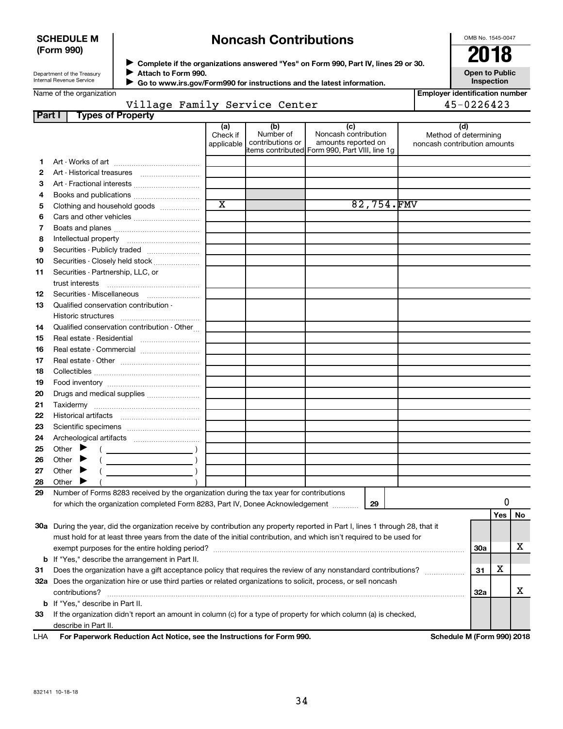| <b>SCHEDULE M</b> |  |
|-------------------|--|
| (Form 990)        |  |

# **Noncash Contributions**

OMB No. 1545-0047

**Employer identification number**

| Department of the Treasury      |  |
|---------------------------------|--|
| <b>Internal Revenue Service</b> |  |

**Complete if the organizations answered "Yes" on Form 990, Part IV, lines 29 or 30. Attach to Form 990.** →<br>**→** Complete if the organizations answered "Yes" on Form 990, Part IV, lines 29 or 30.<br>● Complete if the organizations answered "Yes" on Form 990, Part IV, lines 29 or 30.  $\blacktriangleright$ 

**Open to Public Inspection**

|  |  | Name of the organization |  |
|--|--|--------------------------|--|
|  |  |                          |  |
|  |  |                          |  |
|  |  |                          |  |

 **Go to www.irs.gov/Form990 for instructions and the latest information.** J

#### **Part I Types of Property** Village Family Service Center 15-0226423

|     | 1 J P V V 1 1 V P V 1 4                                                                                                        |                                        |                                      |                                                                                                       |            |                                                              |            |     |    |
|-----|--------------------------------------------------------------------------------------------------------------------------------|----------------------------------------|--------------------------------------|-------------------------------------------------------------------------------------------------------|------------|--------------------------------------------------------------|------------|-----|----|
|     |                                                                                                                                | (a)<br>Check if<br>applicable <b>l</b> | (b)<br>Number of<br>contributions or | (c)<br>Noncash contribution<br>amounts reported on<br>litems contributed Form 990, Part VIII, line 1q |            | (d)<br>Method of determining<br>noncash contribution amounts |            |     |    |
| 1.  |                                                                                                                                |                                        |                                      |                                                                                                       |            |                                                              |            |     |    |
| 2   |                                                                                                                                |                                        |                                      |                                                                                                       |            |                                                              |            |     |    |
| З   | Art - Fractional interests                                                                                                     |                                        |                                      |                                                                                                       |            |                                                              |            |     |    |
| 4   |                                                                                                                                |                                        |                                      |                                                                                                       |            |                                                              |            |     |    |
| 5   | Clothing and household goods                                                                                                   | $\overline{\text{x}}$                  |                                      |                                                                                                       | 82,754.FMV |                                                              |            |     |    |
| 6   |                                                                                                                                |                                        |                                      |                                                                                                       |            |                                                              |            |     |    |
| 7   |                                                                                                                                |                                        |                                      |                                                                                                       |            |                                                              |            |     |    |
| 8   |                                                                                                                                |                                        |                                      |                                                                                                       |            |                                                              |            |     |    |
| 9   | Securities - Publicly traded                                                                                                   |                                        |                                      |                                                                                                       |            |                                                              |            |     |    |
| 10  | Securities - Closely held stock                                                                                                |                                        |                                      |                                                                                                       |            |                                                              |            |     |    |
| 11  |                                                                                                                                |                                        |                                      |                                                                                                       |            |                                                              |            |     |    |
|     | Securities - Partnership, LLC, or                                                                                              |                                        |                                      |                                                                                                       |            |                                                              |            |     |    |
|     | trust interests                                                                                                                |                                        |                                      |                                                                                                       |            |                                                              |            |     |    |
| 12  | Securities - Miscellaneous                                                                                                     |                                        |                                      |                                                                                                       |            |                                                              |            |     |    |
| 13  | Qualified conservation contribution -                                                                                          |                                        |                                      |                                                                                                       |            |                                                              |            |     |    |
|     | Historic structures                                                                                                            |                                        |                                      |                                                                                                       |            |                                                              |            |     |    |
| 14  | Qualified conservation contribution - Other                                                                                    |                                        |                                      |                                                                                                       |            |                                                              |            |     |    |
| 15  | Real estate - Residential                                                                                                      |                                        |                                      |                                                                                                       |            |                                                              |            |     |    |
| 16  | Real estate - Commercial                                                                                                       |                                        |                                      |                                                                                                       |            |                                                              |            |     |    |
| 17  |                                                                                                                                |                                        |                                      |                                                                                                       |            |                                                              |            |     |    |
| 18  |                                                                                                                                |                                        |                                      |                                                                                                       |            |                                                              |            |     |    |
| 19  |                                                                                                                                |                                        |                                      |                                                                                                       |            |                                                              |            |     |    |
| 20  | Drugs and medical supplies                                                                                                     |                                        |                                      |                                                                                                       |            |                                                              |            |     |    |
| 21  |                                                                                                                                |                                        |                                      |                                                                                                       |            |                                                              |            |     |    |
| 22  |                                                                                                                                |                                        |                                      |                                                                                                       |            |                                                              |            |     |    |
| 23  |                                                                                                                                |                                        |                                      |                                                                                                       |            |                                                              |            |     |    |
| 24  |                                                                                                                                |                                        |                                      |                                                                                                       |            |                                                              |            |     |    |
| 25  | Other $\blacktriangleright$                                                                                                    |                                        |                                      |                                                                                                       |            |                                                              |            |     |    |
| 26  | Other $\blacktriangleright$                                                                                                    |                                        |                                      |                                                                                                       |            |                                                              |            |     |    |
| 27  | Other                                                                                                                          |                                        |                                      |                                                                                                       |            |                                                              |            |     |    |
| 28  | Other                                                                                                                          |                                        |                                      |                                                                                                       |            |                                                              |            |     |    |
| 29  | Number of Forms 8283 received by the organization during the tax year for contributions                                        |                                        |                                      |                                                                                                       |            |                                                              |            |     |    |
|     | for which the organization completed Form 8283, Part IV, Donee Acknowledgement                                                 |                                        |                                      |                                                                                                       | 29         |                                                              |            | 0   |    |
|     |                                                                                                                                |                                        |                                      |                                                                                                       |            |                                                              |            | Yes | No |
|     | 30a During the year, did the organization receive by contribution any property reported in Part I, lines 1 through 28, that it |                                        |                                      |                                                                                                       |            |                                                              |            |     |    |
|     | must hold for at least three years from the date of the initial contribution, and which isn't required to be used for          |                                        |                                      |                                                                                                       |            |                                                              |            |     |    |
|     |                                                                                                                                |                                        |                                      |                                                                                                       |            |                                                              | 30a        |     | x  |
|     | <b>b</b> If "Yes," describe the arrangement in Part II.                                                                        |                                        |                                      |                                                                                                       |            |                                                              |            |     |    |
| 31  | Does the organization have a gift acceptance policy that requires the review of any nonstandard contributions?                 |                                        |                                      |                                                                                                       |            |                                                              |            | х   |    |
|     | 32a Does the organization hire or use third parties or related organizations to solicit, process, or sell noncash              |                                        |                                      |                                                                                                       |            |                                                              |            |     |    |
|     | contributions?                                                                                                                 |                                        |                                      |                                                                                                       |            |                                                              | <b>32a</b> |     | х  |
|     | <b>b</b> If "Yes," describe in Part II.                                                                                        |                                        |                                      |                                                                                                       |            |                                                              |            |     |    |
| 33  | If the organization didn't report an amount in column (c) for a type of property for which column (a) is checked,              |                                        |                                      |                                                                                                       |            |                                                              |            |     |    |
|     | describe in Part II.                                                                                                           |                                        |                                      |                                                                                                       |            |                                                              |            |     |    |
|     | For Paperwork Reduction Act Notice, see the Instructions for Form 990.                                                         |                                        |                                      |                                                                                                       |            | Schedule M (Form 990) 2018                                   |            |     |    |
| LHA |                                                                                                                                |                                        |                                      |                                                                                                       |            |                                                              |            |     |    |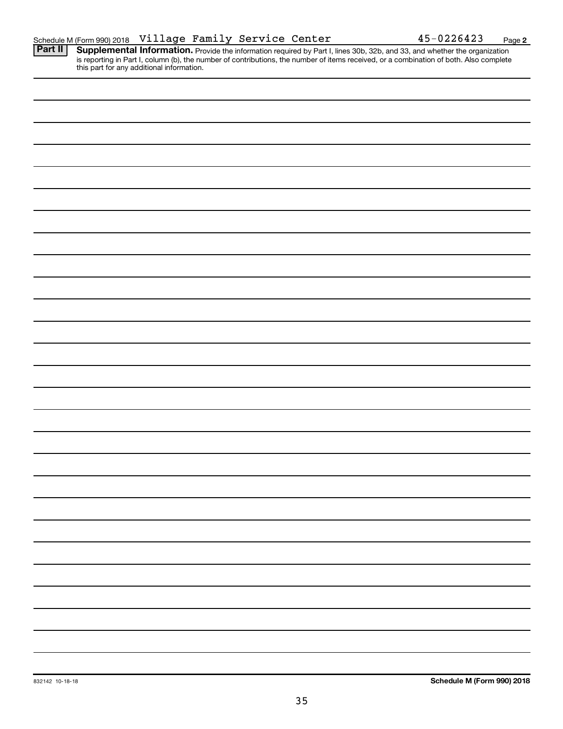**2**

Provide the information required by Part I, lines 30b, 32b, and 33, and whether the organization is reporting in Part I, column (b), the number of contributions, the number of items received, or a combination of both. Also complete this part for any additional information. **Part II Supplemental Information.**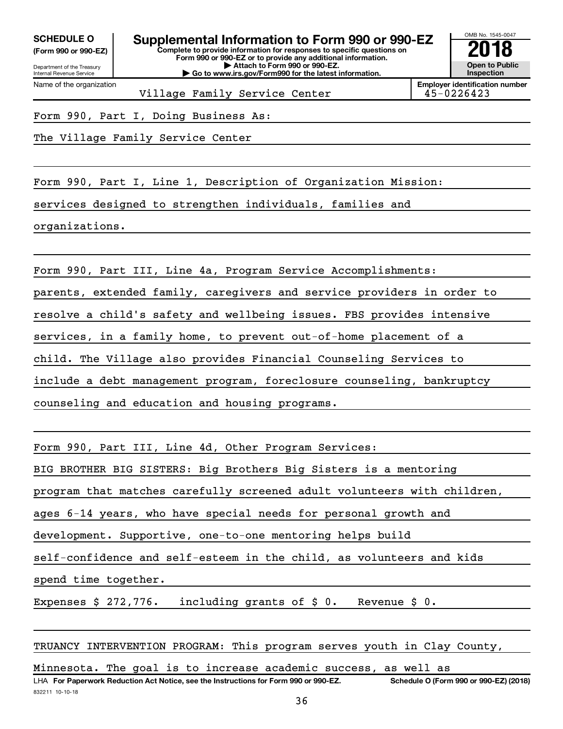Department of the Treasury **(Form 990 or 990-EZ)**

Name of the organization

Internal Revenue Service

**Complete to provide information for responses to specific questions on Form 990 or 990-EZ or to provide any additional information. | Attach to Form 990 or 990-EZ. | Go to www.irs.gov/Form990 for the latest information.** SCHEDULE O **Supplemental Information to Form 990 or 990-EZ** 2018 No. 1545-004<br>(Form 990 or 990-EZ) complete to provide information for responses to specific questions on

OMB No. 1545-0047 **Open to Public Inspection**

Village Family Service Center

**Employer identification number**

Form 990, Part I, Doing Business As:

The Village Family Service Center

Form 990, Part I, Line 1, Description of Organization Mission: services designed to strengthen individuals, families and organizations.

Form 990, Part III, Line 4a, Program Service Accomplishments:

parents, extended family, caregivers and service providers in order to

resolve a child's safety and wellbeing issues. FBS provides intensive

services, in a family home, to prevent out-of-home placement of a

child. The Village also provides Financial Counseling Services to

include a debt management program, foreclosure counseling, bankruptcy

counseling and education and housing programs.

Form 990, Part III, Line 4d, Other Program Services:

BIG BROTHER BIG SISTERS: Big Brothers Big Sisters is a mentoring

program that matches carefully screened adult volunteers with children,

ages 6-14 years, who have special needs for personal growth and

development. Supportive, one-to-one mentoring helps build

self-confidence and self-esteem in the child, as volunteers and kids

spend time together.

Expenses \$ 272,776. including grants of \$ 0. Revenue \$ 0.

TRUANCY INTERVENTION PROGRAM: This program serves youth in Clay County,

Minnesota. The goal is to increase academic success, as well as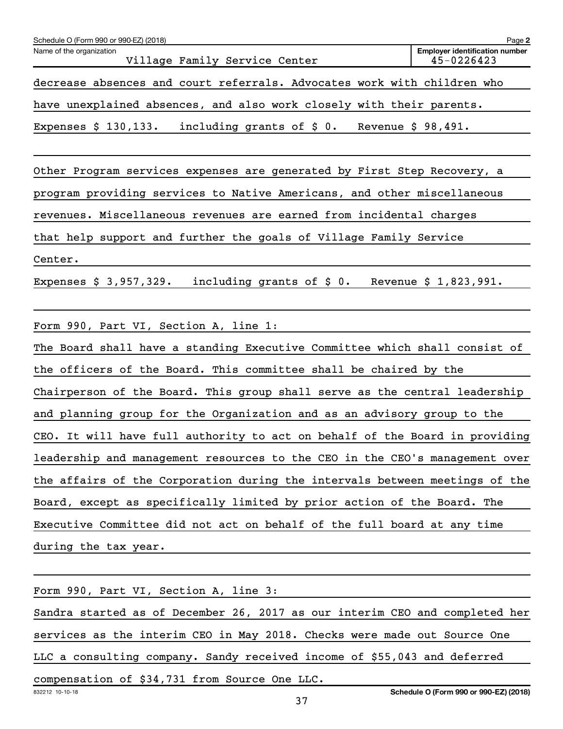| Page 2<br>Schedule O (Form 990 or 990-EZ) (2018)                     |                                                                         |  |  |  |  |  |  |
|----------------------------------------------------------------------|-------------------------------------------------------------------------|--|--|--|--|--|--|
| Name of the organization<br>Village Family Service Center            | <b>Employer identification number</b><br>$45 - 0226423$                 |  |  |  |  |  |  |
|                                                                      | decrease absences and court referrals. Advocates work with children who |  |  |  |  |  |  |
| have unexplained absences, and also work closely with their parents. |                                                                         |  |  |  |  |  |  |
| Expenses $$130,133$ .                                                | including grants of $\sharp$ 0.<br>Revenue $$98,491.$                   |  |  |  |  |  |  |

Other Program services expenses are generated by First Step Recovery, a program providing services to Native Americans, and other miscellaneous revenues. Miscellaneous revenues are earned from incidental charges that help support and further the goals of Village Family Service Center.

Expenses  $$3,957,329.$  including grants of  $$0.$  Revenue  $$1,823,991.$ 

Form 990, Part VI, Section A, line 1:

The Board shall have a standing Executive Committee which shall consist of the officers of the Board. This committee shall be chaired by the Chairperson of the Board. This group shall serve as the central leadership and planning group for the Organization and as an advisory group to the CEO. It will have full authority to act on behalf of the Board in providing leadership and management resources to the CEO in the CEO's management over the affairs of the Corporation during the intervals between meetings of the Board, except as specifically limited by prior action of the Board. The Executive Committee did not act on behalf of the full board at any time during the tax year.

| Form 990, Part VI, Section A, line 3:                                       |  |  |  |  |  |
|-----------------------------------------------------------------------------|--|--|--|--|--|
| Sandra started as of December 26, 2017 as our interim CEO and completed her |  |  |  |  |  |
| services as the interim CEO in May 2018. Checks were made out Source One    |  |  |  |  |  |
| LLC a consulting company. Sandy received income of \$55,043 and deferred    |  |  |  |  |  |
| compensation of \$34,731 from Source One LLC.                               |  |  |  |  |  |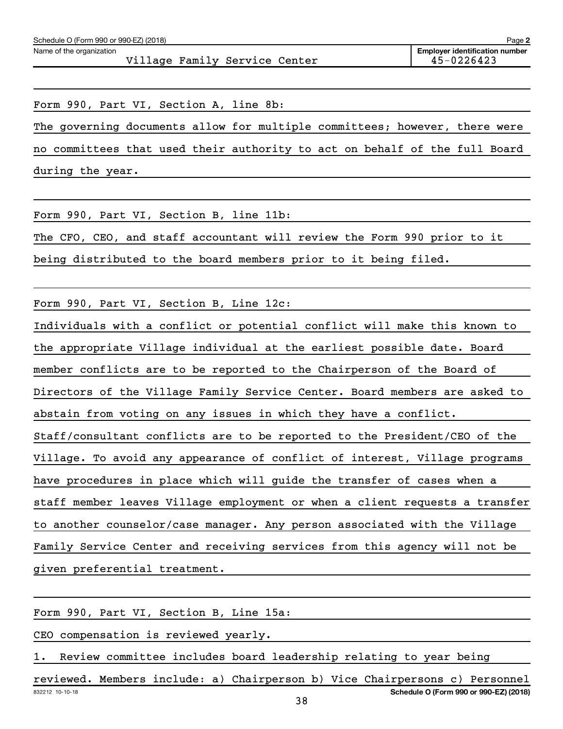Form 990, Part VI, Section A, line 8b: The governing documents allow for multiple committees; however, there were no committees that used their authority to act on behalf of the full Board during the year.

Form 990, Part VI, Section B, line 11b:

The CFO, CEO, and staff accountant will review the Form 990 prior to it

being distributed to the board members prior to it being filed.

Form 990, Part VI, Section B, Line 12c:

Individuals with a conflict or potential conflict will make this known to the appropriate Village individual at the earliest possible date. Board member conflicts are to be reported to the Chairperson of the Board of Directors of the Village Family Service Center. Board members are asked to abstain from voting on any issues in which they have a conflict. Staff/consultant conflicts are to be reported to the President/CEO of the Village. To avoid any appearance of conflict of interest, Village programs have procedures in place which will guide the transfer of cases when a staff member leaves Village employment or when a client requests a transfer to another counselor/case manager. Any person associated with the Village Family Service Center and receiving services from this agency will not be given preferential treatment.

Form 990, Part VI, Section B, Line 15a:

CEO compensation is reviewed yearly.

1. Review committee includes board leadership relating to year being

832212 10-10-18 **Schedule O (Form 990 or 990-EZ) (2018)** reviewed. Members include: a) Chairperson b) Vice Chairpersons c) Personnel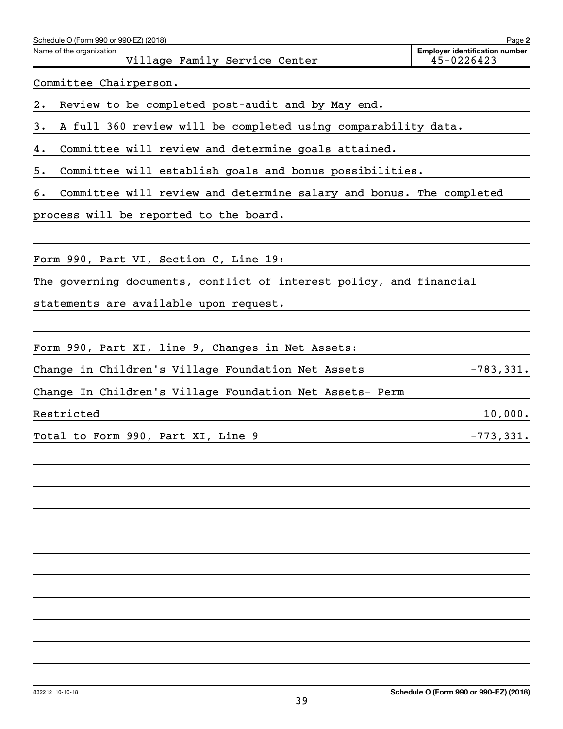| Schedule O (Form 990 or 990-EZ) (2018)<br>Name of the organization        | Page 2<br><b>Employer identification number</b> |
|---------------------------------------------------------------------------|-------------------------------------------------|
| Village Family Service Center                                             | 45-0226423                                      |
| Committee Chairperson.                                                    |                                                 |
| 2.<br>Review to be completed post-audit and by May end.                   |                                                 |
| A full 360 review will be completed using comparability data.<br>3.       |                                                 |
| Committee will review and determine goals attained.<br>4.                 |                                                 |
| Committee will establish goals and bonus possibilities.<br>5.             |                                                 |
| Committee will review and determine salary and bonus. The completed<br>б. |                                                 |
| process will be reported to the board.                                    |                                                 |
|                                                                           |                                                 |
| Form 990, Part VI, Section C, Line 19:                                    |                                                 |
| The governing documents, conflict of interest policy, and financial       |                                                 |
| statements are available upon request.                                    |                                                 |
|                                                                           |                                                 |
| Form 990, Part XI, line 9, Changes in Net Assets:                         |                                                 |
| Change in Children's Village Foundation Net Assets                        | $-783,331.$                                     |
| Change In Children's Village Foundation Net Assets- Perm                  |                                                 |
| Restricted                                                                | 10,000.                                         |
| Total to Form 990, Part XI, Line 9                                        | $-773,331.$                                     |
|                                                                           |                                                 |
|                                                                           |                                                 |
|                                                                           |                                                 |
|                                                                           |                                                 |
|                                                                           |                                                 |
|                                                                           |                                                 |
|                                                                           |                                                 |
|                                                                           |                                                 |
|                                                                           |                                                 |
|                                                                           |                                                 |
|                                                                           |                                                 |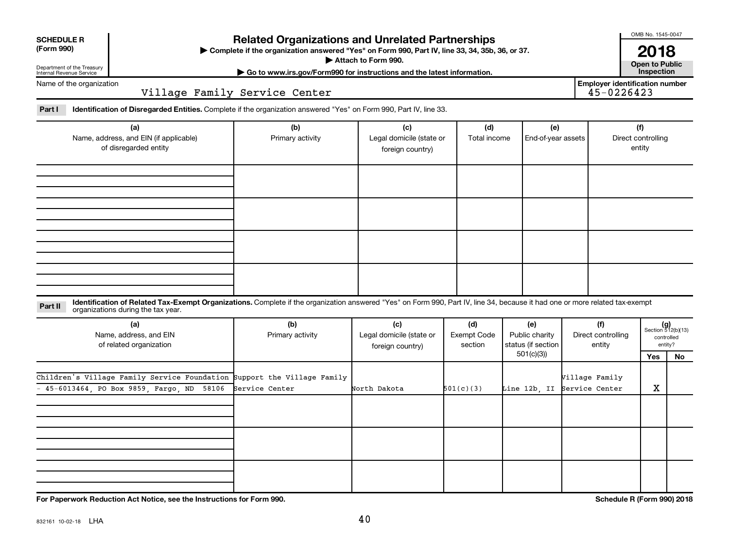| <b>SCHEDULE R</b> |  |
|-------------------|--|
|                   |  |

#### Department of the Treasury Internal Revenue Service

### **Related Organizations and Unrelated Partnerships**

**(Form 990) Complete if the organization answered "Yes" on Form 990, Part IV, line 33, 34, 35b, 36, or 37.** |

**Attach to Form 990. Contract to Public** 

**| Go to www.irs.gov/Form990 for instructions and the latest information. Inspection 2018**<br>Open to Public

OMB No. 1545-0047

Name of the organization

Village Family Service Center

**Employer identification number**

Part I ldentification of Disregarded Entities. Complete if the organization answered "Yes" on Form 990, Part IV, line 33.

| (a)<br>Name, address, and EIN (if applicable)<br>of disregarded entity | (b)<br>Primary activity | (c)<br>Legal domicile (state or<br>foreign country) | (d)<br>Total income | (e)<br>End-of-year assets | (f)<br>Direct controlling<br>entity |
|------------------------------------------------------------------------|-------------------------|-----------------------------------------------------|---------------------|---------------------------|-------------------------------------|
|                                                                        |                         |                                                     |                     |                           |                                     |
|                                                                        |                         |                                                     |                     |                           |                                     |
|                                                                        |                         |                                                     |                     |                           |                                     |
|                                                                        |                         |                                                     |                     |                           |                                     |

**Part II** Identification of Related Tax-Exempt Organizations. Complete if the organization answered "Yes" on Form 990, Part IV, line 34, because it had one or more related tax-exempt<br>Part II acconizations during the tax ye organizations during the tax year.

| (a)<br>Name, address, and EIN<br>of related organization                                                                | (b)<br>Primary activity | (c)<br>Legal domicile (state or<br>foreign country) | (d)<br>Exempt Code<br>section | (e)<br>Public charity<br>status (if section | (f)<br>Direct controlling<br>entity           |     | $(g)$<br>Section 512(b)(13)<br>controlled<br>entity? |
|-------------------------------------------------------------------------------------------------------------------------|-------------------------|-----------------------------------------------------|-------------------------------|---------------------------------------------|-----------------------------------------------|-----|------------------------------------------------------|
|                                                                                                                         |                         |                                                     |                               | 501(c)(3))                                  |                                               | Yes | No                                                   |
| Children's Village Family Service Foundation Support the Village Family<br>$-45-6013464$ , PO Box 9859, Fargo, ND 58106 | Service Center          | North Dakota                                        | 501(c)(3)                     |                                             | Village Family<br>Line 12b, II Service Center | х   |                                                      |
|                                                                                                                         |                         |                                                     |                               |                                             |                                               |     |                                                      |
|                                                                                                                         |                         |                                                     |                               |                                             |                                               |     |                                                      |
|                                                                                                                         |                         |                                                     |                               |                                             |                                               |     |                                                      |

**For Paperwork Reduction Act Notice, see the Instructions for Form 990. Schedule R (Form 990) 2018**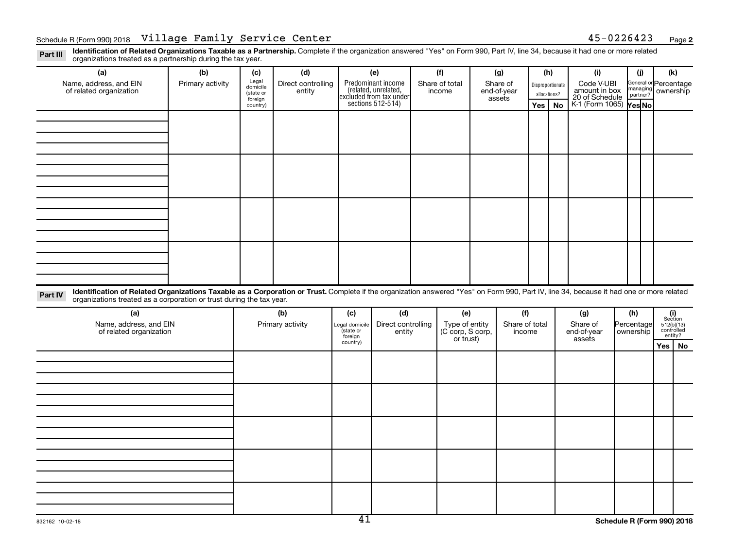Part III Identification of Related Organizations Taxable as a Partnership. Complete if the organization answered "Yes" on Form 990, Part IV, line 34, because it had one or more related<br>Read to the organizations tracted as organizations treated as a partnership during the tax year.

| (a)                                                                                                                                                                                                                                                                         | (b)              | (c)                                       | (d)                          |                            | (e)                                                                                       |  | (f)                                |  | (g)                      |     | (h) | (i)                    | (i)        |     | (k)                                                                                                                             |                                               |          |                                             |  |
|-----------------------------------------------------------------------------------------------------------------------------------------------------------------------------------------------------------------------------------------------------------------------------|------------------|-------------------------------------------|------------------------------|----------------------------|-------------------------------------------------------------------------------------------|--|------------------------------------|--|--------------------------|-----|-----|------------------------|------------|-----|---------------------------------------------------------------------------------------------------------------------------------|-----------------------------------------------|----------|---------------------------------------------|--|
| Name, address, and EIN<br>of related organization                                                                                                                                                                                                                           | Primary activity | Legal<br>domicile<br>(state or<br>foreign | Direct controlling<br>entity |                            | Predominant income<br>related, unrelated,<br>excluded from tax under<br>sections 512-514) |  | Share of<br>end-of-year            |  | Share of total<br>income |     |     |                        | assets     |     | Disproportionate<br>allocations?                                                                                                | Code V-UBI<br>amount in box<br>20 of Schedule | partner? | General or Percentage<br>managing ownership |  |
|                                                                                                                                                                                                                                                                             |                  | country)                                  |                              |                            |                                                                                           |  |                                    |  |                          | Yes | No  | K-1 (Form 1065) Yes No |            |     |                                                                                                                                 |                                               |          |                                             |  |
|                                                                                                                                                                                                                                                                             |                  |                                           |                              |                            |                                                                                           |  |                                    |  |                          |     |     |                        |            |     |                                                                                                                                 |                                               |          |                                             |  |
|                                                                                                                                                                                                                                                                             |                  |                                           |                              |                            |                                                                                           |  |                                    |  |                          |     |     |                        |            |     |                                                                                                                                 |                                               |          |                                             |  |
|                                                                                                                                                                                                                                                                             |                  |                                           |                              |                            |                                                                                           |  |                                    |  |                          |     |     |                        |            |     |                                                                                                                                 |                                               |          |                                             |  |
|                                                                                                                                                                                                                                                                             |                  |                                           |                              |                            |                                                                                           |  |                                    |  |                          |     |     |                        |            |     |                                                                                                                                 |                                               |          |                                             |  |
|                                                                                                                                                                                                                                                                             |                  |                                           |                              |                            |                                                                                           |  |                                    |  |                          |     |     |                        |            |     |                                                                                                                                 |                                               |          |                                             |  |
|                                                                                                                                                                                                                                                                             |                  |                                           |                              |                            |                                                                                           |  |                                    |  |                          |     |     |                        |            |     |                                                                                                                                 |                                               |          |                                             |  |
|                                                                                                                                                                                                                                                                             |                  |                                           |                              |                            |                                                                                           |  |                                    |  |                          |     |     |                        |            |     |                                                                                                                                 |                                               |          |                                             |  |
|                                                                                                                                                                                                                                                                             |                  |                                           |                              |                            |                                                                                           |  |                                    |  |                          |     |     |                        |            |     |                                                                                                                                 |                                               |          |                                             |  |
|                                                                                                                                                                                                                                                                             |                  |                                           |                              |                            |                                                                                           |  |                                    |  |                          |     |     |                        |            |     |                                                                                                                                 |                                               |          |                                             |  |
|                                                                                                                                                                                                                                                                             |                  |                                           |                              |                            |                                                                                           |  |                                    |  |                          |     |     |                        |            |     |                                                                                                                                 |                                               |          |                                             |  |
|                                                                                                                                                                                                                                                                             |                  |                                           |                              |                            |                                                                                           |  |                                    |  |                          |     |     |                        |            |     |                                                                                                                                 |                                               |          |                                             |  |
|                                                                                                                                                                                                                                                                             |                  |                                           |                              |                            |                                                                                           |  |                                    |  |                          |     |     |                        |            |     |                                                                                                                                 |                                               |          |                                             |  |
|                                                                                                                                                                                                                                                                             |                  |                                           |                              |                            |                                                                                           |  |                                    |  |                          |     |     |                        |            |     |                                                                                                                                 |                                               |          |                                             |  |
|                                                                                                                                                                                                                                                                             |                  |                                           |                              |                            |                                                                                           |  |                                    |  |                          |     |     |                        |            |     |                                                                                                                                 |                                               |          |                                             |  |
| Identification of Related Organizations Taxable as a Corporation or Trust. Complete if the organization answered "Yes" on Form 990, Part IV, line 34, because it had one or more related<br>Part IV<br>organizations treated as a corporation or trust during the tax year. |                  |                                           |                              |                            |                                                                                           |  |                                    |  |                          |     |     |                        |            |     |                                                                                                                                 |                                               |          |                                             |  |
| (a)                                                                                                                                                                                                                                                                         |                  |                                           | (b)                          | (c)                        | (d)                                                                                       |  | (e)                                |  | (f)                      |     |     | (g)                    | (h)        |     |                                                                                                                                 |                                               |          |                                             |  |
| Name, address, and EIN                                                                                                                                                                                                                                                      |                  |                                           | Primary activity             | Legal domicile<br>state or | Direct controlling                                                                        |  | Type of entity<br>(C corp, S corp, |  | Share of total           |     |     | Share of               | Percentage |     | $\begin{array}{c} \textbf{(i)}\\ \text{Section}\\ 512 \text{(b)} \text{(13)}\\ \text{controlled} \\ \text{entity?} \end{array}$ |                                               |          |                                             |  |
| of related organization                                                                                                                                                                                                                                                     |                  |                                           |                              | foreign<br>country)        | entity                                                                                    |  | or trust)                          |  | income                   |     |     | end-of-year<br>assets  | ownership  |     |                                                                                                                                 |                                               |          |                                             |  |
|                                                                                                                                                                                                                                                                             |                  |                                           |                              |                            |                                                                                           |  |                                    |  |                          |     |     |                        |            | Yes | No                                                                                                                              |                                               |          |                                             |  |
|                                                                                                                                                                                                                                                                             |                  |                                           |                              |                            |                                                                                           |  |                                    |  |                          |     |     |                        |            |     |                                                                                                                                 |                                               |          |                                             |  |
|                                                                                                                                                                                                                                                                             |                  |                                           |                              |                            |                                                                                           |  |                                    |  |                          |     |     |                        |            |     |                                                                                                                                 |                                               |          |                                             |  |
|                                                                                                                                                                                                                                                                             |                  |                                           |                              |                            |                                                                                           |  |                                    |  |                          |     |     |                        |            |     |                                                                                                                                 |                                               |          |                                             |  |
|                                                                                                                                                                                                                                                                             |                  |                                           |                              |                            |                                                                                           |  |                                    |  |                          |     |     |                        |            |     |                                                                                                                                 |                                               |          |                                             |  |
|                                                                                                                                                                                                                                                                             |                  |                                           |                              |                            |                                                                                           |  |                                    |  |                          |     |     |                        |            |     |                                                                                                                                 |                                               |          |                                             |  |
|                                                                                                                                                                                                                                                                             |                  |                                           |                              |                            |                                                                                           |  |                                    |  |                          |     |     |                        |            |     |                                                                                                                                 |                                               |          |                                             |  |
|                                                                                                                                                                                                                                                                             |                  |                                           |                              |                            |                                                                                           |  |                                    |  |                          |     |     |                        |            |     |                                                                                                                                 |                                               |          |                                             |  |
|                                                                                                                                                                                                                                                                             |                  |                                           |                              |                            |                                                                                           |  |                                    |  |                          |     |     |                        |            |     |                                                                                                                                 |                                               |          |                                             |  |
|                                                                                                                                                                                                                                                                             |                  |                                           |                              |                            |                                                                                           |  |                                    |  |                          |     |     |                        |            |     |                                                                                                                                 |                                               |          |                                             |  |
|                                                                                                                                                                                                                                                                             |                  |                                           |                              |                            |                                                                                           |  |                                    |  |                          |     |     |                        |            |     |                                                                                                                                 |                                               |          |                                             |  |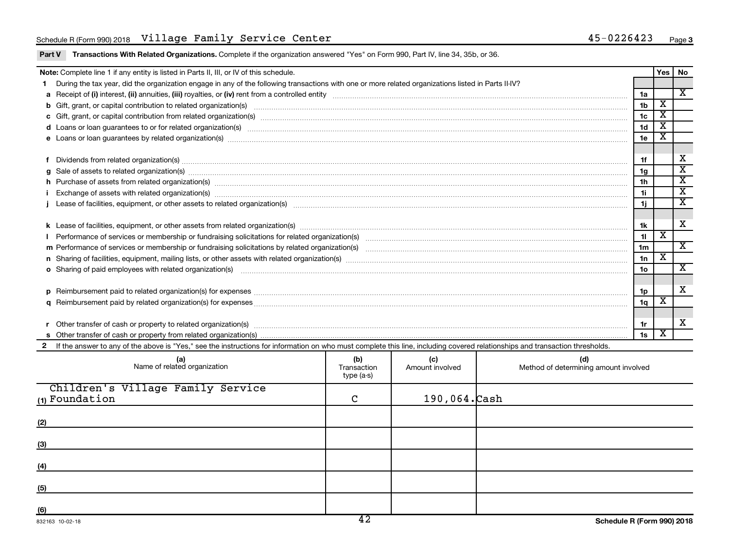#### Schedule R (Form 990) 2018 Page Village Family Service Center 45-0226423

|  | Part V Transactions With Related Organizations. Complete if the organization answered "Yes" on Form 990, Part IV, line 34, 35b, or 36. |
|--|----------------------------------------------------------------------------------------------------------------------------------------|
|  |                                                                                                                                        |

|          | Note: Complete line 1 if any entity is listed in Parts II, III, or IV of this schedule.                                                                                                                                                                                       |                 | Yes                     | l No                        |  |  |
|----------|-------------------------------------------------------------------------------------------------------------------------------------------------------------------------------------------------------------------------------------------------------------------------------|-----------------|-------------------------|-----------------------------|--|--|
|          | During the tax year, did the organization engage in any of the following transactions with one or more related organizations listed in Parts II-IV?                                                                                                                           |                 |                         |                             |  |  |
|          |                                                                                                                                                                                                                                                                               | 1a              |                         | $\overline{\mathbf{x}}$     |  |  |
|          |                                                                                                                                                                                                                                                                               | 1 <sub>b</sub>  | х                       |                             |  |  |
|          | c Gift, grant, or capital contribution from related organization(s) manufaction content to content the content of the contribution from related organization(s) manufaction content to content the content of the content of t                                                | 1 <sub>c</sub>  | X                       |                             |  |  |
|          | d Loans or loan guarantees to or for related organization(s) mature material content to consume the content of the content of the content of the content of the content of the content of the content of the content of the co                                                | 1 <sub>d</sub>  | X                       |                             |  |  |
|          | e Loans or loan guarantees by related organization(s) manufaction content to consume the content of the content of the content of the content of the content of the content of the content of the content of the content of th                                                | 1e              | х                       |                             |  |  |
|          |                                                                                                                                                                                                                                                                               |                 |                         |                             |  |  |
|          | Dividends from related organization(s) machinesis and contract and contract and contract and contract and contract and contract and contract and contract and contract and contract and contract and contract and contract and                                                | 1f              |                         | х                           |  |  |
| g        | Sale of assets to related organization(s) www.assettion.com/www.assettion.com/www.assettion.com/www.assettion.com/www.assettion.com/www.assettion.com/www.assettion.com/www.assettion.com/www.assettion.com/www.assettion.com/                                                | 1g              |                         | $\overline{\mathbf{x}}$     |  |  |
|          | h Purchase of assets from related organization(s) manufactured and content to content the content of assets from related organization(s) manufactured and content of the content of the content of the content of the content                                                 | 1h              |                         | $\overline{\textnormal{x}}$ |  |  |
|          | Exchange of assets with related organization(s) macrocommutation material control and control of the control of the control of the control of the control of the control of the control of the control of the control of the c                                                | 11              |                         | $\overline{\textbf{x}}$     |  |  |
|          | Lease of facilities, equipment, or other assets to related organization(s) manufaction content and content and content and content and content and content and content and content and content and content and content and con                                                | 1j              |                         | $\mathbf{x}$                |  |  |
|          |                                                                                                                                                                                                                                                                               |                 |                         |                             |  |  |
|          |                                                                                                                                                                                                                                                                               | 1k              |                         | X                           |  |  |
|          |                                                                                                                                                                                                                                                                               | 11              | x                       |                             |  |  |
|          |                                                                                                                                                                                                                                                                               | 1 <sub>m</sub>  |                         | $\overline{\mathbf{x}}$     |  |  |
|          |                                                                                                                                                                                                                                                                               | 1n              | $\overline{\textbf{X}}$ |                             |  |  |
|          | o Sharing of paid employees with related organization(s) manufaction(s) and contain a substitution of the state or state or state or state or state or state or state or state or state or state or state or state or state or                                                | 10 <sub>o</sub> |                         | $\overline{\mathbf{x}}$     |  |  |
|          |                                                                                                                                                                                                                                                                               |                 |                         |                             |  |  |
| <b>D</b> | Reimbursement paid to related organization(s) for expenses [11111] Research Manuscript] Reimbursement paid to related organization(s) for expenses [11111] [1211] Reimbursement manuscript] and the set of the set of the set                                                 | 1 <sub>p</sub>  | х                       | $\overline{\mathbf{X}}$     |  |  |
|          |                                                                                                                                                                                                                                                                               |                 |                         |                             |  |  |
|          |                                                                                                                                                                                                                                                                               |                 |                         | X                           |  |  |
|          |                                                                                                                                                                                                                                                                               |                 |                         |                             |  |  |
|          | 1s                                                                                                                                                                                                                                                                            |                 |                         |                             |  |  |
|          | If the answer to any of the above is "Yes," see the instructions for information on who must complete this line, including covered relationships and transaction thresholds.                                                                                                  |                 |                         |                             |  |  |
|          | (b)<br>(c)<br>(d)<br>(a)<br>$(C)$ (C) and $(C)$ (C) and $(C)$ (C) and $(C)$ (C) and $(C)$ (C) and $(C)$ (C) and $(C)$ (C) and $(C)$ (C) and $(C)$ (C) and $(C)$ (C) and $(C)$ (C) and $(C)$ (C) and $(C)$ (C) and $(C)$ (C) and $(C)$ (C) $(C)$ (C) $(C)$ (C) $(C)$ (C) $(C)$ |                 |                         |                             |  |  |

| (a)<br>Name of related organization                   | (b)<br>Transaction<br>type (a-s) | (C)<br>Amount involved | (d)<br>Method of determining amount involved |
|-------------------------------------------------------|----------------------------------|------------------------|----------------------------------------------|
| Children's Village Family Service<br>$(1)$ Foundation | C                                | $190,064.$ $\cosh$     |                                              |
| (2)                                                   |                                  |                        |                                              |
| (3)                                                   |                                  |                        |                                              |
| (4)                                                   |                                  |                        |                                              |
| (5)                                                   |                                  |                        |                                              |
| (6)                                                   | $\overline{\phantom{a}}$         |                        |                                              |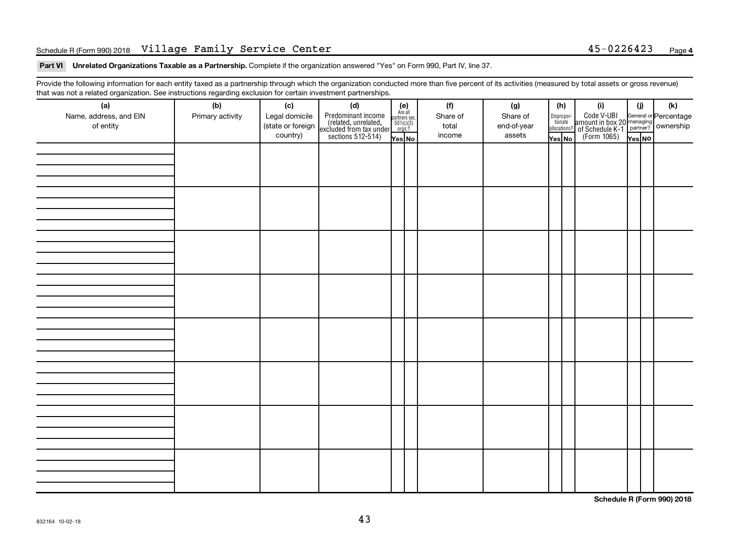#### Schedule R (Form 990) 2018 Page Village Family Service Center 45-0226423

Part VI Unrelated Organizations Taxable as a Partnership. Complete if the organization answered "Yes" on Form 990, Part IV, line 37.

Provide the following information for each entity taxed as a partnership through which the organization conducted more than five percent of its activities (measured by total assets or gross revenue) that was not a related organization. See instructions regarding exclusion for certain investment partnerships.

| <br>(a)                | (b)              | (c)               | . <b>. .</b><br><br>(d)                                                                    |                                                          | (f)      | (g)         | (h)                                   |  | (i)                                                                                              | (i)    |  | (k) |
|------------------------|------------------|-------------------|--------------------------------------------------------------------------------------------|----------------------------------------------------------|----------|-------------|---------------------------------------|--|--------------------------------------------------------------------------------------------------|--------|--|-----|
| Name, address, and EIN | Primary activity | Legal domicile    |                                                                                            | (e)<br>Are all<br>partners sec.<br>$501(c)(3)$<br>orgs.? | Share of | Share of    |                                       |  |                                                                                                  |        |  |     |
| of entity              |                  | (state or foreign |                                                                                            |                                                          | total    | end-of-year | Dispropor-<br>tionate<br>allocations? |  |                                                                                                  |        |  |     |
|                        |                  | country)          | Predominant income<br>(related, unrelated,<br>excluded from tax under<br>sections 512-514) | Yes No                                                   | income   | assets      | Yes No                                |  | Code V-UBI<br>amount in box 20 managing<br>of Schedule K-1<br>(Form 1065)<br>$\overline{Yes}$ No | Yes NO |  |     |
|                        |                  |                   |                                                                                            |                                                          |          |             |                                       |  |                                                                                                  |        |  |     |
|                        |                  |                   |                                                                                            |                                                          |          |             |                                       |  |                                                                                                  |        |  |     |
|                        |                  |                   |                                                                                            |                                                          |          |             |                                       |  |                                                                                                  |        |  |     |
|                        |                  |                   |                                                                                            |                                                          |          |             |                                       |  |                                                                                                  |        |  |     |
|                        |                  |                   |                                                                                            |                                                          |          |             |                                       |  |                                                                                                  |        |  |     |
|                        |                  |                   |                                                                                            |                                                          |          |             |                                       |  |                                                                                                  |        |  |     |
|                        |                  |                   |                                                                                            |                                                          |          |             |                                       |  |                                                                                                  |        |  |     |
|                        |                  |                   |                                                                                            |                                                          |          |             |                                       |  |                                                                                                  |        |  |     |
|                        |                  |                   |                                                                                            |                                                          |          |             |                                       |  |                                                                                                  |        |  |     |
|                        |                  |                   |                                                                                            |                                                          |          |             |                                       |  |                                                                                                  |        |  |     |
|                        |                  |                   |                                                                                            |                                                          |          |             |                                       |  |                                                                                                  |        |  |     |
|                        |                  |                   |                                                                                            |                                                          |          |             |                                       |  |                                                                                                  |        |  |     |
|                        |                  |                   |                                                                                            |                                                          |          |             |                                       |  |                                                                                                  |        |  |     |
|                        |                  |                   |                                                                                            |                                                          |          |             |                                       |  |                                                                                                  |        |  |     |
|                        |                  |                   |                                                                                            |                                                          |          |             |                                       |  |                                                                                                  |        |  |     |
|                        |                  |                   |                                                                                            |                                                          |          |             |                                       |  |                                                                                                  |        |  |     |
|                        |                  |                   |                                                                                            |                                                          |          |             |                                       |  |                                                                                                  |        |  |     |
|                        |                  |                   |                                                                                            |                                                          |          |             |                                       |  |                                                                                                  |        |  |     |
|                        |                  |                   |                                                                                            |                                                          |          |             |                                       |  |                                                                                                  |        |  |     |
|                        |                  |                   |                                                                                            |                                                          |          |             |                                       |  |                                                                                                  |        |  |     |
|                        |                  |                   |                                                                                            |                                                          |          |             |                                       |  |                                                                                                  |        |  |     |
|                        |                  |                   |                                                                                            |                                                          |          |             |                                       |  |                                                                                                  |        |  |     |
|                        |                  |                   |                                                                                            |                                                          |          |             |                                       |  |                                                                                                  |        |  |     |
|                        |                  |                   |                                                                                            |                                                          |          |             |                                       |  |                                                                                                  |        |  |     |
|                        |                  |                   |                                                                                            |                                                          |          |             |                                       |  |                                                                                                  |        |  |     |
|                        |                  |                   |                                                                                            |                                                          |          |             |                                       |  |                                                                                                  |        |  |     |
|                        |                  |                   |                                                                                            |                                                          |          |             |                                       |  |                                                                                                  |        |  |     |
|                        |                  |                   |                                                                                            |                                                          |          |             |                                       |  |                                                                                                  |        |  |     |
|                        |                  |                   |                                                                                            |                                                          |          |             |                                       |  |                                                                                                  |        |  |     |
|                        |                  |                   |                                                                                            |                                                          |          |             |                                       |  |                                                                                                  |        |  |     |
|                        |                  |                   |                                                                                            |                                                          |          |             |                                       |  |                                                                                                  |        |  |     |
|                        |                  |                   |                                                                                            |                                                          |          |             |                                       |  |                                                                                                  |        |  |     |
|                        |                  |                   |                                                                                            |                                                          |          |             |                                       |  |                                                                                                  |        |  |     |
|                        |                  |                   |                                                                                            |                                                          |          |             |                                       |  |                                                                                                  |        |  |     |
|                        |                  |                   |                                                                                            |                                                          |          |             |                                       |  |                                                                                                  |        |  |     |

**Schedule R (Form 990) 2018**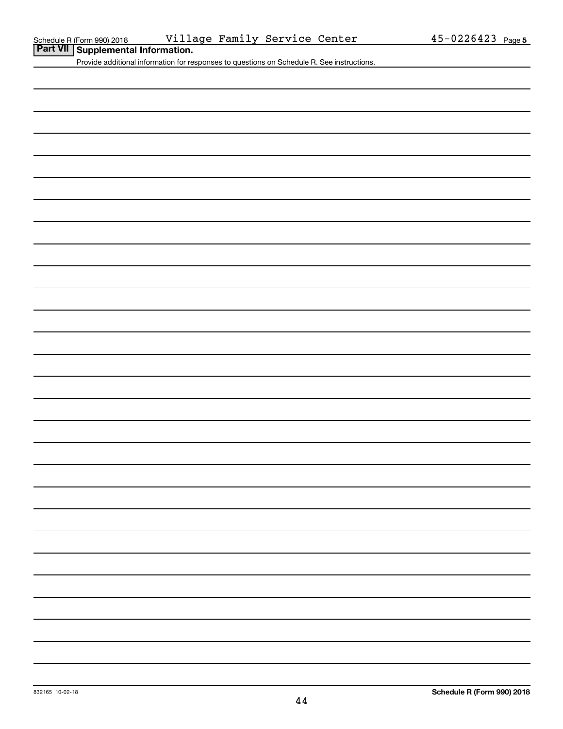**Part VII Referal 890 2018 Villier**<br>**Part VII Supplemental Information.** 

Provide additional information for responses to questions on Schedule R. See instructions.